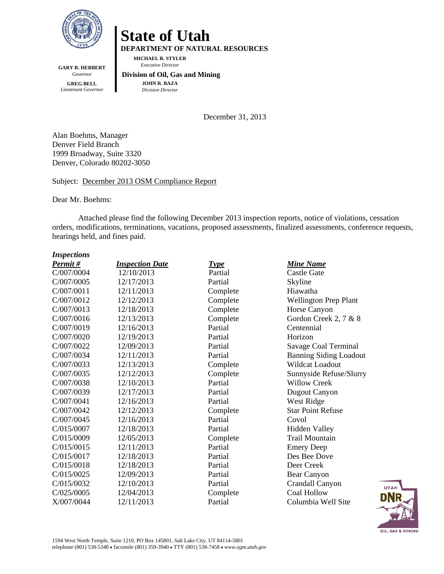

**GARY R. HERBERT**  *Governor*  **GREG BELL**  *Lieutenant Governor* 

# **State of Utah**

**DEPARTMENT OF NATURAL RESOURCES** 

**MICHAEL R. STYLER**   *Executive Director* 

#### **Division of Oil, Gas and Mining JOHN R. BAZA**  *Division Director*

December 31, 2013

Alan Boehms, Manager Denver Field Branch 1999 Broadway, Suite 3320 Denver, Colorado 80202-3050

#### Subject: December 2013 OSM Compliance Report

Dear Mr. Boehms:

Attached please find the following December 2013 inspection reports, notice of violations, cessation orders, modifications, terminations, vacations, proposed assessments, finalized assessments, conference requests, hearings held, and fines paid.

#### *Inspections*

| Permit #   | <b>Inspection Date</b> | <b>Type</b> | <b>Mine Name</b>              |
|------------|------------------------|-------------|-------------------------------|
| C/007/0004 | 12/10/2013             | Partial     | Castle Gate                   |
| C/007/0005 | 12/17/2013             | Partial     | Skyline                       |
| C/007/0011 | 12/11/2013             | Complete    | Hiawatha                      |
| C/007/0012 | 12/12/2013             | Complete    | Wellington Prep Plant         |
| C/007/0013 | 12/18/2013             | Complete    | Horse Canyon                  |
| C/007/0016 | 12/13/2013             | Complete    | Gordon Creek 2, 7 & 8         |
| C/007/0019 | 12/16/2013             | Partial     | Centennial                    |
| C/007/0020 | 12/19/2013             | Partial     | Horizon                       |
| C/007/0022 | 12/09/2013             | Partial     | Savage Coal Terminal          |
| C/007/0034 | 12/11/2013             | Partial     | <b>Banning Siding Loadout</b> |
| C/007/0033 | 12/13/2013             | Complete    | Wildcat Loadout               |
| C/007/0035 | 12/12/2013             | Complete    | Sunnyside Refuse/Slurry       |
| C/007/0038 | 12/10/2013             | Partial     | <b>Willow Creek</b>           |
| C/007/0039 | 12/17/2013             | Partial     | Dugout Canyon                 |
| C/007/0041 | 12/16/2013             | Partial     | West Ridge                    |
| C/007/0042 | 12/12/2013             | Complete    | <b>Star Point Refuse</b>      |
| C/007/0045 | 12/16/2013             | Partial     | Covol                         |
| C/015/0007 | 12/18/2013             | Partial     | <b>Hidden Valley</b>          |
| C/015/0009 | 12/05/2013             | Complete    | <b>Trail Mountain</b>         |
| C/015/0015 | 12/11/2013             | Partial     | <b>Emery Deep</b>             |
| C/015/0017 | 12/18/2013             | Partial     | Des Bee Dove                  |
| C/015/0018 | 12/18/2013             | Partial     | Deer Creek                    |
| C/015/0025 | 12/09/2013             | Partial     | Bear Canyon                   |
| C/015/0032 | 12/10/2013             | Partial     | Crandall Canyon               |
| C/025/0005 | 12/04/2013             | Complete    | Coal Hollow                   |
| X/007/0044 | 12/11/2013             | Partial     | Columbia Well Site            |

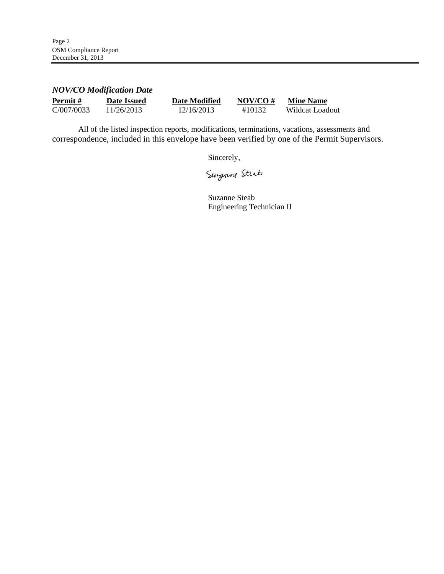# *NOV/CO Modification Date*

| Permit#    | Date Issued | <b>Date Modified</b> | NOV/CO $#$ | <b>Mine Name</b> |
|------------|-------------|----------------------|------------|------------------|
| C/007/0033 | 11/26/2013  | 12/16/2013           | #10132     | Wildcat Loadout  |

All of the listed inspection reports, modifications, terminations, vacations, assessments and correspondence, included in this envelope have been verified by one of the Permit Supervisors.

Sincerely,

Surgenne Steat

Suzanne Steab Engineering Technician II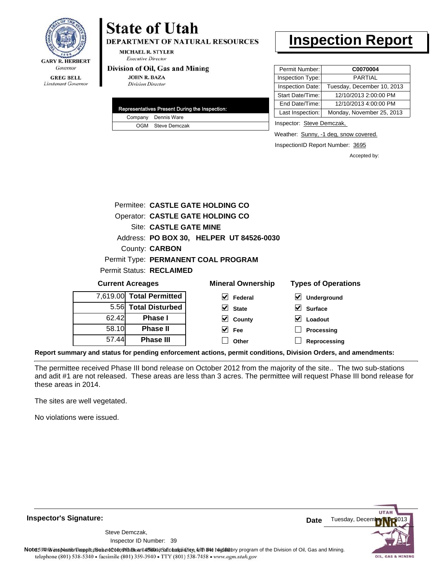

#### **GREG BELL** Lieutenant Governor

# **State of Utah**

**DEPARTMENT OF NATURAL RESOURCES** 

**MICHAEL R. STYLER Executive Director** 

#### Division of Oil, Gas and Mining

**JOHN R. BAZA Division Director** 

| Representatives Present During the Inspection: |
|------------------------------------------------|
| Company Dennis Ware                            |
| OGM Steve Demczak                              |

# **Inspection Report**

| Permit Number:   | C0070004                   |
|------------------|----------------------------|
| Inspection Type: | PARTIAL                    |
| Inspection Date: | Tuesday, December 10, 2013 |
| Start Date/Time: | 12/10/2013 2:00:00 PM      |
| End Date/Time:   | 12/10/2013 4:00:00 PM      |
| Last Inspection: | Monday, November 25, 2013  |
|                  |                            |

Inspector: Steve Demczak,

Weather: Sunny, -1 deg, snow covered.

InspectionID Report Number: 3695

Accepted by:

|                                 | Site: CASTLE GATE MINE |                                          |                            |
|---------------------------------|------------------------|------------------------------------------|----------------------------|
|                                 |                        | Address: PO BOX 30, HELPER UT 84526-0030 |                            |
|                                 | County: CARBON         |                                          |                            |
|                                 |                        | Permit Type: PERMANENT COAL PROGRAM      |                            |
| <b>Permit Status: RECLAIMED</b> |                        |                                          |                            |
| <b>Current Acreages</b>         |                        | <b>Mineral Ownership</b>                 | <b>Types of Operations</b> |

|       | <b>UUITEIIL AUTEQUES</b> | <b>INITICIAL OWLICI SITIN</b> | <b>I YUGS OF OPERATIONS</b>         |
|-------|--------------------------|-------------------------------|-------------------------------------|
|       | 7,619.00 Total Permitted | V<br>Federal                  | $\blacktriangledown$<br>Underground |
|       | 5.56 Total Disturbed     | $\overline{\mathsf{v}}$ State | M<br><b>Surface</b>                 |
| 62.42 | <b>Phase I</b>           | $\vee$ County                 | V<br>Loadout                        |
| 58.10 | <b>Phase II</b>          | $\vee$ Fee                    | Processing                          |
| 57.44 | <b>Phase III</b>         | Other                         | Reprocessing                        |

**Report summary and status for pending enforcement actions, permit conditions, Division Orders, and amendments:**

The permittee received Phase III bond release on October 2012 from the majority of the site.. The two sub-stations and adit #1 are not released. These areas are less than 3 acres. The permittee will request Phase III bond release for these areas in 2014.

The sites are well vegetated.

No violations were issued.

**Inspector's Signature:**

39 Inspector ID Number:Steve Demczak,

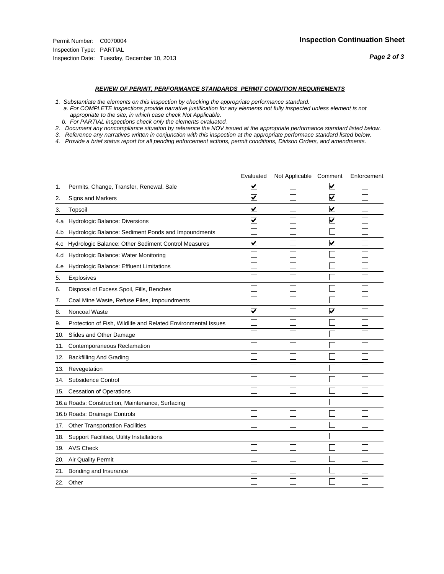#### *REVIEW OF PERMIT, PERFORMANCE STANDARDS PERMIT CONDITION REQUIREMENTS*

*1. Substantiate the elements on this inspection by checking the appropriate performance standard.*

 *a. For COMPLETE inspections provide narrative justification for any elements not fully inspected unless element is not appropriate to the site, in which case check Not Applicable.*

 *b. For PARTIAL inspections check only the elements evaluated.*

*2. Document any noncompliance situation by reference the NOV issued at the appropriate performance standard listed below.*

*3. Reference any narratives written in conjunction with this inspection at the appropriate performace standard listed below.*

|     |                                                               | Evaluated               | Not Applicable Comment |                         | Enforcement |
|-----|---------------------------------------------------------------|-------------------------|------------------------|-------------------------|-------------|
| 1.  | Permits, Change, Transfer, Renewal, Sale                      | ⊻                       |                        | V                       |             |
| 2.  | Signs and Markers                                             | $\overline{\mathbf{v}}$ |                        | $\blacktriangledown$    |             |
| 3.  | Topsoil                                                       | $\overline{\mathbf{v}}$ |                        | $\overline{\mathbf{v}}$ |             |
| 4.a | Hydrologic Balance: Diversions                                | $\blacktriangledown$    |                        | $\blacktriangledown$    |             |
| 4.b | Hydrologic Balance: Sediment Ponds and Impoundments           |                         |                        |                         |             |
| 4.C | Hydrologic Balance: Other Sediment Control Measures           | $\overline{\mathbf{v}}$ |                        | $\blacktriangledown$    |             |
| 4.d | Hydrologic Balance: Water Monitoring                          |                         |                        |                         |             |
| 4.e | Hydrologic Balance: Effluent Limitations                      |                         |                        |                         |             |
| 5.  | <b>Explosives</b>                                             |                         |                        |                         |             |
| 6.  | Disposal of Excess Spoil, Fills, Benches                      |                         |                        |                         |             |
| 7.  | Coal Mine Waste, Refuse Piles, Impoundments                   |                         |                        |                         |             |
| 8.  | Noncoal Waste                                                 | $\overline{\mathsf{v}}$ |                        | $\overline{\mathbf{v}}$ |             |
| 9.  | Protection of Fish, Wildlife and Related Environmental Issues |                         |                        |                         |             |
| 10. | Slides and Other Damage                                       |                         |                        |                         |             |
| 11. | Contemporaneous Reclamation                                   |                         |                        |                         |             |
| 12. | <b>Backfilling And Grading</b>                                |                         |                        |                         |             |
| 13. | Revegetation                                                  |                         |                        |                         |             |
| 14. | Subsidence Control                                            |                         |                        |                         |             |
|     | 15. Cessation of Operations                                   |                         |                        |                         |             |
|     | 16.a Roads: Construction, Maintenance, Surfacing              |                         |                        |                         |             |
|     | 16.b Roads: Drainage Controls                                 |                         |                        |                         |             |
| 17. | <b>Other Transportation Facilities</b>                        |                         |                        |                         |             |
| 18. | Support Facilities, Utility Installations                     |                         |                        |                         |             |
| 19. | <b>AVS Check</b>                                              |                         |                        |                         |             |
| 20. | Air Quality Permit                                            |                         |                        |                         |             |
| 21. | Bonding and Insurance                                         |                         |                        |                         |             |
|     | 22. Other                                                     |                         |                        |                         |             |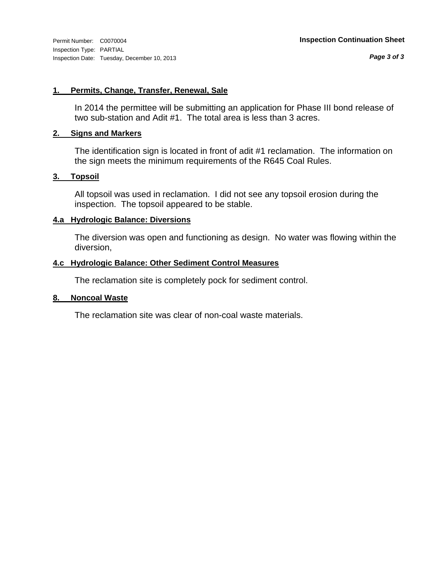#### **1. Permits, Change, Transfer, Renewal, Sale**

In 2014 the permittee will be submitting an application for Phase III bond release of two sub-station and Adit #1. The total area is less than 3 acres.

#### **2. Signs and Markers**

The identification sign is located in front of adit #1 reclamation. The information on the sign meets the minimum requirements of the R645 Coal Rules.

## **3. Topsoil**

All topsoil was used in reclamation. I did not see any topsoil erosion during the inspection. The topsoil appeared to be stable.

## **4.a Hydrologic Balance: Diversions**

The diversion was open and functioning as design. No water was flowing within the diversion,

## **4.c Hydrologic Balance: Other Sediment Control Measures**

The reclamation site is completely pock for sediment control.

#### **8. Noncoal Waste**

The reclamation site was clear of non-coal waste materials.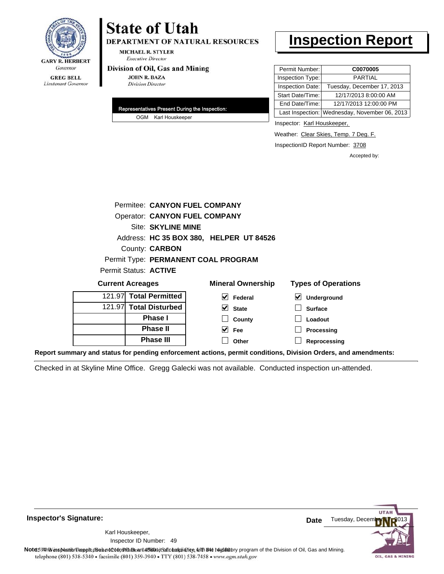

DEPARTMENT OF NATURAL RESOURCES

**MICHAEL R. STYLER Executive Director** 

#### Division of Oil, Gas and Mining

**JOHN R. BAZA Division Director** 

| Representatives Present During the Inspection: |  |
|------------------------------------------------|--|
| OGM Karl Houskeeper                            |  |

# **Inspection Report**

| Permit Number:   | C0070005                                      |
|------------------|-----------------------------------------------|
| Inspection Type: | <b>PARTIAL</b>                                |
| Inspection Date: | Tuesday, December 17, 2013                    |
| Start Date/Time: | 12/17/2013 8:00:00 AM                         |
| End Date/Time:   | 12/17/2013 12:00:00 PM                        |
|                  | Last Inspection: Wednesday, November 06, 2013 |

Inspector: Karl Houskeeper,

Weather: Clear Skies, Temp. 7 Deg. F.

InspectionID Report Number: 3708

Accepted by:

|                                     |                                         | Permitee: CANYON FUEL COMPANY        |                            |  |
|-------------------------------------|-----------------------------------------|--------------------------------------|----------------------------|--|
|                                     |                                         | <b>Operator: CANYON FUEL COMPANY</b> |                            |  |
|                                     | Site: SKYLINE MINE                      |                                      |                            |  |
|                                     | Address: HC 35 BOX 380, HELPER UT 84526 |                                      |                            |  |
| County: <b>CARBON</b>               |                                         |                                      |                            |  |
| Permit Type: PERMANENT COAL PROGRAM |                                         |                                      |                            |  |
| Permit Status: ACTIVE               |                                         |                                      |                            |  |
| <b>Current Acreages</b>             |                                         | <b>Mineral Ownership</b>             | <b>Types of Operations</b> |  |
| 121.97 Total Permitted              |                                         | M<br><b>Federal</b>                  | <b>Underground</b>         |  |

**State County Fee Other**

| 121.97 Total Permitted |
|------------------------|
| 121.97 Total Disturbed |
| <b>Phase I</b>         |
| <b>Phase II</b>        |
| <b>Phase III</b>       |

| $\triangleright$ Underground |
|------------------------------|
| $\Box$ Surface               |
| $\Box$ Loadout               |
| $\Box$ Processing            |

**Reprocessing**

**Report summary and status for pending enforcement actions, permit conditions, Division Orders, and amendments:**

Checked in at Skyline Mine Office. Gregg Galecki was not available. Conducted inspection un-attended.



**Inspector's Signature:**

49 Inspector ID Number:Karl Houskeeper,

Note: This inspection report does not constitute and affidavitor compliance with the regulatory program of the Division of Oil, Gas and Mining. telephone (801) 538-5340 · facsimile (801) 359-3940 · TTY (801) 538-7458 · www.ogm.utah.gov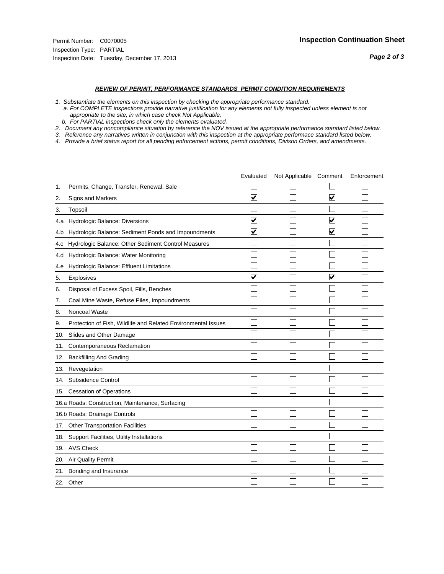#### *REVIEW OF PERMIT, PERFORMANCE STANDARDS PERMIT CONDITION REQUIREMENTS*

*1. Substantiate the elements on this inspection by checking the appropriate performance standard.*

 *a. For COMPLETE inspections provide narrative justification for any elements not fully inspected unless element is not appropriate to the site, in which case check Not Applicable.*

 *b. For PARTIAL inspections check only the elements evaluated.*

*2. Document any noncompliance situation by reference the NOV issued at the appropriate performance standard listed below.*

*3. Reference any narratives written in conjunction with this inspection at the appropriate performace standard listed below.*

|     |                                                               | Evaluated               | Not Applicable Comment |                         | Enforcement |
|-----|---------------------------------------------------------------|-------------------------|------------------------|-------------------------|-------------|
| 1.  | Permits, Change, Transfer, Renewal, Sale                      |                         |                        |                         |             |
| 2.  | Signs and Markers                                             | $\overline{\mathbf{v}}$ |                        | $\overline{\mathbf{v}}$ |             |
| 3.  | Topsoil                                                       |                         |                        |                         |             |
| 4.a | Hydrologic Balance: Diversions                                | $\overline{\mathbf{v}}$ |                        | $\blacktriangledown$    |             |
| 4.b | Hydrologic Balance: Sediment Ponds and Impoundments           | $\blacktriangledown$    |                        | ⊻                       |             |
| 4.C | Hydrologic Balance: Other Sediment Control Measures           |                         |                        |                         |             |
| 4.d | Hydrologic Balance: Water Monitoring                          |                         |                        |                         |             |
| 4.e | Hydrologic Balance: Effluent Limitations                      |                         |                        |                         |             |
| 5.  | <b>Explosives</b>                                             | $\overline{\mathbf{v}}$ |                        | $\blacktriangledown$    |             |
| 6.  | Disposal of Excess Spoil, Fills, Benches                      |                         |                        |                         |             |
| 7.  | Coal Mine Waste, Refuse Piles, Impoundments                   |                         |                        |                         |             |
| 8.  | Noncoal Waste                                                 |                         |                        |                         |             |
| 9.  | Protection of Fish, Wildlife and Related Environmental Issues |                         |                        |                         |             |
| 10. | Slides and Other Damage                                       |                         |                        |                         |             |
| 11. | Contemporaneous Reclamation                                   |                         |                        |                         |             |
| 12. | <b>Backfilling And Grading</b>                                |                         |                        |                         |             |
| 13. | Revegetation                                                  |                         |                        |                         |             |
| 14. | Subsidence Control                                            |                         |                        |                         |             |
|     | 15. Cessation of Operations                                   |                         |                        |                         |             |
|     | 16.a Roads: Construction, Maintenance, Surfacing              |                         |                        |                         |             |
|     | 16.b Roads: Drainage Controls                                 |                         |                        |                         |             |
| 17. | <b>Other Transportation Facilities</b>                        |                         |                        |                         |             |
| 18. | Support Facilities, Utility Installations                     |                         |                        |                         |             |
| 19. | <b>AVS Check</b>                                              |                         |                        |                         |             |
| 20. | Air Quality Permit                                            |                         |                        |                         |             |
| 21. | Bonding and Insurance                                         |                         |                        |                         |             |
|     | 22. Other                                                     |                         |                        |                         |             |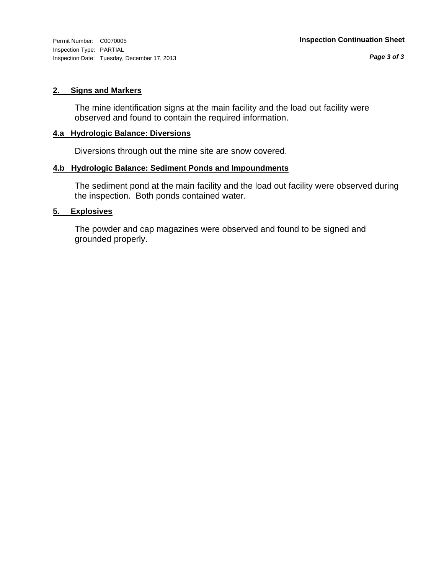Inspection Type: PARTIAL Inspection Date: Tuesday, December 17, 2013

#### **2. Signs and Markers**

The mine identification signs at the main facility and the load out facility were observed and found to contain the required information.

#### **4.a Hydrologic Balance: Diversions**

Diversions through out the mine site are snow covered.

## **4.b Hydrologic Balance: Sediment Ponds and Impoundments**

The sediment pond at the main facility and the load out facility were observed during the inspection. Both ponds contained water.

## **5. Explosives**

The powder and cap magazines were observed and found to be signed and grounded properly.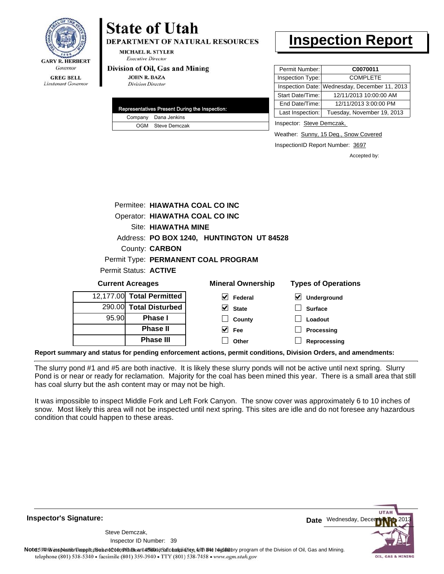

**DEPARTMENT OF NATURAL RESOURCES** 

**MICHAEL R. STYLER Executive Director** 

#### Division of Oil, Gas and Mining

**Phase II Phase III**

**JOHN R. BAZA Division Director** 

| Representatives Present During the Inspection: |                      |  |  |  |
|------------------------------------------------|----------------------|--|--|--|
|                                                | Company Dana Jenkins |  |  |  |
|                                                | OGM Steve Demczak    |  |  |  |

# **Inspection Report**

| Permit Number:   | C0070011                                      |
|------------------|-----------------------------------------------|
| Inspection Type: | <b>COMPLETE</b>                               |
|                  | Inspection Date: Wednesday, December 11, 2013 |
| Start Date/Time: | 12/11/2013 10:00:00 AM                        |
| End Date/Time:   | 12/11/2013 3:00:00 PM                         |
| Last Inspection: | Tuesday, November 19, 2013                    |

Inspector: Steve Demczak,

Weather: Sunny, 15 Deg., Snow Covered

InspectionID Report Number: 3697

**Processing Reprocessing** Accepted by:

|                                | Permitee: HIAWATHA COAL CO INC |                                           |                            |  |
|--------------------------------|--------------------------------|-------------------------------------------|----------------------------|--|
| Operator: HIAWATHA COAL CO INC |                                |                                           |                            |  |
|                                | Site: HIAWATHA MINE            |                                           |                            |  |
|                                |                                | Address: PO BOX 1240, HUNTINGTON UT 84528 |                            |  |
|                                | County: <b>CARBON</b>          |                                           |                            |  |
|                                |                                | Permit Type: PERMANENT COAL PROGRAM       |                            |  |
|                                | Permit Status: ACTIVE          |                                           |                            |  |
|                                | <b>Current Acreages</b>        | <b>Mineral Ownership</b>                  | <b>Types of Operations</b> |  |
|                                | 12,177.00 Total Permitted      | V<br>Federal                              | Underground                |  |
|                                | 290.00 Total Disturbed         | M<br><b>State</b>                         | <b>Surface</b>             |  |
| 95.90                          | <b>Phase I</b>                 | County                                    | Loadout                    |  |

**Report summary and status for pending enforcement actions, permit conditions, Division Orders, and amendments:**

The slurry pond #1 and #5 are both inactive. It is likely these slurry ponds will not be active until next spring. Slurry Pond is or near or ready for reclamation. Majority for the coal has been mined this year. There is a small area that still has coal slurry but the ash content may or may not be high.

**Fee Other**

It was impossible to inspect Middle Fork and Left Fork Canyon. The snow cover was approximately 6 to 10 inches of snow. Most likely this area will not be inspected until next spring. This sites are idle and do not foresee any hazardous condition that could happen to these areas.

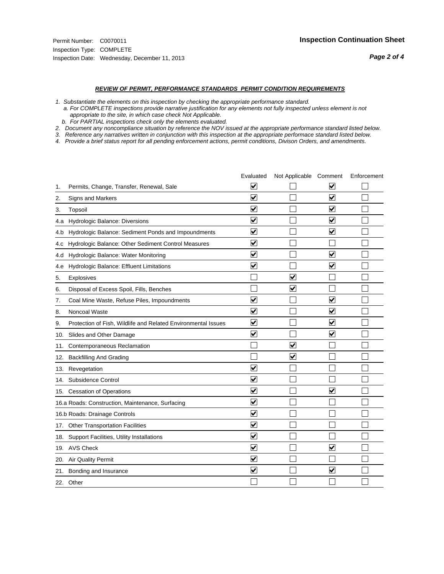#### *REVIEW OF PERMIT, PERFORMANCE STANDARDS PERMIT CONDITION REQUIREMENTS*

*1. Substantiate the elements on this inspection by checking the appropriate performance standard.*

 *a. For COMPLETE inspections provide narrative justification for any elements not fully inspected unless element is not appropriate to the site, in which case check Not Applicable.*

 *b. For PARTIAL inspections check only the elements evaluated.*

*2. Document any noncompliance situation by reference the NOV issued at the appropriate performance standard listed below.*

*3. Reference any narratives written in conjunction with this inspection at the appropriate performace standard listed below.*

|     |                                                               | Evaluated               | Not Applicable Comment  |                         | Enforcement |
|-----|---------------------------------------------------------------|-------------------------|-------------------------|-------------------------|-------------|
| 1.  | Permits, Change, Transfer, Renewal, Sale                      | ⊻                       |                         | V                       |             |
| 2.  | Signs and Markers                                             | $\overline{\mathbf{v}}$ |                         | $\blacktriangledown$    |             |
| 3.  | Topsoil                                                       | $\overline{\mathbf{v}}$ |                         | $\overline{\mathbf{v}}$ |             |
| 4.a | <b>Hydrologic Balance: Diversions</b>                         | $\overline{\mathsf{v}}$ |                         | $\blacktriangledown$    |             |
| 4.b | Hydrologic Balance: Sediment Ponds and Impoundments           | $\blacktriangledown$    |                         | $\blacktriangledown$    |             |
| 4.C | Hydrologic Balance: Other Sediment Control Measures           | $\checkmark$            |                         |                         |             |
| 4.d | Hydrologic Balance: Water Monitoring                          | $\overline{\mathbf{v}}$ |                         | $\blacktriangledown$    |             |
| 4.e | Hydrologic Balance: Effluent Limitations                      | $\overline{\mathbf{v}}$ |                         | $\blacktriangledown$    |             |
| 5.  | <b>Explosives</b>                                             |                         | $\overline{\mathbf{v}}$ |                         |             |
| 6.  | Disposal of Excess Spoil, Fills, Benches                      |                         | $\blacktriangledown$    |                         |             |
| 7.  | Coal Mine Waste, Refuse Piles, Impoundments                   | $\overline{\mathbf{v}}$ |                         | $\overline{\mathbf{v}}$ |             |
| 8.  | Noncoal Waste                                                 | $\overline{\mathbf{v}}$ |                         | $\blacktriangledown$    |             |
| 9.  | Protection of Fish, Wildlife and Related Environmental Issues | $\blacktriangledown$    |                         | $\blacktriangledown$    |             |
| 10. | Slides and Other Damage                                       | $\overline{\mathsf{v}}$ |                         | $\blacktriangledown$    |             |
| 11. | Contemporaneous Reclamation                                   |                         | $\blacktriangledown$    |                         |             |
| 12. | <b>Backfilling And Grading</b>                                |                         | $\blacktriangledown$    |                         |             |
| 13. | Revegetation                                                  | $\overline{\mathbf{v}}$ |                         |                         |             |
| 14. | Subsidence Control                                            | $\overline{\mathbf{v}}$ |                         |                         |             |
|     | 15. Cessation of Operations                                   | $\overline{\mathbf{v}}$ |                         | ☑                       |             |
|     | 16.a Roads: Construction, Maintenance, Surfacing              | $\overline{\mathsf{v}}$ |                         |                         |             |
|     | 16.b Roads: Drainage Controls                                 | $\blacktriangledown$    |                         |                         |             |
| 17. | <b>Other Transportation Facilities</b>                        | $\overline{\mathbf{v}}$ |                         |                         |             |
| 18. | Support Facilities, Utility Installations                     | $\overline{\mathbf{v}}$ |                         |                         |             |
|     | 19. AVS Check                                                 | $\overline{\mathbf{v}}$ |                         | $\blacktriangledown$    |             |
| 20. | <b>Air Quality Permit</b>                                     | $\checkmark$            |                         |                         |             |
| 21. | Bonding and Insurance                                         | $\overline{\mathbf{v}}$ |                         | $\blacktriangledown$    |             |
|     | 22. Other                                                     |                         |                         |                         |             |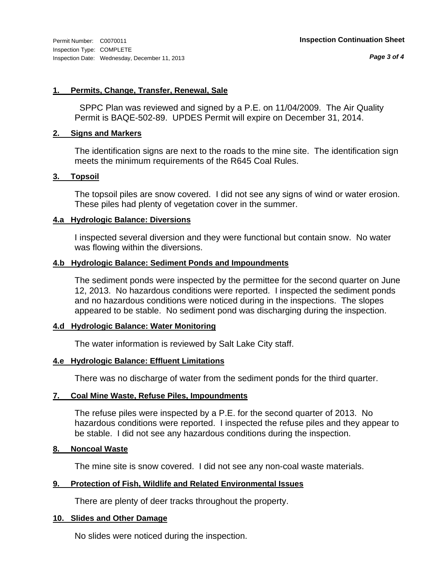*Page 3 of 4*

#### **1. Permits, Change, Transfer, Renewal, Sale**

 SPPC Plan was reviewed and signed by a P.E. on 11/04/2009. The Air Quality Permit is BAQE-502-89. UPDES Permit will expire on December 31, 2014.

#### **2. Signs and Markers**

The identification signs are next to the roads to the mine site. The identification sign meets the minimum requirements of the R645 Coal Rules.

#### **3. Topsoil**

The topsoil piles are snow covered. I did not see any signs of wind or water erosion. These piles had plenty of vegetation cover in the summer.

#### **4.a Hydrologic Balance: Diversions**

I inspected several diversion and they were functional but contain snow. No water was flowing within the diversions.

#### **4.b Hydrologic Balance: Sediment Ponds and Impoundments**

The sediment ponds were inspected by the permittee for the second quarter on June 12, 2013. No hazardous conditions were reported. I inspected the sediment ponds and no hazardous conditions were noticed during in the inspections. The slopes appeared to be stable. No sediment pond was discharging during the inspection.

#### **4.d Hydrologic Balance: Water Monitoring**

The water information is reviewed by Salt Lake City staff.

#### **4.e Hydrologic Balance: Effluent Limitations**

There was no discharge of water from the sediment ponds for the third quarter.

#### **7. Coal Mine Waste, Refuse Piles, Impoundments**

The refuse piles were inspected by a P.E. for the second quarter of 2013. No hazardous conditions were reported. I inspected the refuse piles and they appear to be stable. I did not see any hazardous conditions during the inspection.

#### **8. Noncoal Waste**

The mine site is snow covered. I did not see any non-coal waste materials.

#### **9. Protection of Fish, Wildlife and Related Environmental Issues**

There are plenty of deer tracks throughout the property.

#### **10. Slides and Other Damage**

No slides were noticed during the inspection.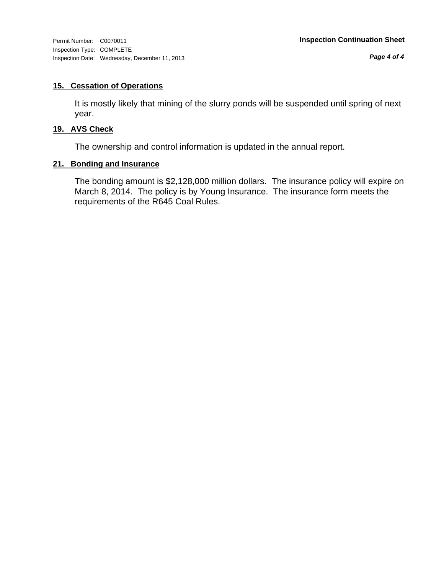Inspection Type: COMPLETE Inspection Date: Wednesday, December 11, 2013

*Page 4 of 4*

## **15. Cessation of Operations**

It is mostly likely that mining of the slurry ponds will be suspended until spring of next year.

## **19. AVS Check**

The ownership and control information is updated in the annual report.

## **21. Bonding and Insurance**

The bonding amount is \$2,128,000 million dollars. The insurance policy will expire on March 8, 2014. The policy is by Young Insurance. The insurance form meets the requirements of the R645 Coal Rules.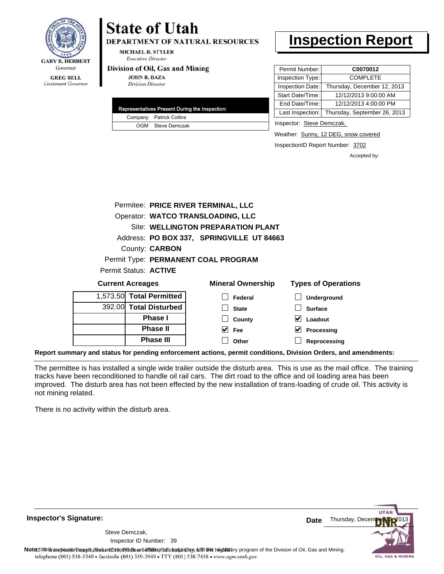

**DEPARTMENT OF NATURAL RESOURCES** 

**MICHAEL R. STYLER Executive Director** 

#### Division of Oil, Gas and Mining

**JOHN R. BAZA Division Director** 

|  | Representatives Present During the Inspection: |
|--|------------------------------------------------|
|  | Company Patrick Collins                        |
|  | OGM Steve Demczak                              |

# **Inspection Report**

| Permit Number:   | C0070012                     |
|------------------|------------------------------|
| Inspection Type: | <b>COMPLETE</b>              |
| Inspection Date: | Thursday, December 12, 2013  |
| Start Date/Time: | 12/12/2013 9:00:00 AM        |
| End Date/Time:   | 12/12/2013 4:00:00 PM        |
| Last Inspection: | Thursday, September 26, 2013 |
|                  |                              |

Inspector: Steve Demczak,

**Loadout Processing Reprocessing**

Weather: Sunny, 12 DEG, snow covered

InspectionID Report Number: 3702

Accepted by:

|                         |                          | Permitee: PRICE RIVER TERMINAL, LLC       |                            |
|-------------------------|--------------------------|-------------------------------------------|----------------------------|
|                         |                          | Operator: WATCO TRANSLOADING, LLC         |                            |
|                         |                          | Site: WELLINGTON PREPARATION PLANT        |                            |
|                         |                          | Address: PO BOX 337, SPRINGVILLE UT 84663 |                            |
|                         | County: <b>CARBON</b>    |                                           |                            |
|                         |                          | Permit Type: PERMANENT COAL PROGRAM       |                            |
|                         | Permit Status: ACTIVE    |                                           |                            |
| <b>Current Acreages</b> |                          | <b>Mineral Ownership</b>                  | <b>Types of Operations</b> |
|                         | 1,573.50 Total Permitted | Federal                                   | <b>Underground</b>         |
|                         | 392.00 Total Disturbed   | <b>State</b>                              | <b>Surface</b>             |

**County Fee Other**

392.00 **Total Disturbed Phase I Phase II Phase III**

**Report summary and status for pending enforcement actions, permit conditions, Division Orders, and amendments:**

The permittee is has installed a single wide trailer outside the disturb area. This is use as the mail office. The training tracks have been reconditioned to handle oil rail cars. The dirt road to the office and oil loading area has been improved. The disturb area has not been effected by the new installation of trans-loading of crude oil. This activity is not mining related.

 $\blacktriangledown$  $\Box$ 

There is no activity within the disturb area.



39 Inspector ID Number:Steve Demczak,

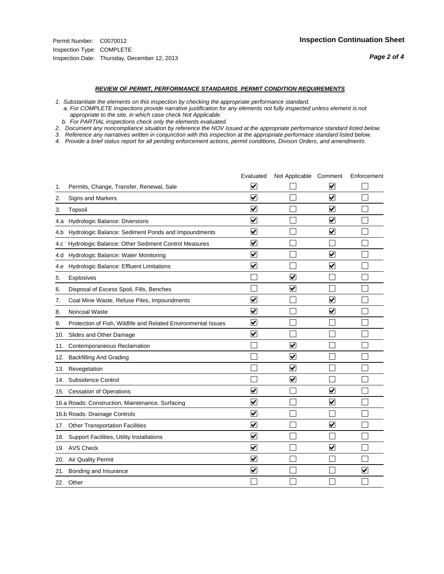#### *REVIEW OF PERMIT, PERFORMANCE STANDARDS PERMIT CONDITION REQUIREMENTS*

*1. Substantiate the elements on this inspection by checking the appropriate performance standard.*

 *a. For COMPLETE inspections provide narrative justification for any elements not fully inspected unless element is not appropriate to the site, in which case check Not Applicable.*

 *b. For PARTIAL inspections check only the elements evaluated.*

*2. Document any noncompliance situation by reference the NOV issued at the appropriate performance standard listed below.*

*3. Reference any narratives written in conjunction with this inspection at the appropriate performace standard listed below.*

|     |                                                               | Evaluated                       | Not Applicable Comment  |                         | Enforcement             |
|-----|---------------------------------------------------------------|---------------------------------|-------------------------|-------------------------|-------------------------|
| 1.  | Permits, Change, Transfer, Renewal, Sale                      | ⊻                               |                         | V                       |                         |
| 2.  | <b>Signs and Markers</b>                                      | $\overline{\mathbf{v}}$         |                         | $\blacktriangledown$    |                         |
| 3.  | Topsoil                                                       | $\overline{\mathbf{v}}$         |                         | $\overline{\mathbf{v}}$ |                         |
| 4.a | Hydrologic Balance: Diversions                                | ⊽                               |                         | $\overline{\mathbf{v}}$ |                         |
| 4.b | Hydrologic Balance: Sediment Ponds and Impoundments           | $\blacktriangledown$            |                         | ⊻                       |                         |
| 4.C | Hydrologic Balance: Other Sediment Control Measures           | $\blacktriangledown$            |                         |                         |                         |
| 4.d | Hydrologic Balance: Water Monitoring                          | ☑                               |                         | $\blacktriangledown$    |                         |
| 4.e | Hydrologic Balance: Effluent Limitations                      | ✔                               |                         | $\overline{\mathbf{v}}$ |                         |
| 5.  | Explosives                                                    |                                 | ⊽                       |                         |                         |
| 6.  | Disposal of Excess Spoil, Fills, Benches                      |                                 | $\overline{\mathbf{v}}$ |                         |                         |
| 7.  | Coal Mine Waste, Refuse Piles, Impoundments                   | $\overline{\mathbf{v}}$         |                         | $\overline{\mathbf{v}}$ |                         |
| 8.  | Noncoal Waste                                                 | $\overline{\mathbf{v}}$         |                         | ☑                       |                         |
| 9.  | Protection of Fish, Wildlife and Related Environmental Issues | $\blacktriangledown$            |                         |                         |                         |
| 10. | Slides and Other Damage                                       | ⊻                               |                         |                         |                         |
| 11. | Contemporaneous Reclamation                                   |                                 | ⊽                       |                         |                         |
| 12. | <b>Backfilling And Grading</b>                                |                                 | $\overline{\mathbf{v}}$ |                         |                         |
| 13. | Revegetation                                                  |                                 | $\overline{\mathbf{v}}$ |                         |                         |
| 14. | Subsidence Control                                            |                                 | $\overline{\mathbf{v}}$ |                         |                         |
|     | 15. Cessation of Operations                                   | $\blacktriangledown$            |                         | $\blacktriangledown$    |                         |
|     | 16.a Roads: Construction, Maintenance, Surfacing              | $\blacktriangledown$            |                         | $\blacktriangledown$    |                         |
|     | 16.b Roads: Drainage Controls                                 | ⊽                               |                         |                         |                         |
|     | 17. Other Transportation Facilities                           | $\overline{\mathbf{v}}$         |                         | $\overline{\mathbf{v}}$ |                         |
| 18. | Support Facilities, Utility Installations                     | $\overline{\mathbf{v}}$         |                         |                         |                         |
|     | 19. AVS Check                                                 | $\overline{\mathsf{v}}$         |                         | ☑                       |                         |
|     | 20. Air Quality Permit                                        | $\blacktriangledown$            |                         |                         |                         |
|     | 21. Bonding and Insurance                                     | $\overline{\blacktriangledown}$ |                         |                         | $\overline{\mathbf{v}}$ |
|     | 22. Other                                                     |                                 |                         |                         |                         |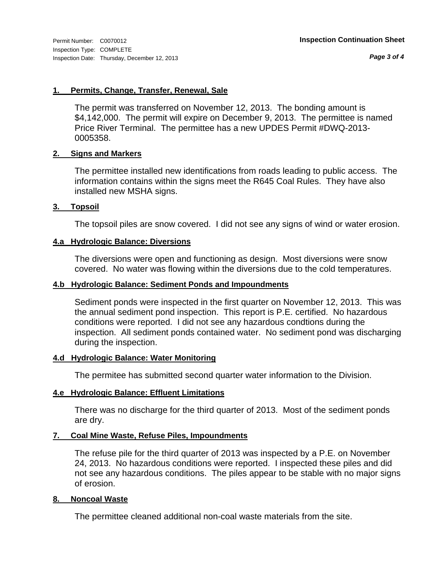*Page 3 of 4*

## **1. Permits, Change, Transfer, Renewal, Sale**

The permit was transferred on November 12, 2013. The bonding amount is \$4,142,000. The permit will expire on December 9, 2013. The permittee is named Price River Terminal. The permittee has a new UPDES Permit #DWQ-2013- 0005358.

## **2. Signs and Markers**

The permittee installed new identifications from roads leading to public access. The information contains within the signs meet the R645 Coal Rules. They have also installed new MSHA signs.

## **3. Topsoil**

The topsoil piles are snow covered. I did not see any signs of wind or water erosion.

# **4.a Hydrologic Balance: Diversions**

The diversions were open and functioning as design. Most diversions were snow covered. No water was flowing within the diversions due to the cold temperatures.

# **4.b Hydrologic Balance: Sediment Ponds and Impoundments**

Sediment ponds were inspected in the first quarter on November 12, 2013. This was the annual sediment pond inspection. This report is P.E. certified. No hazardous conditions were reported. I did not see any hazardous condtions during the inspection. All sediment ponds contained water. No sediment pond was discharging during the inspection.

## **4.d Hydrologic Balance: Water Monitoring**

The permitee has submitted second quarter water information to the Division.

## **4.e Hydrologic Balance: Effluent Limitations**

There was no discharge for the third quarter of 2013. Most of the sediment ponds are dry.

## **7. Coal Mine Waste, Refuse Piles, Impoundments**

The refuse pile for the third quarter of 2013 was inspected by a P.E. on November 24, 2013. No hazardous conditions were reported. I inspected these piles and did not see any hazardous conditions. The piles appear to be stable with no major signs of erosion.

## **8. Noncoal Waste**

The permittee cleaned additional non-coal waste materials from the site.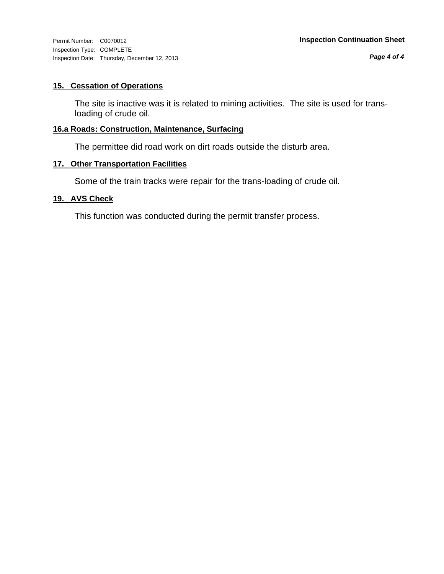Inspection Type: COMPLETE Inspection Date: Thursday, December 12, 2013

## **15. Cessation of Operations**

The site is inactive was it is related to mining activities. The site is used for transloading of crude oil.

## **16.a Roads: Construction, Maintenance, Surfacing**

The permittee did road work on dirt roads outside the disturb area.

## **17. Other Transportation Facilities**

Some of the train tracks were repair for the trans-loading of crude oil.

#### **19. AVS Check**

This function was conducted during the permit transfer process.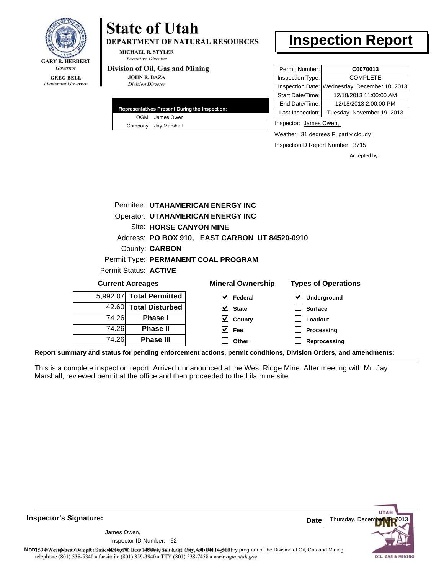

**DEPARTMENT OF NATURAL RESOURCES** 

**MICHAEL R. STYLER Executive Director** 

#### Division of Oil, Gas and Mining

**JOHN R. BAZA Division Director** 

| Representatives Present During the Inspection: |                      |  |  |  |  |
|------------------------------------------------|----------------------|--|--|--|--|
|                                                | OGM James Owen       |  |  |  |  |
|                                                | Company Jay Marshall |  |  |  |  |

# **Inspection Report**

| Permit Number:   | C0070013                                      |
|------------------|-----------------------------------------------|
| Inspection Type: | <b>COMPLETE</b>                               |
|                  | Inspection Date: Wednesday, December 18, 2013 |
| Start Date/Time: | 12/18/2013 11:00:00 AM                        |
| End Date/Time:   | 12/18/2013 2:00:00 PM                         |
| Last Inspection: | Tuesday, November 19, 2013                    |

Inspector: James Owen,

Weather: 31 degrees F, partly cloudy

InspectionID Report Number: 3715

**Processing Reprocessing** Accepted by:

| Permitee: UTAHAMERICAN ENERGY INC        |  |                           |                                     |                                                |                            |
|------------------------------------------|--|---------------------------|-------------------------------------|------------------------------------------------|----------------------------|
| <b>Operator: UTAHAMERICAN ENERGY INC</b> |  |                           |                                     |                                                |                            |
|                                          |  |                           | Site: HORSE CANYON MINE             |                                                |                            |
|                                          |  |                           |                                     | Address: PO BOX 910, EAST CARBON UT 84520-0910 |                            |
| County: <b>CARBON</b>                    |  |                           |                                     |                                                |                            |
|                                          |  |                           | Permit Type: PERMANENT COAL PROGRAM |                                                |                            |
|                                          |  | Permit Status: ACTIVE     |                                     |                                                |                            |
| <b>Current Acreages</b>                  |  |                           |                                     | <b>Mineral Ownership</b>                       | <b>Types of Operations</b> |
|                                          |  | 5.992.07I Total Permitted | M                                   | Federal                                        | $\bm{\vee}$<br>Underground |
|                                          |  | 42.60 Total Disturbed     | V                                   | <b>State</b>                                   | <b>Surface</b>             |
| 74.26                                    |  | <b>Phase I</b>            |                                     | County                                         | Loadout                    |

**Fee Other**

 $\blacktriangledown$ 

**Report summary and status for pending enforcement actions, permit conditions, Division Orders, and amendments:**

This is a complete inspection report. Arrived unnanounced at the West Ridge Mine. After meeting with Mr. Jay Marshall, reviewed permit at the office and then proceeded to the Lila mine site.



**Inspector's Signature:**

62 Inspector ID Number:James Owen,

74.26 74.26

**Phase II Phase III**

Note: This inspection report does not constitute and affidavitor compliance with the regulatory program of the Division of Oil, Gas and Mining. telephone (801) 538-5340 · facsimile (801) 359-3940 · TTY (801) 538-7458 · www.ogm.utah.gov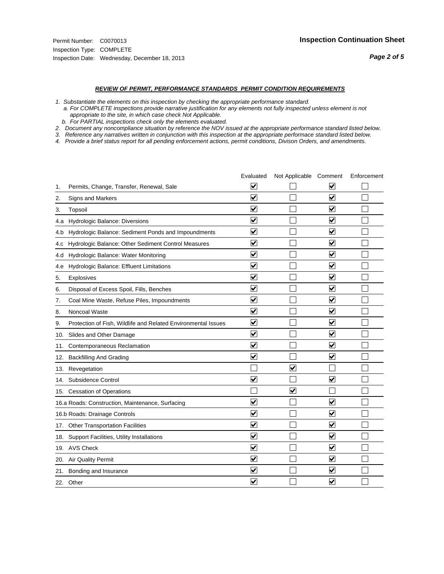#### *REVIEW OF PERMIT, PERFORMANCE STANDARDS PERMIT CONDITION REQUIREMENTS*

*1. Substantiate the elements on this inspection by checking the appropriate performance standard.*

 *a. For COMPLETE inspections provide narrative justification for any elements not fully inspected unless element is not appropriate to the site, in which case check Not Applicable.*

 *b. For PARTIAL inspections check only the elements evaluated.*

*2. Document any noncompliance situation by reference the NOV issued at the appropriate performance standard listed below.*

*3. Reference any narratives written in conjunction with this inspection at the appropriate performace standard listed below.*

|     |                                                               | Evaluated               | Not Applicable Comment  |                                 | Enforcement |
|-----|---------------------------------------------------------------|-------------------------|-------------------------|---------------------------------|-------------|
| 1.  | Permits, Change, Transfer, Renewal, Sale                      | $\overline{\mathsf{v}}$ |                         | $\blacktriangledown$            |             |
| 2.  | Signs and Markers                                             | $\overline{\mathbf{v}}$ |                         | ☑                               |             |
| 3.  | Topsoil                                                       | $\overline{\mathbf{v}}$ |                         | $\blacktriangledown$            |             |
| 4.a | Hydrologic Balance: Diversions                                | ⊽                       |                         | $\blacktriangledown$            |             |
| 4.b | Hydrologic Balance: Sediment Ponds and Impoundments           | $\blacktriangledown$    |                         | ⊻                               |             |
| 4.C | Hydrologic Balance: Other Sediment Control Measures           | $\overline{\mathbf{v}}$ |                         | $\overline{\mathbf{v}}$         |             |
| 4.d | Hydrologic Balance: Water Monitoring                          | $\overline{\mathbf{v}}$ |                         | $\overline{\mathbf{v}}$         |             |
| 4.e | Hydrologic Balance: Effluent Limitations                      | $\overline{\mathbf{v}}$ |                         | $\blacktriangledown$            |             |
| 5.  | <b>Explosives</b>                                             | ⊽                       |                         | ☑                               |             |
| 6.  | Disposal of Excess Spoil, Fills, Benches                      | $\blacktriangledown$    |                         | ⊻                               |             |
| 7.  | Coal Mine Waste, Refuse Piles, Impoundments                   | $\overline{\mathbf{v}}$ |                         | $\overline{\mathbf{v}}$         |             |
| 8.  | Noncoal Waste                                                 | $\overline{\mathbf{v}}$ |                         | $\blacktriangledown$            |             |
| 9.  | Protection of Fish, Wildlife and Related Environmental Issues | $\overline{\mathbf{v}}$ |                         | $\overline{\mathbf{v}}$         |             |
|     | 10. Slides and Other Damage                                   | $\overline{\mathbf{v}}$ |                         | ☑                               |             |
| 11. | Contemporaneous Reclamation                                   | ⊽                       |                         | $\blacktriangledown$            |             |
| 12. | <b>Backfilling And Grading</b>                                | $\overline{\mathbf{v}}$ |                         | $\blacktriangledown$            |             |
| 13. | Revegetation                                                  |                         | $\overline{\mathbf{v}}$ |                                 |             |
| 14. | Subsidence Control                                            | $\overline{\mathbf{v}}$ |                         | $\overline{\mathbf{v}}$         |             |
|     | 15. Cessation of Operations                                   |                         | $\blacktriangledown$    |                                 |             |
|     | 16.a Roads: Construction, Maintenance, Surfacing              | ⊽                       |                         | V                               |             |
|     | 16.b Roads: Drainage Controls                                 | $\overline{\mathbf{v}}$ |                         | $\blacktriangledown$            |             |
|     | 17. Other Transportation Facilities                           | $\overline{\mathbf{v}}$ |                         | $\overline{\mathbf{v}}$         |             |
| 18. | Support Facilities, Utility Installations                     | $\overline{\mathbf{v}}$ |                         | $\overline{\blacktriangledown}$ |             |
|     | 19. AVS Check                                                 | $\overline{\mathbf{v}}$ |                         | $\blacktriangledown$            |             |
| 20. | <b>Air Quality Permit</b>                                     | $\blacktriangledown$    |                         | $\blacktriangledown$            |             |
|     | 21. Bonding and Insurance                                     | $\overline{\mathbf{v}}$ |                         | $\blacktriangledown$            |             |
|     | 22. Other                                                     | $\overline{\mathbf{v}}$ |                         | $\overline{\mathbf{v}}$         |             |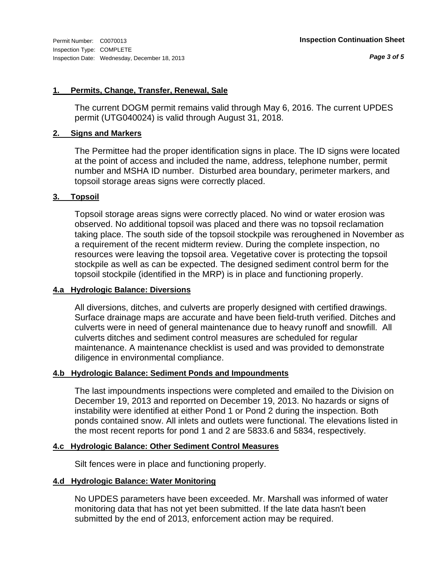#### **1. Permits, Change, Transfer, Renewal, Sale**

The current DOGM permit remains valid through May 6, 2016. The current UPDES permit (UTG040024) is valid through August 31, 2018.

#### **2. Signs and Markers**

The Permittee had the proper identification signs in place. The ID signs were located at the point of access and included the name, address, telephone number, permit number and MSHA ID number. Disturbed area boundary, perimeter markers, and topsoil storage areas signs were correctly placed.

## **3. Topsoil**

Topsoil storage areas signs were correctly placed. No wind or water erosion was observed. No additional topsoil was placed and there was no topsoil reclamation taking place. The south side of the topsoil stockpile was reroughened in November as a requirement of the recent midterm review. During the complete inspection, no resources were leaving the topsoil area. Vegetative cover is protecting the topsoil stockpile as well as can be expected. The designed sediment control berm for the topsoil stockpile (identified in the MRP) is in place and functioning properly.

## **4.a Hydrologic Balance: Diversions**

All diversions, ditches, and culverts are properly designed with certified drawings. Surface drainage maps are accurate and have been field-truth verified. Ditches and culverts were in need of general maintenance due to heavy runoff and snowfill. All culverts ditches and sediment control measures are scheduled for regular maintenance. A maintenance checklist is used and was provided to demonstrate diligence in environmental compliance.

#### **4.b Hydrologic Balance: Sediment Ponds and Impoundments**

The last impoundments inspections were completed and emailed to the Division on December 19, 2013 and reporrted on December 19, 2013. No hazards or signs of instability were identified at either Pond 1 or Pond 2 during the inspection. Both ponds contained snow. All inlets and outlets were functional. The elevations listed in the most recent reports for pond 1 and 2 are 5833.6 and 5834, respectively.

## **4.c Hydrologic Balance: Other Sediment Control Measures**

Silt fences were in place and functioning properly.

#### **4.d Hydrologic Balance: Water Monitoring**

No UPDES parameters have been exceeded. Mr. Marshall was informed of water monitoring data that has not yet been submitted. If the late data hasn't been submitted by the end of 2013, enforcement action may be required.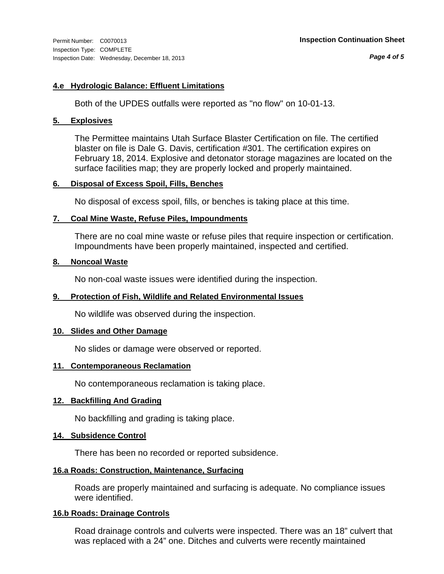*Page 4 of 5*

## **4.e Hydrologic Balance: Effluent Limitations**

Both of the UPDES outfalls were reported as "no flow" on 10-01-13.

## **5. Explosives**

The Permittee maintains Utah Surface Blaster Certification on file. The certified blaster on file is Dale G. Davis, certification #301. The certification expires on February 18, 2014. Explosive and detonator storage magazines are located on the surface facilities map; they are properly locked and properly maintained.

#### **6. Disposal of Excess Spoil, Fills, Benches**

No disposal of excess spoil, fills, or benches is taking place at this time.

## **7. Coal Mine Waste, Refuse Piles, Impoundments**

There are no coal mine waste or refuse piles that require inspection or certification. Impoundments have been properly maintained, inspected and certified.

#### **8. Noncoal Waste**

No non-coal waste issues were identified during the inspection.

## **9. Protection of Fish, Wildlife and Related Environmental Issues**

No wildlife was observed during the inspection.

## **10. Slides and Other Damage**

No slides or damage were observed or reported.

## **11. Contemporaneous Reclamation**

No contemporaneous reclamation is taking place.

## **12. Backfilling And Grading**

No backfilling and grading is taking place.

## **14. Subsidence Control**

There has been no recorded or reported subsidence.

## **16.a Roads: Construction, Maintenance, Surfacing**

Roads are properly maintained and surfacing is adequate. No compliance issues were identified.

## **16.b Roads: Drainage Controls**

Road drainage controls and culverts were inspected. There was an 18" culvert that was replaced with a 24" one. Ditches and culverts were recently maintained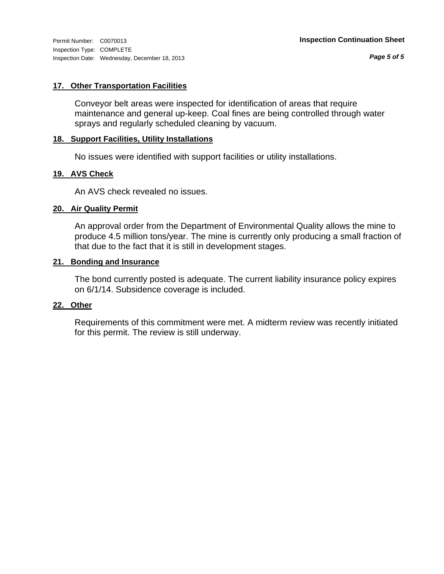# **17. Other Transportation Facilities**

Conveyor belt areas were inspected for identification of areas that require maintenance and general up-keep. Coal fines are being controlled through water sprays and regularly scheduled cleaning by vacuum.

## **18. Support Facilities, Utility Installations**

No issues were identified with support facilities or utility installations.

## **19. AVS Check**

An AVS check revealed no issues.

#### **20. Air Quality Permit**

An approval order from the Department of Environmental Quality allows the mine to produce 4.5 million tons/year. The mine is currently only producing a small fraction of that due to the fact that it is still in development stages.

#### **21. Bonding and Insurance**

The bond currently posted is adequate. The current liability insurance policy expires on 6/1/14. Subsidence coverage is included.

#### **22. Other**

Requirements of this commitment were met. A midterm review was recently initiated for this permit. The review is still underway.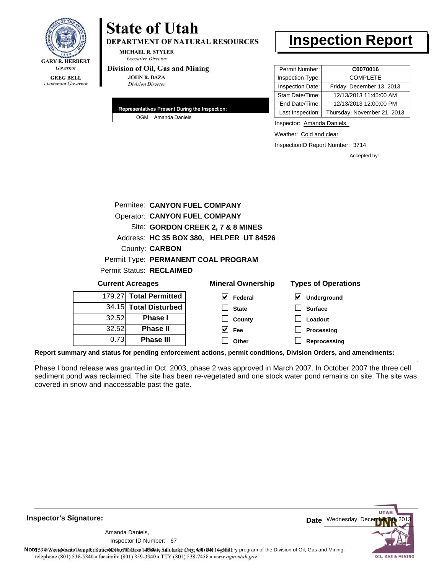

**DEPARTMENT OF NATURAL RESOURCES** 

**MICHAEL R. STYLER Executive Director** 

#### Division of Oil, Gas and Mining

**JOHN R. BAZA Division Director** 

| Representatives Present During the Inspection: |                    |  |
|------------------------------------------------|--------------------|--|
|                                                | OGM Amanda Daniels |  |

# **Inspection Report**

| Permit Number:   | C0070016                    |
|------------------|-----------------------------|
| Inspection Type: | <b>COMPLETE</b>             |
| Inspection Date: | Friday, December 13, 2013   |
| Start Date/Time: | 12/13/2013 11:45:00 AM      |
| End Date/Time:   | 12/13/2013 12:00:00 PM      |
| Last Inspection: | Thursday, November 21, 2013 |

Inspector: Amanda Daniels,

Weather: Cold and clear

InspectionID Report Number: 3714

**Reprocessing**

Accepted by:

|                         | Permitee: CANYON FUEL COMPANY        |                                         |                            |  |  |
|-------------------------|--------------------------------------|-----------------------------------------|----------------------------|--|--|
|                         | <b>Operator: CANYON FUEL COMPANY</b> |                                         |                            |  |  |
|                         |                                      | Site: GORDON CREEK 2, 7 & 8 MINES       |                            |  |  |
|                         |                                      | Address: HC 35 BOX 380, HELPER UT 84526 |                            |  |  |
|                         | County: <b>CARBON</b>                |                                         |                            |  |  |
|                         |                                      | Permit Type: PERMANENT COAL PROGRAM     |                            |  |  |
|                         | Permit Status: RECLAIMED             |                                         |                            |  |  |
| <b>Current Acreages</b> |                                      | <b>Mineral Ownership</b>                | <b>Types of Operations</b> |  |  |
| 179.27                  | <b>Total Permitted</b>               | $\vee$ Federal                          | V<br>Underground           |  |  |
|                         | 34.15 Total Disturbed                | <b>State</b>                            | <b>Surface</b>             |  |  |
| 32.52                   | Phase I                              | County                                  | Loadout                    |  |  |
| 32.52                   | <b>Phase II</b>                      | Fee                                     | Processing                 |  |  |

**Report summary and status for pending enforcement actions, permit conditions, Division Orders, and amendments:**

Phase I bond release was granted in Oct. 2003, phase 2 was approved in March 2007. In October 2007 the three cell sediment pond was reclaimed. The site has been re-vegetated and one stock water pond remains on site. The site was covered in snow and inaccessable past the gate.

**Other**

**Inspector's Signature:**

67 Inspector ID Number:Amanda Daniels,

0.73

**Phase III**



Note59#h% inspection reppt does not constitute an affidavit of compliance, with the regulatory program of the Division of Oil, Gas and Mining. telephone (801) 538-5340 · facsimile (801) 359-3940 · TTY (801) 538-7458 · www.ogm.utah.gov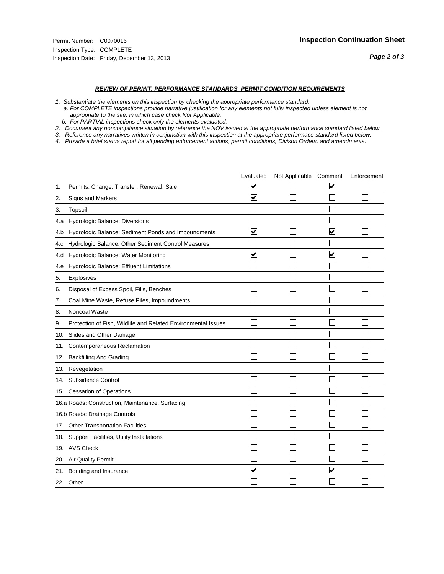#### *REVIEW OF PERMIT, PERFORMANCE STANDARDS PERMIT CONDITION REQUIREMENTS*

*1. Substantiate the elements on this inspection by checking the appropriate performance standard.*

 *a. For COMPLETE inspections provide narrative justification for any elements not fully inspected unless element is not appropriate to the site, in which case check Not Applicable.*

 *b. For PARTIAL inspections check only the elements evaluated.*

*2. Document any noncompliance situation by reference the NOV issued at the appropriate performance standard listed below.*

*3. Reference any narratives written in conjunction with this inspection at the appropriate performace standard listed below.*

|     |                                                               | Evaluated               | Not Applicable Comment |                         | Enforcement |
|-----|---------------------------------------------------------------|-------------------------|------------------------|-------------------------|-------------|
| 1.  | Permits, Change, Transfer, Renewal, Sale                      | $\overline{\mathsf{v}}$ |                        | V                       |             |
| 2.  | Signs and Markers                                             | $\overline{\mathbf{v}}$ |                        |                         |             |
| 3.  | Topsoil                                                       |                         |                        |                         |             |
| 4.a | Hydrologic Balance: Diversions                                |                         |                        |                         |             |
| 4.b | Hydrologic Balance: Sediment Ponds and Impoundments           | V                       |                        | V                       |             |
| 4.c | Hydrologic Balance: Other Sediment Control Measures           |                         |                        |                         |             |
| 4.d | Hydrologic Balance: Water Monitoring                          | $\overline{\mathbf{v}}$ |                        | $\overline{\mathbf{v}}$ |             |
| 4.e | Hydrologic Balance: Effluent Limitations                      |                         |                        |                         |             |
| 5.  | <b>Explosives</b>                                             |                         |                        |                         |             |
| 6.  | Disposal of Excess Spoil, Fills, Benches                      |                         |                        |                         |             |
| 7.  | Coal Mine Waste, Refuse Piles, Impoundments                   |                         |                        |                         |             |
| 8.  | Noncoal Waste                                                 |                         |                        |                         |             |
| 9.  | Protection of Fish, Wildlife and Related Environmental Issues |                         |                        |                         |             |
| 10. | Slides and Other Damage                                       |                         |                        |                         |             |
| 11. | Contemporaneous Reclamation                                   |                         |                        |                         |             |
| 12. | <b>Backfilling And Grading</b>                                |                         |                        |                         |             |
| 13. | Revegetation                                                  |                         |                        |                         |             |
| 14. | Subsidence Control                                            |                         |                        |                         |             |
| 15. | <b>Cessation of Operations</b>                                |                         |                        |                         |             |
|     | 16.a Roads: Construction, Maintenance, Surfacing              |                         |                        |                         |             |
|     | 16.b Roads: Drainage Controls                                 |                         |                        |                         |             |
| 17. | <b>Other Transportation Facilities</b>                        |                         |                        |                         |             |
| 18. | Support Facilities, Utility Installations                     |                         |                        |                         |             |
|     | 19. AVS Check                                                 |                         |                        |                         |             |
| 20. | Air Quality Permit                                            |                         |                        |                         |             |
| 21. | Bonding and Insurance                                         | $\overline{\mathbf{v}}$ |                        | $\blacktriangledown$    |             |
|     | 22. Other                                                     |                         |                        |                         |             |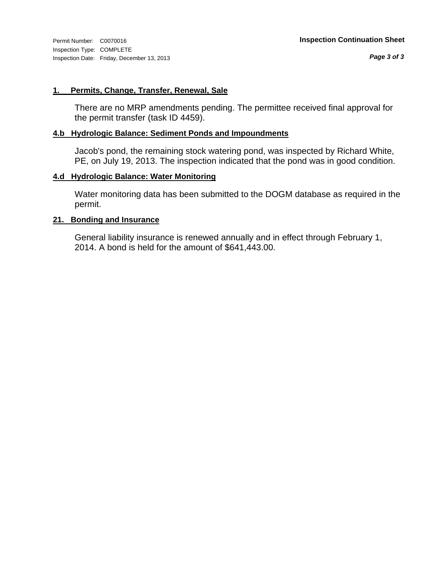#### **1. Permits, Change, Transfer, Renewal, Sale**

There are no MRP amendments pending. The permittee received final approval for the permit transfer (task ID 4459).

#### **4.b Hydrologic Balance: Sediment Ponds and Impoundments**

Jacob's pond, the remaining stock watering pond, was inspected by Richard White, PE, on July 19, 2013. The inspection indicated that the pond was in good condition.

## **4.d Hydrologic Balance: Water Monitoring**

Water monitoring data has been submitted to the DOGM database as required in the permit.

#### **21. Bonding and Insurance**

General liability insurance is renewed annually and in effect through February 1, 2014. A bond is held for the amount of \$641,443.00.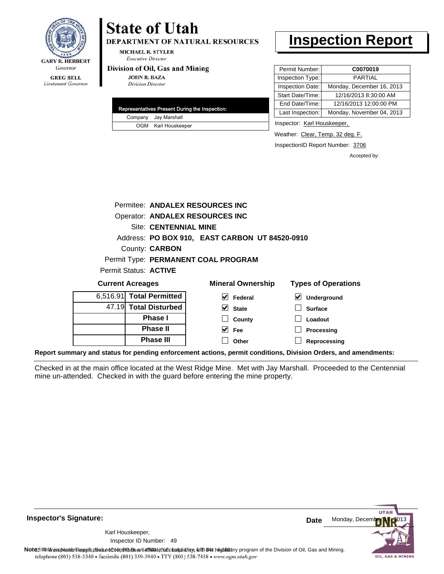

#### **GREG BELL** Lieutenant Governor

# **State of Utah**

**DEPARTMENT OF NATURAL RESOURCES** 

**MICHAEL R. STYLER Executive Director** 

#### Division of Oil, Gas and Mining

**JOHN R. BAZA Division Director** 

| Representatives Present During the Inspection: |
|------------------------------------------------|
| Company Jay Marshall                           |
| OGM Karl Houskeeper                            |

# **Inspection Report**

| Permit Number:   | C0070019                  |
|------------------|---------------------------|
| Inspection Type: | <b>PARTIAL</b>            |
| Inspection Date: | Monday, December 16, 2013 |
| Start Date/Time: | 12/16/2013 8:30:00 AM     |
| End Date/Time:   | 12/16/2013 12:00:00 PM    |
| Last Inspection: | Monday, November 04, 2013 |

Inspector: Karl Houskeeper,

Weather: Clear, Temp. 32 deg. F.

InspectionID Report Number: 3706

Accepted by:

| Permitee: ANDALEX RESOURCES INC     |                                                |                            |
|-------------------------------------|------------------------------------------------|----------------------------|
| Operator: ANDALEX RESOURCES INC     |                                                |                            |
| <b>Site: CENTENNIAL MINE</b>        |                                                |                            |
|                                     | Address: PO BOX 910, EAST CARBON UT 84520-0910 |                            |
| County: <b>CARBON</b>               |                                                |                            |
| Permit Type: PERMANENT COAL PROGRAM |                                                |                            |
| Permit Status: ACTIVE               |                                                |                            |
| <b>Current Acreages</b>             | <b>Mineral Ownership</b>                       | <b>Types of Operations</b> |
| 6,516.91 Total Permitted            | <b>Federal</b>                                 | <b>Underground</b>         |

| 6,516.91 Total Permitted |
|--------------------------|
| 47.19 Total Disturbed    |
| <b>Phase I</b>           |
| <b>Phase II</b>          |
| <b>Phase III</b>         |

| eral Ownership           | <b>Types of Operat</b> |
|--------------------------|------------------------|
| $\triangleright$ Federal | $\vee$ Underground     |
| $\vee$ State             | $\Box$ Surface         |
| $\Box$ County            | $\Box$ Loadout         |
| $\sqrt{ }$ Fee           | $\Box$ Processing      |
| Other                    | Reprocessing           |

**Report summary and status for pending enforcement actions, permit conditions, Division Orders, and amendments:**

Checked in at the main office located at the West Ridge Mine. Met with Jay Marshall. Proceeded to the Centennial mine un-attended. Checked in with the guard before entering the mine property.



**Inspector's Signature:**

49 Inspector ID Number:Karl Houskeeper,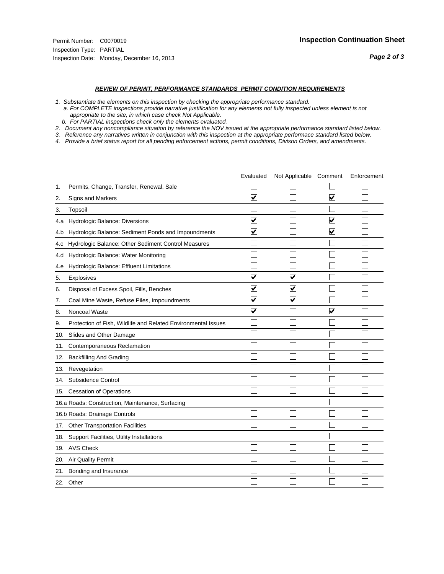#### *REVIEW OF PERMIT, PERFORMANCE STANDARDS PERMIT CONDITION REQUIREMENTS*

*1. Substantiate the elements on this inspection by checking the appropriate performance standard.*

 *a. For COMPLETE inspections provide narrative justification for any elements not fully inspected unless element is not appropriate to the site, in which case check Not Applicable.*

 *b. For PARTIAL inspections check only the elements evaluated.*

*2. Document any noncompliance situation by reference the NOV issued at the appropriate performance standard listed below.*

*3. Reference any narratives written in conjunction with this inspection at the appropriate performace standard listed below.*

|     |                                                               | Evaluated               | Not Applicable Comment  |                         | Enforcement |
|-----|---------------------------------------------------------------|-------------------------|-------------------------|-------------------------|-------------|
| 1.  | Permits, Change, Transfer, Renewal, Sale                      |                         |                         |                         |             |
| 2.  | <b>Signs and Markers</b>                                      | $\overline{\mathbf{v}}$ |                         | $\overline{\mathbf{v}}$ |             |
| 3.  | Topsoil                                                       |                         |                         |                         |             |
| 4.a | Hydrologic Balance: Diversions                                | ⊽                       |                         | $\overline{\mathbf{v}}$ |             |
| 4.b | Hydrologic Balance: Sediment Ponds and Impoundments           | $\blacktriangledown$    |                         | ⊻                       |             |
| 4.C | Hydrologic Balance: Other Sediment Control Measures           |                         |                         |                         |             |
| 4.d | Hydrologic Balance: Water Monitoring                          |                         |                         |                         |             |
| 4.e | Hydrologic Balance: Effluent Limitations                      |                         |                         |                         |             |
| 5.  | Explosives                                                    | $\overline{\mathbf{v}}$ | $\overline{\mathbf{v}}$ |                         |             |
| 6.  | Disposal of Excess Spoil, Fills, Benches                      | ⊽                       | $\blacktriangledown$    |                         |             |
| 7.  | Coal Mine Waste, Refuse Piles, Impoundments                   | $\overline{\mathbf{v}}$ | $\blacktriangledown$    |                         |             |
| 8.  | Noncoal Waste                                                 | $\overline{\mathbf{v}}$ |                         | $\overline{\mathbf{v}}$ |             |
| 9.  | Protection of Fish, Wildlife and Related Environmental Issues |                         |                         |                         |             |
| 10. | Slides and Other Damage                                       |                         |                         |                         |             |
| 11. | Contemporaneous Reclamation                                   |                         |                         |                         |             |
| 12. | <b>Backfilling And Grading</b>                                |                         |                         |                         |             |
| 13. | Revegetation                                                  |                         |                         |                         |             |
| 14. | Subsidence Control                                            |                         |                         |                         |             |
|     | 15. Cessation of Operations                                   |                         |                         |                         |             |
|     | 16.a Roads: Construction, Maintenance, Surfacing              |                         |                         |                         |             |
|     | 16.b Roads: Drainage Controls                                 |                         |                         |                         |             |
| 17. | <b>Other Transportation Facilities</b>                        |                         |                         |                         |             |
| 18. | Support Facilities, Utility Installations                     |                         |                         |                         |             |
|     | 19. AVS Check                                                 |                         |                         |                         |             |
| 20. | Air Quality Permit                                            |                         |                         |                         |             |
| 21. | Bonding and Insurance                                         |                         |                         |                         |             |
|     | 22. Other                                                     |                         |                         |                         |             |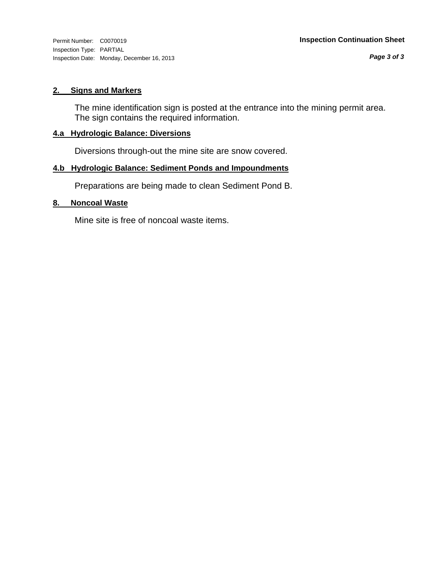Inspection Type: PARTIAL Inspection Date: Monday, December 16, 2013

#### **2. Signs and Markers**

The mine identification sign is posted at the entrance into the mining permit area. The sign contains the required information.

#### **4.a Hydrologic Balance: Diversions**

Diversions through-out the mine site are snow covered.

# **4.b Hydrologic Balance: Sediment Ponds and Impoundments**

Preparations are being made to clean Sediment Pond B.

#### **8. Noncoal Waste**

Mine site is free of noncoal waste items.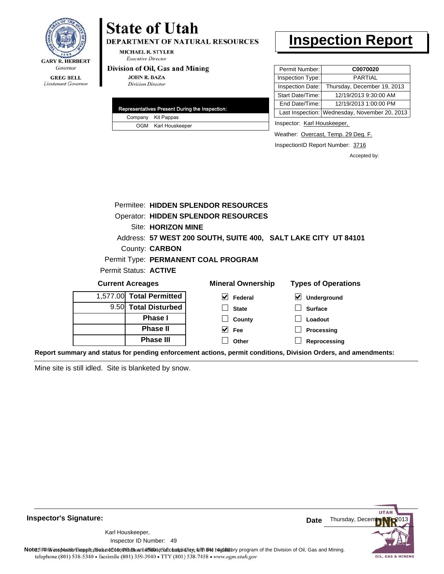

DEPARTMENT OF NATURAL RESOURCES

**MICHAEL R. STYLER Executive Director** 

#### Division of Oil, Gas and Mining

**JOHN R. BAZA Division Director** 

|  | Representatives Present During the Inspection: |
|--|------------------------------------------------|
|  | Company Kit Pappas                             |
|  | OGM Karl Houskeeper                            |

# **Inspection Report**

| Permit Number:   | C0070020                                      |
|------------------|-----------------------------------------------|
| Inspection Type: | <b>PARTIAL</b>                                |
| Inspection Date: | Thursday, December 19, 2013                   |
| Start Date/Time: | 12/19/2013 9:30:00 AM                         |
| End Date/Time:   | 12/19/2013 1:00:00 PM                         |
|                  | Last Inspection: Wednesday, November 20, 2013 |

Inspector: Karl Houskeeper,

Weather: Overcast, Temp. 29 Deg. F.

InspectionID Report Number: 3716

Accepted by:

|                         | Permitee: HIDDEN SPLENDOR RESOURCES |                                                                |                            |  |  |
|-------------------------|-------------------------------------|----------------------------------------------------------------|----------------------------|--|--|
|                         |                                     | <b>Operator: HIDDEN SPLENDOR RESOURCES</b>                     |                            |  |  |
|                         | <b>Site: HORIZON MINE</b>           |                                                                |                            |  |  |
|                         |                                     | Address: 57 WEST 200 SOUTH, SUITE 400, SALT LAKE CITY UT 84101 |                            |  |  |
|                         | County: <b>CARBON</b>               |                                                                |                            |  |  |
|                         |                                     | Permit Type: PERMANENT COAL PROGRAM                            |                            |  |  |
|                         | Permit Status: <b>ACTIVE</b>        |                                                                |                            |  |  |
| <b>Current Acreages</b> |                                     | <b>Mineral Ownership</b>                                       | <b>Types of Operations</b> |  |  |
| 1.577.00                | <b>Total Permitted</b>              | V<br>Federal                                                   | Underground                |  |  |
|                         | 9.50 Total Disturbed                | <b>State</b>                                                   | <b>Surface</b>             |  |  |
|                         | <b>Phase I</b>                      | County                                                         | Loadout                    |  |  |
| <b>Phase II</b>         |                                     | M<br>Fee                                                       | Processing                 |  |  |
|                         | <b>Phase III</b>                    | Other                                                          | Reprocessing               |  |  |

**Report summary and status for pending enforcement actions, permit conditions, Division Orders, and amendments:**

Mine site is still idled. Site is blanketed by snow.



**Inspector's Signature:**

49 Inspector ID Number:Karl Houskeeper,

Note: 59 This inspection report does not constitute and affidavit of compliance with the deptatory program of the Division of Oil, Gas and Mining.<br>telephone (801) 538-5340 • facsimile (801) 359-3940 • TTY (801) 538-7458 •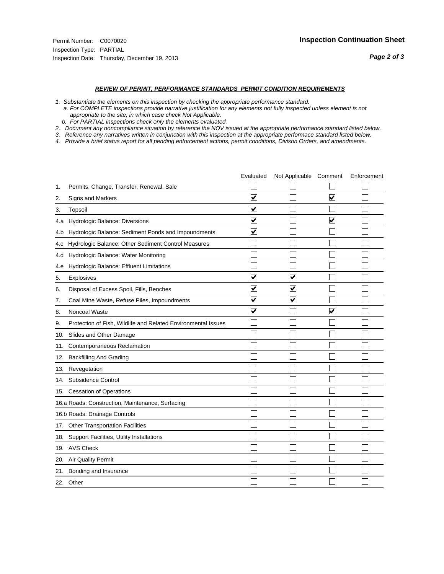#### *REVIEW OF PERMIT, PERFORMANCE STANDARDS PERMIT CONDITION REQUIREMENTS*

*1. Substantiate the elements on this inspection by checking the appropriate performance standard.*

 *a. For COMPLETE inspections provide narrative justification for any elements not fully inspected unless element is not appropriate to the site, in which case check Not Applicable.*

 *b. For PARTIAL inspections check only the elements evaluated.*

*2. Document any noncompliance situation by reference the NOV issued at the appropriate performance standard listed below.*

*3. Reference any narratives written in conjunction with this inspection at the appropriate performace standard listed below.*

|     |                                                               | Evaluated               | Not Applicable Comment  |                         | Enforcement |
|-----|---------------------------------------------------------------|-------------------------|-------------------------|-------------------------|-------------|
| 1.  | Permits, Change, Transfer, Renewal, Sale                      |                         |                         |                         |             |
| 2.  | <b>Signs and Markers</b>                                      | $\overline{\mathbf{v}}$ |                         | $\overline{\mathbf{v}}$ |             |
| 3.  | Topsoil                                                       | $\overline{\mathbf{v}}$ |                         |                         |             |
| 4.a | Hydrologic Balance: Diversions                                | ⊽                       |                         | $\overline{\mathbf{v}}$ |             |
| 4.b | Hydrologic Balance: Sediment Ponds and Impoundments           | $\blacktriangledown$    |                         |                         |             |
| 4.C | Hydrologic Balance: Other Sediment Control Measures           |                         |                         |                         |             |
| 4.d | Hydrologic Balance: Water Monitoring                          |                         |                         |                         |             |
| 4.e | Hydrologic Balance: Effluent Limitations                      |                         |                         |                         |             |
| 5.  | Explosives                                                    | $\overline{\mathbf{v}}$ | $\overline{\mathsf{v}}$ |                         |             |
| 6.  | Disposal of Excess Spoil, Fills, Benches                      | $\overline{\mathsf{v}}$ | $\overline{\mathbf{v}}$ |                         |             |
| 7.  | Coal Mine Waste, Refuse Piles, Impoundments                   | $\blacktriangledown$    | $\overline{\mathbf{v}}$ |                         |             |
| 8.  | Noncoal Waste                                                 | V                       |                         | $\overline{\mathbf{v}}$ |             |
| 9.  | Protection of Fish, Wildlife and Related Environmental Issues |                         |                         |                         |             |
| 10. | Slides and Other Damage                                       |                         |                         |                         |             |
| 11. | Contemporaneous Reclamation                                   |                         |                         |                         |             |
| 12. | <b>Backfilling And Grading</b>                                |                         |                         |                         |             |
| 13. | Revegetation                                                  |                         |                         |                         |             |
| 14. | Subsidence Control                                            |                         |                         |                         |             |
|     | 15. Cessation of Operations                                   |                         |                         |                         |             |
|     | 16.a Roads: Construction, Maintenance, Surfacing              |                         |                         |                         |             |
|     | 16.b Roads: Drainage Controls                                 |                         |                         |                         |             |
| 17. | <b>Other Transportation Facilities</b>                        |                         |                         |                         |             |
| 18. | Support Facilities, Utility Installations                     |                         |                         |                         |             |
|     | 19. AVS Check                                                 |                         |                         |                         |             |
| 20. | <b>Air Quality Permit</b>                                     |                         |                         |                         |             |
| 21. | Bonding and Insurance                                         |                         |                         |                         |             |
|     | 22. Other                                                     |                         |                         |                         |             |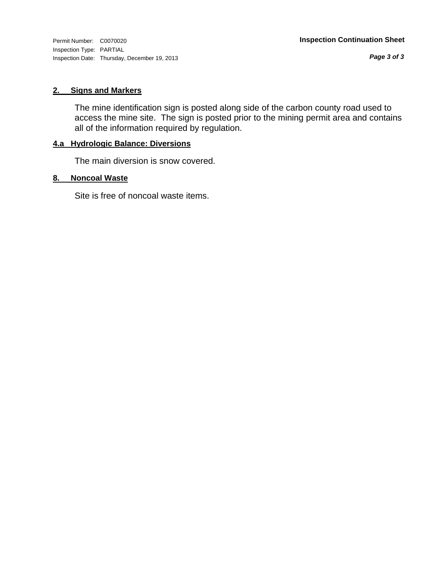Inspection Type: PARTIAL Inspection Date: Thursday, December 19, 2013

*Page 3 of 3*

#### **2. Signs and Markers**

The mine identification sign is posted along side of the carbon county road used to access the mine site. The sign is posted prior to the mining permit area and contains all of the information required by regulation.

# **4.a Hydrologic Balance: Diversions**

The main diversion is snow covered.

#### **8. Noncoal Waste**

Site is free of noncoal waste items.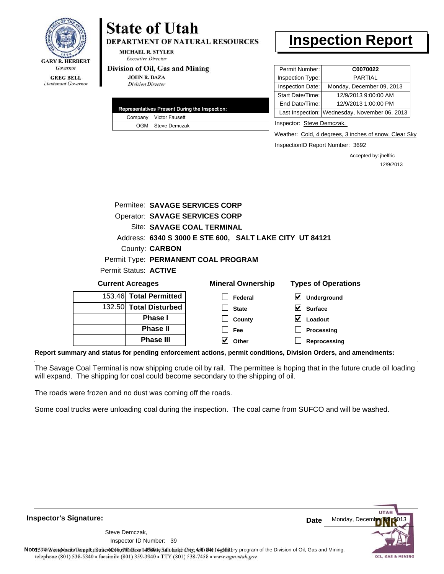

**DEPARTMENT OF NATURAL RESOURCES** 

**MICHAEL R. STYLER Executive Director** 

#### Division of Oil, Gas and Mining

**JOHN R. BAZA Division Director** 

|  | Representatives Present During the Inspection: |
|--|------------------------------------------------|
|  | Company Victor Fausett                         |
|  | OGM Steve Demczak                              |

# **Inspection Report**

| Permit Number:   | C0070022                                      |
|------------------|-----------------------------------------------|
| Inspection Type: | <b>PARTIAL</b>                                |
| Inspection Date: | Monday, December 09, 2013                     |
| Start Date/Time: | 12/9/2013 9:00:00 AM                          |
| End Date/Time:   | 12/9/2013 1:00:00 PM                          |
|                  | Last Inspection: Wednesday, November 06, 2013 |
|                  |                                               |

Inspector: Steve Demczak,

Weather: Cold, 4 degrees, 3 inches of snow, Clear Sky

InspectionID Report Number: 3692

**Reprocessing**

Accepted by: jhelfric 12/9/2013

|                              |                            | Permitee: SAVAGE SERVICES CORP        |                                                         |                                            |  |
|------------------------------|----------------------------|---------------------------------------|---------------------------------------------------------|--------------------------------------------|--|
|                              |                            | <b>Operator: SAVAGE SERVICES CORP</b> |                                                         |                                            |  |
|                              | Site: SAVAGE COAL TERMINAL |                                       |                                                         |                                            |  |
|                              |                            |                                       | Address: 6340 S 3000 E STE 600, SALT LAKE CITY UT 84121 |                                            |  |
|                              | County: <b>CARBON</b>      |                                       |                                                         |                                            |  |
|                              |                            | Permit Type: PERMANENT COAL PROGRAM   |                                                         |                                            |  |
| Permit Status: <b>ACTIVE</b> |                            |                                       |                                                         |                                            |  |
| <b>Current Acreages</b>      |                            |                                       | <b>Mineral Ownership</b>                                | <b>Types of Operations</b>                 |  |
| 153.46 Total Permitted       |                            |                                       | Federal                                                 | $\blacktriangledown$<br><b>Underground</b> |  |
| 132.50 Total Disturbed       |                            |                                       | <b>State</b>                                            | <b>Surface</b>                             |  |
|                              | <b>Phase I</b>             |                                       | County                                                  | Loadout                                    |  |
|                              | <b>Phase II</b>            |                                       | Fee                                                     | Processing                                 |  |

**Report summary and status for pending enforcement actions, permit conditions, Division Orders, and amendments:**

The Savage Coal Terminal is now shipping crude oil by rail. The permittee is hoping that in the future crude oil loading will expand. The shipping for coal could become secondary to the shipping of oil.

**Other**

The roads were frozen and no dust was coming off the roads.

**Phase III**

Some coal trucks were unloading coal during the inspection. The coal came from SUFCO and will be washed.

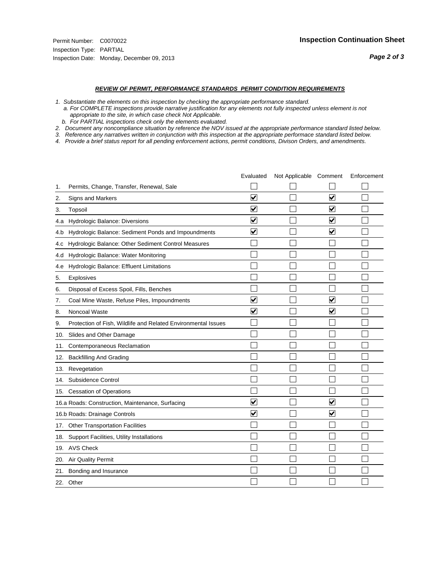#### *REVIEW OF PERMIT, PERFORMANCE STANDARDS PERMIT CONDITION REQUIREMENTS*

*1. Substantiate the elements on this inspection by checking the appropriate performance standard.*

 *a. For COMPLETE inspections provide narrative justification for any elements not fully inspected unless element is not appropriate to the site, in which case check Not Applicable.*

 *b. For PARTIAL inspections check only the elements evaluated.*

*2. Document any noncompliance situation by reference the NOV issued at the appropriate performance standard listed below.*

*3. Reference any narratives written in conjunction with this inspection at the appropriate performace standard listed below.*

|     |                                                               | Evaluated               | Not Applicable Comment |                         | Enforcement |
|-----|---------------------------------------------------------------|-------------------------|------------------------|-------------------------|-------------|
| 1.  | Permits, Change, Transfer, Renewal, Sale                      |                         |                        |                         |             |
| 2.  | Signs and Markers                                             | $\overline{\mathbf{v}}$ |                        | $\overline{\mathbf{v}}$ |             |
| 3.  | Topsoil                                                       | $\overline{\mathbf{v}}$ |                        | $\overline{\mathbf{v}}$ |             |
| 4.a | Hydrologic Balance: Diversions                                | $\blacktriangledown$    |                        | $\blacktriangledown$    |             |
| 4.b | Hydrologic Balance: Sediment Ponds and Impoundments           | $\blacktriangledown$    |                        | ⊻                       |             |
| 4.C | Hydrologic Balance: Other Sediment Control Measures           |                         |                        |                         |             |
| 4.d | Hydrologic Balance: Water Monitoring                          |                         |                        |                         |             |
| 4.e | Hydrologic Balance: Effluent Limitations                      |                         |                        |                         |             |
| 5.  | <b>Explosives</b>                                             |                         |                        |                         |             |
| 6.  | Disposal of Excess Spoil, Fills, Benches                      |                         |                        |                         |             |
| 7.  | Coal Mine Waste, Refuse Piles, Impoundments                   | $\overline{\mathbf{v}}$ |                        | $\overline{\mathbf{v}}$ |             |
| 8.  | Noncoal Waste                                                 | $\overline{\mathbf{v}}$ |                        | $\blacktriangledown$    |             |
| 9.  | Protection of Fish, Wildlife and Related Environmental Issues |                         |                        |                         |             |
| 10. | Slides and Other Damage                                       |                         |                        |                         |             |
| 11. | Contemporaneous Reclamation                                   |                         |                        |                         |             |
| 12. | <b>Backfilling And Grading</b>                                |                         |                        |                         |             |
| 13. | Revegetation                                                  |                         |                        |                         |             |
| 14. | Subsidence Control                                            |                         |                        |                         |             |
|     | 15. Cessation of Operations                                   |                         |                        |                         |             |
|     | 16.a Roads: Construction, Maintenance, Surfacing              | ⊽                       |                        | $\blacktriangledown$    |             |
|     | 16.b Roads: Drainage Controls                                 | $\overline{\mathbf{v}}$ |                        | $\overline{\mathbf{v}}$ |             |
| 17. | <b>Other Transportation Facilities</b>                        |                         |                        |                         |             |
| 18. | Support Facilities, Utility Installations                     |                         |                        |                         |             |
| 19. | <b>AVS Check</b>                                              |                         |                        |                         |             |
| 20. | Air Quality Permit                                            |                         |                        |                         |             |
| 21. | Bonding and Insurance                                         |                         |                        |                         |             |
|     | 22. Other                                                     |                         |                        |                         |             |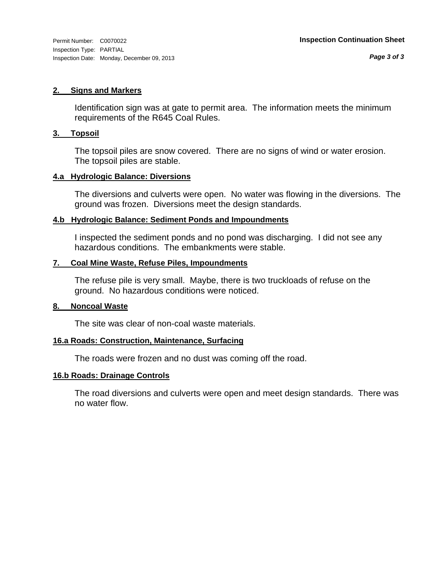#### **2. Signs and Markers**

Identification sign was at gate to permit area. The information meets the minimum requirements of the R645 Coal Rules.

#### **3. Topsoil**

The topsoil piles are snow covered. There are no signs of wind or water erosion. The topsoil piles are stable.

#### **4.a Hydrologic Balance: Diversions**

The diversions and culverts were open. No water was flowing in the diversions. The ground was frozen. Diversions meet the design standards.

#### **4.b Hydrologic Balance: Sediment Ponds and Impoundments**

I inspected the sediment ponds and no pond was discharging. I did not see any hazardous conditions. The embankments were stable.

#### **7. Coal Mine Waste, Refuse Piles, Impoundments**

The refuse pile is very small. Maybe, there is two truckloads of refuse on the ground. No hazardous conditions were noticed.

#### **8. Noncoal Waste**

The site was clear of non-coal waste materials.

#### **16.a Roads: Construction, Maintenance, Surfacing**

The roads were frozen and no dust was coming off the road.

#### **16.b Roads: Drainage Controls**

The road diversions and culverts were open and meet design standards. There was no water flow.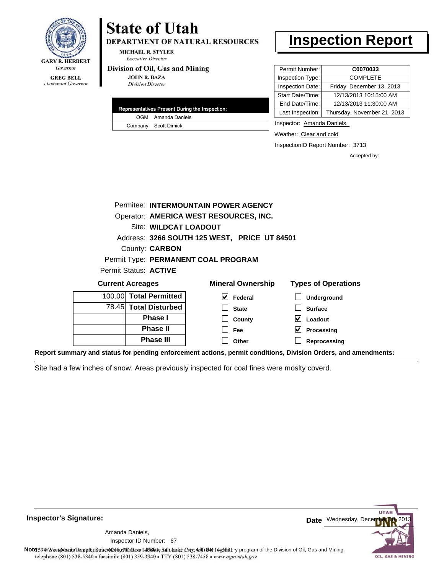

**DEPARTMENT OF NATURAL RESOURCES** 

**MICHAEL R. STYLER Executive Director** 

#### Division of Oil, Gas and Mining

**JOHN R. BAZA Division Director** 

| Representatives Present During the Inspection: |
|------------------------------------------------|
| OGM Amanda Daniels                             |
| Company Scott Dimick                           |

# **Inspection Report**

| Permit Number:   | C0070033                    |
|------------------|-----------------------------|
| Inspection Type: | <b>COMPLETE</b>             |
| Inspection Date: | Friday, December 13, 2013   |
| Start Date/Time: | 12/13/2013 10:15:00 AM      |
| End Date/Time:   | 12/13/2013 11:30:00 AM      |
| Last Inspection: | Thursday, November 21, 2013 |
|                  |                             |

Inspector: Amanda Daniels,

Weather: Clear and cold

InspectionID Report Number: 3713

**Processing Reprocessing** Accepted by:

|                         |                                        |                        | Permitee: INTERMOUNTAIN POWER AGENCY         |                            |
|-------------------------|----------------------------------------|------------------------|----------------------------------------------|----------------------------|
|                         | Operator: AMERICA WEST RESOURCES, INC. |                        |                                              |                            |
|                         |                                        | Site: WILDCAT LOADOUT  |                                              |                            |
|                         |                                        |                        | Address: 3266 SOUTH 125 WEST, PRICE UT 84501 |                            |
|                         |                                        | County: <b>CARBON</b>  |                                              |                            |
|                         |                                        |                        | Permit Type: PERMANENT COAL PROGRAM          |                            |
|                         |                                        | Permit Status: ACTIVE  |                                              |                            |
| <b>Current Acreages</b> |                                        |                        | <b>Mineral Ownership</b>                     | <b>Types of Operations</b> |
|                         |                                        | 100.00 Total Permitted | $\blacktriangledown$<br>Federal              | Underground                |
|                         |                                        | 78.45 Total Disturbed  | <b>State</b>                                 | <b>Surface</b>             |
|                         |                                        | <b>Phase I</b>         | County                                       | Loadout                    |

**Fee Other**

**Report summary and status for pending enforcement actions, permit conditions, Division Orders, and amendments:**

Site had a few inches of snow. Areas previously inspected for coal fines were moslty coverd.

**Phase II Phase III**



**Inspector's Signature:**

67 Inspector ID Number:Amanda Daniels,

Note: This inspection report does not constitute and affidavitor compliance with the regulatory program of the Division of Oil, Gas and Mining. telephone (801) 538-5340 · facsimile (801) 359-3940 · TTY (801) 538-7458 · www.ogm.utah.gov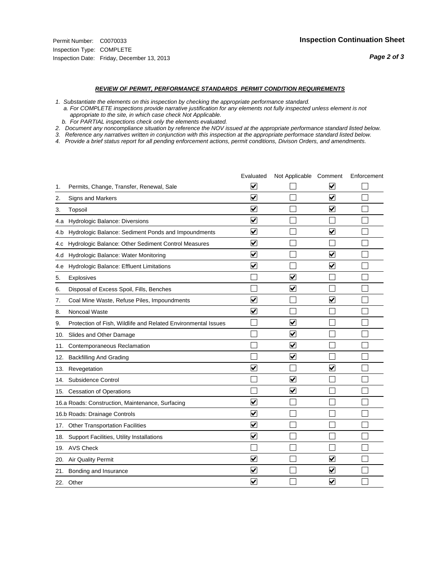#### *REVIEW OF PERMIT, PERFORMANCE STANDARDS PERMIT CONDITION REQUIREMENTS*

*1. Substantiate the elements on this inspection by checking the appropriate performance standard.*

 *a. For COMPLETE inspections provide narrative justification for any elements not fully inspected unless element is not appropriate to the site, in which case check Not Applicable.*

 *b. For PARTIAL inspections check only the elements evaluated.*

*2. Document any noncompliance situation by reference the NOV issued at the appropriate performance standard listed below.*

*3. Reference any narratives written in conjunction with this inspection at the appropriate performace standard listed below.*

|     |                                                               | Evaluated               | Not Applicable Comment  |                         | Enforcement |
|-----|---------------------------------------------------------------|-------------------------|-------------------------|-------------------------|-------------|
| 1.  | Permits, Change, Transfer, Renewal, Sale                      | ⊻                       |                         | V                       |             |
| 2.  | Signs and Markers                                             | $\overline{\mathbf{v}}$ |                         | $\blacktriangledown$    |             |
| 3.  | Topsoil                                                       | $\overline{\mathbf{v}}$ |                         | $\overline{\mathbf{v}}$ |             |
| 4.a | <b>Hydrologic Balance: Diversions</b>                         | $\overline{\mathsf{v}}$ |                         |                         |             |
| 4.b | Hydrologic Balance: Sediment Ponds and Impoundments           | $\blacktriangledown$    |                         | ⊻                       |             |
| 4.C | Hydrologic Balance: Other Sediment Control Measures           | $\checkmark$            |                         |                         |             |
| 4.d | Hydrologic Balance: Water Monitoring                          | $\overline{\mathbf{v}}$ |                         | $\blacktriangledown$    |             |
| 4.e | Hydrologic Balance: Effluent Limitations                      | $\overline{\mathbf{v}}$ |                         | $\blacktriangledown$    |             |
| 5.  | <b>Explosives</b>                                             |                         | $\overline{\mathbf{v}}$ |                         |             |
| 6.  | Disposal of Excess Spoil, Fills, Benches                      |                         | $\blacktriangledown$    |                         |             |
| 7.  | Coal Mine Waste, Refuse Piles, Impoundments                   | $\overline{\mathbf{v}}$ |                         | $\overline{\mathbf{v}}$ |             |
| 8.  | Noncoal Waste                                                 | $\overline{\mathbf{v}}$ |                         |                         |             |
| 9.  | Protection of Fish, Wildlife and Related Environmental Issues |                         | $\blacktriangledown$    |                         |             |
| 10. | Slides and Other Damage                                       |                         | $\overline{\mathbf{v}}$ |                         |             |
| 11. | Contemporaneous Reclamation                                   |                         | ⊻                       |                         |             |
| 12. | <b>Backfilling And Grading</b>                                |                         | $\overline{\mathbf{v}}$ |                         |             |
| 13. | Revegetation                                                  | $\overline{\mathbf{v}}$ |                         | $\overline{\mathsf{v}}$ |             |
| 14. | Subsidence Control                                            |                         | $\overline{\mathbf{v}}$ |                         |             |
|     | 15. Cessation of Operations                                   |                         | $\blacktriangleright$   |                         |             |
|     | 16.a Roads: Construction, Maintenance, Surfacing              | ⊽                       |                         |                         |             |
|     | 16.b Roads: Drainage Controls                                 | $\blacktriangledown$    |                         |                         |             |
| 17. | <b>Other Transportation Facilities</b>                        | $\overline{\mathbf{v}}$ |                         |                         |             |
| 18. | Support Facilities, Utility Installations                     | $\overline{\mathbf{v}}$ |                         |                         |             |
|     | 19. AVS Check                                                 |                         |                         |                         |             |
| 20. | Air Quality Permit                                            | $\checkmark$            |                         | $\blacktriangledown$    |             |
| 21. | Bonding and Insurance                                         | $\blacktriangledown$    |                         | $\blacktriangledown$    |             |
|     | 22. Other                                                     | $\overline{\mathbf{v}}$ |                         | $\blacktriangledown$    |             |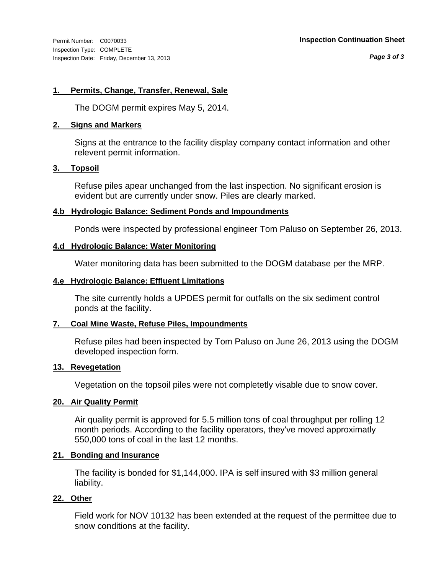#### **1. Permits, Change, Transfer, Renewal, Sale**

The DOGM permit expires May 5, 2014.

#### **2. Signs and Markers**

Signs at the entrance to the facility display company contact information and other relevent permit information.

#### **3. Topsoil**

Refuse piles apear unchanged from the last inspection. No significant erosion is evident but are currently under snow. Piles are clearly marked.

#### **4.b Hydrologic Balance: Sediment Ponds and Impoundments**

Ponds were inspected by professional engineer Tom Paluso on September 26, 2013.

#### **4.d Hydrologic Balance: Water Monitoring**

Water monitoring data has been submitted to the DOGM database per the MRP.

#### **4.e Hydrologic Balance: Effluent Limitations**

The site currently holds a UPDES permit for outfalls on the six sediment control ponds at the facility.

#### **7. Coal Mine Waste, Refuse Piles, Impoundments**

Refuse piles had been inspected by Tom Paluso on June 26, 2013 using the DOGM developed inspection form.

#### **13. Revegetation**

Vegetation on the topsoil piles were not completetly visable due to snow cover.

#### **20. Air Quality Permit**

Air quality permit is approved for 5.5 million tons of coal throughput per rolling 12 month periods. According to the facility operators, they've moved approximatly 550,000 tons of coal in the last 12 months.

#### **21. Bonding and Insurance**

The facility is bonded for \$1,144,000. IPA is self insured with \$3 million general liability.

## **22. Other**

Field work for NOV 10132 has been extended at the request of the permittee due to snow conditions at the facility.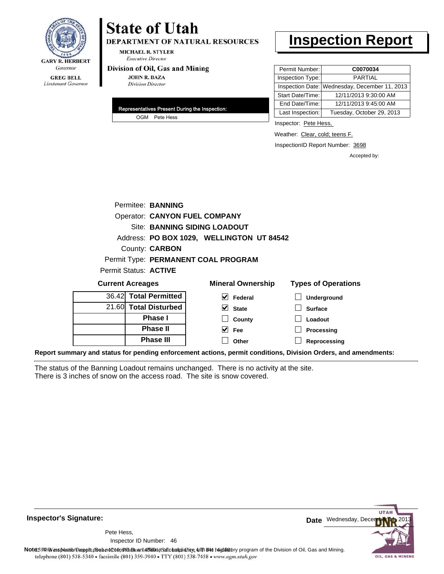

**DEPARTMENT OF NATURAL RESOURCES** 

**MICHAEL R. STYLER Executive Director** 

#### Division of Oil, Gas and Mining

**JOHN R. BAZA Division Director** 

| Representatives Present During the Inspection: |
|------------------------------------------------|
| OGM Pete Hess                                  |

# **Inspection Report**

| Permit Number:   | C0070034                                      |
|------------------|-----------------------------------------------|
| Inspection Type: | PARTIAL                                       |
|                  | Inspection Date: Wednesday, December 11, 2013 |
| Start Date/Time: | 12/11/2013 9:30:00 AM                         |
| End Date/Time:   | 12/11/2013 9:45:00 AM                         |
| Last Inspection: | Tuesday, October 29, 2013                     |

Inspector: Pete Hess,

Weather: Clear, cold; teens F.

InspectionID Report Number: 3698

Accepted by:

|                         | Permitee: BANNING     |                                           |                            |
|-------------------------|-----------------------|-------------------------------------------|----------------------------|
|                         |                       | <b>Operator: CANYON FUEL COMPANY</b>      |                            |
|                         |                       | Site: BANNING SIDING LOADOUT              |                            |
|                         |                       | Address: PO BOX 1029, WELLINGTON UT 84542 |                            |
|                         | County: <b>CARBON</b> |                                           |                            |
|                         |                       | Permit Type: PERMANENT COAL PROGRAM       |                            |
| Permit Status: ACTIVE   |                       |                                           |                            |
| <b>Current Acreages</b> |                       | <b>Mineral Ownership</b>                  | <b>Types of Operations</b> |
| 36.42 Total Permitted   |                       | Federal                                   | <b>Underground</b>         |
|                         |                       |                                           |                            |

|   | 21.60 Total Disturbed |                             | <b>State</b> |
|---|-----------------------|-----------------------------|--------------|
|   | <b>Phase I</b>        |                             | County       |
|   | <b>Phase II</b>       |                             | Fee          |
|   | <b>Phase III</b>      |                             | Other        |
| . |                       | $\sim$ $\sim$ $\sim$ $\sim$ |              |

**Surface State**

> **Loadout Processing**

**Reprocessing**

**Report summary and status for pending enforcement actions, permit conditions, Division Orders, and amendments:**

The status of the Banning Loadout remains unchanged. There is no activity at the site. There is 3 inches of snow on the access road. The site is snow covered.



**Inspector's Signature:**

46 Inspector ID Number:Pete Hess,

Note59#h% inspection reppt does not constitute an affidavit of compliance, with the regulatory program of the Division of Oil, Gas and Mining. telephone (801) 538-5340 · facsimile (801) 359-3940 · TTY (801) 538-7458 · www.ogm.utah.gov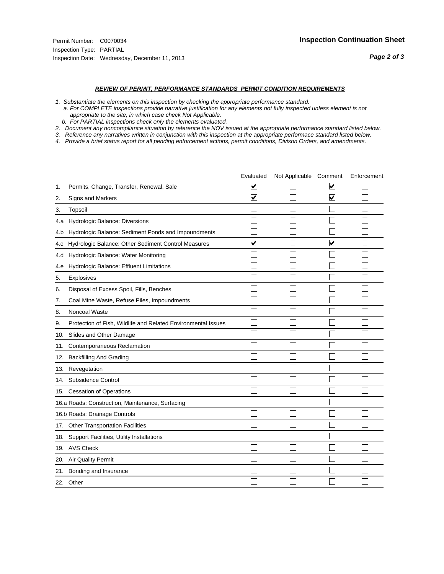#### *REVIEW OF PERMIT, PERFORMANCE STANDARDS PERMIT CONDITION REQUIREMENTS*

*1. Substantiate the elements on this inspection by checking the appropriate performance standard.*

 *a. For COMPLETE inspections provide narrative justification for any elements not fully inspected unless element is not appropriate to the site, in which case check Not Applicable.*

 *b. For PARTIAL inspections check only the elements evaluated.*

*2. Document any noncompliance situation by reference the NOV issued at the appropriate performance standard listed below.*

*3. Reference any narratives written in conjunction with this inspection at the appropriate performace standard listed below.*

|     |                                                               | Evaluated               | Not Applicable Comment |                      | Enforcement |
|-----|---------------------------------------------------------------|-------------------------|------------------------|----------------------|-------------|
| 1.  | Permits, Change, Transfer, Renewal, Sale                      | $\overline{\mathbf{v}}$ |                        | V                    |             |
| 2.  | Signs and Markers                                             | $\overline{\mathbf{v}}$ |                        | $\blacktriangledown$ |             |
| 3.  | Topsoil                                                       |                         |                        |                      |             |
| 4.a | Hydrologic Balance: Diversions                                |                         |                        |                      |             |
| 4.b | Hydrologic Balance: Sediment Ponds and Impoundments           |                         |                        |                      |             |
| 4.c | Hydrologic Balance: Other Sediment Control Measures           | $\overline{\mathbf{v}}$ |                        | $\blacktriangledown$ |             |
| 4.d | Hydrologic Balance: Water Monitoring                          |                         |                        |                      |             |
| 4.e | Hydrologic Balance: Effluent Limitations                      |                         |                        |                      |             |
| 5.  | <b>Explosives</b>                                             |                         |                        |                      |             |
| 6.  | Disposal of Excess Spoil, Fills, Benches                      |                         |                        |                      |             |
| 7.  | Coal Mine Waste, Refuse Piles, Impoundments                   |                         |                        |                      |             |
| 8.  | Noncoal Waste                                                 |                         |                        |                      |             |
| 9.  | Protection of Fish, Wildlife and Related Environmental Issues |                         |                        |                      |             |
| 10. | Slides and Other Damage                                       |                         |                        |                      |             |
| 11. | Contemporaneous Reclamation                                   |                         |                        |                      |             |
| 12. | <b>Backfilling And Grading</b>                                |                         |                        |                      |             |
| 13. | Revegetation                                                  |                         |                        |                      |             |
| 14. | Subsidence Control                                            |                         |                        |                      |             |
| 15. | <b>Cessation of Operations</b>                                |                         |                        |                      |             |
|     | 16.a Roads: Construction, Maintenance, Surfacing              |                         |                        |                      |             |
|     | 16.b Roads: Drainage Controls                                 |                         |                        |                      |             |
| 17. | <b>Other Transportation Facilities</b>                        |                         |                        |                      |             |
| 18. | Support Facilities, Utility Installations                     |                         |                        |                      |             |
|     | 19. AVS Check                                                 |                         |                        |                      |             |
| 20. | Air Quality Permit                                            |                         |                        |                      |             |
| 21. | Bonding and Insurance                                         |                         |                        |                      |             |
|     | 22. Other                                                     |                         |                        |                      |             |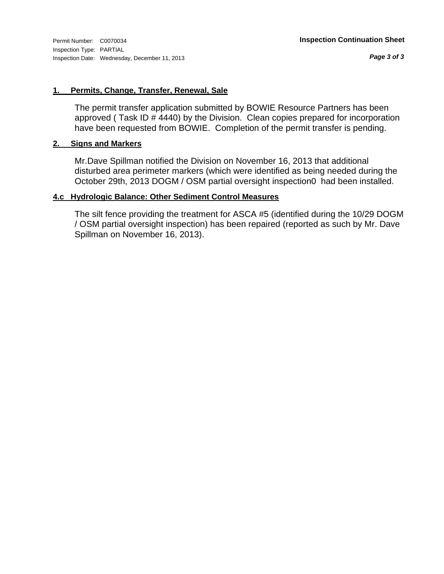#### **1. Permits, Change, Transfer, Renewal, Sale**

The permit transfer application submitted by BOWIE Resource Partners has been approved ( Task ID # 4440) by the Division. Clean copies prepared for incorporation have been requested from BOWIE. Completion of the permit transfer is pending.

#### **2. Signs and Markers**

Mr.Dave Spillman notified the Division on November 16, 2013 that additional disturbed area perimeter markers (which were identified as being needed during the October 29th, 2013 DOGM / OSM partial oversight inspection0 had been installed.

#### **4.c Hydrologic Balance: Other Sediment Control Measures**

The silt fence providing the treatment for ASCA #5 (identified during the 10/29 DOGM / OSM partial oversight inspection) has been repaired (reported as such by Mr. Dave Spillman on November 16, 2013).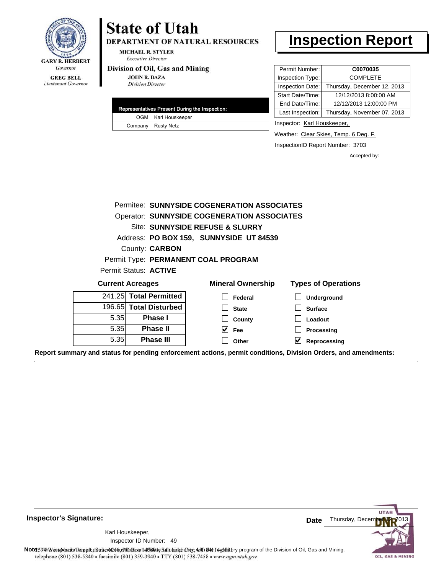

**GREG BELL** Lieutenant Governor

# **State of Utah**

DEPARTMENT OF NATURAL RESOURCES

**MICHAEL R. STYLER Executive Director** 

#### Division of Oil, Gas and Mining

**JOHN R. BAZA Division Director** 

| Representatives Present During the Inspection: |
|------------------------------------------------|
| OGM Karl Houskeeper                            |
| Company Rusty Netz                             |

## **Inspection Report**

| Permit Number:   | C0070035                    |
|------------------|-----------------------------|
| Inspection Type: | <b>COMPLETE</b>             |
| Inspection Date: | Thursday, December 12, 2013 |
| Start Date/Time: | 12/12/2013 8:00:00 AM       |
| End Date/Time:   | 12/12/2013 12:00:00 PM      |
| Last Inspection: | Thursday, November 07, 2013 |

Inspector: Karl Houskeeper,

Weather: Clear Skies, Temp. 6 Deg. F.

InspectionID Report Number: 3703

Accepted by:

|      |                                                    | Permitee: SUNNYSIDE COGENERATION ASSOCIATES |                            |  |  |  |  |
|------|----------------------------------------------------|---------------------------------------------|----------------------------|--|--|--|--|
|      | <b>Operator: SUNNYSIDE COGENERATION ASSOCIATES</b> |                                             |                            |  |  |  |  |
|      |                                                    | Site: SUNNYSIDE REFUSE & SLURRY             |                            |  |  |  |  |
|      |                                                    | Address: PO BOX 159, SUNNYSIDE UT 84539     |                            |  |  |  |  |
|      | County: <b>CARBON</b>                              |                                             |                            |  |  |  |  |
|      |                                                    | Permit Type: PERMANENT COAL PROGRAM         |                            |  |  |  |  |
|      | Permit Status: ACTIVE                              |                                             |                            |  |  |  |  |
|      | <b>Current Acreages</b>                            | <b>Mineral Ownership</b>                    | <b>Types of Operations</b> |  |  |  |  |
|      | 241.25 Total Permitted                             | Federal                                     | <b>Underground</b>         |  |  |  |  |
|      | 196.65 Total Disturbed                             | <b>State</b>                                | <b>Surface</b>             |  |  |  |  |
| 5.35 | <b>Phase I</b>                                     | County                                      | Loadout                    |  |  |  |  |
| 5.35 | <b>Phase II</b>                                    | <b>Fee</b>                                  | Processing                 |  |  |  |  |
| 5.35 | <b>Phase III</b>                                   | Other                                       | V<br>Reprocessing          |  |  |  |  |

**Report summary and status for pending enforcement actions, permit conditions, Division Orders, and amendments:**

**Inspector's Signature:**

49 Inspector ID Number:Karl Houskeeper,



Note: This inspection report does not constitute and affidavitor compliance with the regulatory program of the Division of Oil, Gas and Mining. telephone (801) 538-5340 · facsimile (801) 359-3940 · TTY (801) 538-7458 · www.ogm.utah.gov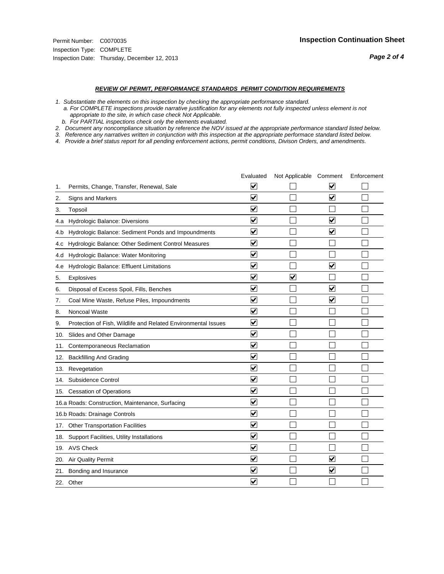#### *REVIEW OF PERMIT, PERFORMANCE STANDARDS PERMIT CONDITION REQUIREMENTS*

*1. Substantiate the elements on this inspection by checking the appropriate performance standard.*

 *a. For COMPLETE inspections provide narrative justification for any elements not fully inspected unless element is not appropriate to the site, in which case check Not Applicable.*

 *b. For PARTIAL inspections check only the elements evaluated.*

*2. Document any noncompliance situation by reference the NOV issued at the appropriate performance standard listed below.*

*3. Reference any narratives written in conjunction with this inspection at the appropriate performace standard listed below.*

|     |                                                               | Evaluated               | Not Applicable Comment  |                                 | Enforcement |
|-----|---------------------------------------------------------------|-------------------------|-------------------------|---------------------------------|-------------|
| 1.  | Permits, Change, Transfer, Renewal, Sale                      | ⊻                       |                         | V                               |             |
| 2.  | <b>Signs and Markers</b>                                      | $\overline{\mathbf{v}}$ |                         | $\overline{\blacktriangledown}$ |             |
| 3.  | Topsoil                                                       | $\overline{\mathbf{v}}$ |                         |                                 |             |
| 4.a | Hydrologic Balance: Diversions                                | ⊽                       |                         | $\overline{\mathbf{v}}$         |             |
| 4.b | Hydrologic Balance: Sediment Ponds and Impoundments           | $\blacktriangledown$    |                         | ⊻                               |             |
| 4.C | Hydrologic Balance: Other Sediment Control Measures           | $\blacktriangledown$    |                         |                                 |             |
| 4.d | Hydrologic Balance: Water Monitoring                          | ☑                       |                         |                                 |             |
| 4.e | Hydrologic Balance: Effluent Limitations                      | ✔                       |                         | $\overline{\mathbf{v}}$         |             |
| 5.  | Explosives                                                    | $\blacktriangledown$    | $\overline{\mathsf{v}}$ |                                 |             |
| 6.  | Disposal of Excess Spoil, Fills, Benches                      | $\blacktriangledown$    |                         | $\blacktriangledown$            |             |
| 7.  | Coal Mine Waste, Refuse Piles, Impoundments                   | $\overline{\mathbf{v}}$ |                         | $\checkmark$                    |             |
| 8.  | Noncoal Waste                                                 | $\overline{\mathbf{v}}$ |                         |                                 |             |
| 9.  | Protection of Fish, Wildlife and Related Environmental Issues | $\blacktriangledown$    |                         |                                 |             |
| 10. | Slides and Other Damage                                       | ⊻                       |                         |                                 |             |
| 11. | Contemporaneous Reclamation                                   | ☑                       |                         |                                 |             |
| 12. | <b>Backfilling And Grading</b>                                | $\overline{\mathbf{v}}$ |                         |                                 |             |
| 13. | Revegetation                                                  | $\overline{\mathbf{v}}$ |                         |                                 |             |
| 14. | Subsidence Control                                            | $\overline{\mathbf{v}}$ |                         |                                 |             |
|     | 15. Cessation of Operations                                   | $\blacktriangledown$    |                         |                                 |             |
|     | 16.a Roads: Construction, Maintenance, Surfacing              | $\blacktriangledown$    |                         |                                 |             |
|     | 16.b Roads: Drainage Controls                                 | ⊽                       |                         |                                 |             |
|     | 17. Other Transportation Facilities                           | $\overline{\mathbf{v}}$ |                         |                                 |             |
| 18. | Support Facilities, Utility Installations                     | $\overline{\mathbf{v}}$ |                         |                                 |             |
|     | 19. AVS Check                                                 | $\overline{\mathsf{v}}$ |                         |                                 |             |
| 20. | Air Quality Permit                                            | $\blacktriangledown$    |                         | ✓                               |             |
|     | 21. Bonding and Insurance                                     | V                       |                         | $\blacktriangledown$            |             |
|     | 22. Other                                                     | $\blacktriangledown$    |                         |                                 |             |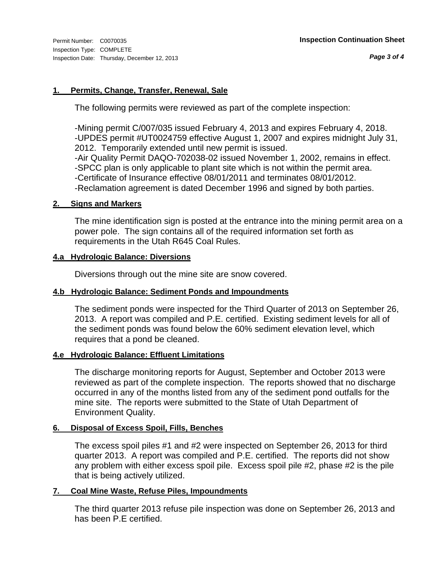### **1. Permits, Change, Transfer, Renewal, Sale**

The following permits were reviewed as part of the complete inspection:

-Mining permit C/007/035 issued February 4, 2013 and expires February 4, 2018. -UPDES permit #UT0024759 effective August 1, 2007 and expires midnight July 31, 2012. Temporarily extended until new permit is issued. -Air Quality Permit DAQO-702038-02 issued November 1, 2002, remains in effect. -SPCC plan is only applicable to plant site which is not within the permit area. -Certificate of Insurance effective 08/01/2011 and terminates 08/01/2012. -Reclamation agreement is dated December 1996 and signed by both parties.

### **2. Signs and Markers**

The mine identification sign is posted at the entrance into the mining permit area on a power pole. The sign contains all of the required information set forth as requirements in the Utah R645 Coal Rules.

#### **4.a Hydrologic Balance: Diversions**

Diversions through out the mine site are snow covered.

#### **4.b Hydrologic Balance: Sediment Ponds and Impoundments**

The sediment ponds were inspected for the Third Quarter of 2013 on September 26, 2013. A report was compiled and P.E. certified. Existing sediment levels for all of the sediment ponds was found below the 60% sediment elevation level, which requires that a pond be cleaned.

### **4.e Hydrologic Balance: Effluent Limitations**

The discharge monitoring reports for August, September and October 2013 were reviewed as part of the complete inspection. The reports showed that no discharge occurred in any of the months listed from any of the sediment pond outfalls for the mine site. The reports were submitted to the State of Utah Department of Environment Quality.

### **6. Disposal of Excess Spoil, Fills, Benches**

The excess spoil piles #1 and #2 were inspected on September 26, 2013 for third quarter 2013. A report was compiled and P.E. certified. The reports did not show any problem with either excess spoil pile. Excess spoil pile #2, phase #2 is the pile that is being actively utilized.

#### **7. Coal Mine Waste, Refuse Piles, Impoundments**

The third quarter 2013 refuse pile inspection was done on September 26, 2013 and has been P.E certified.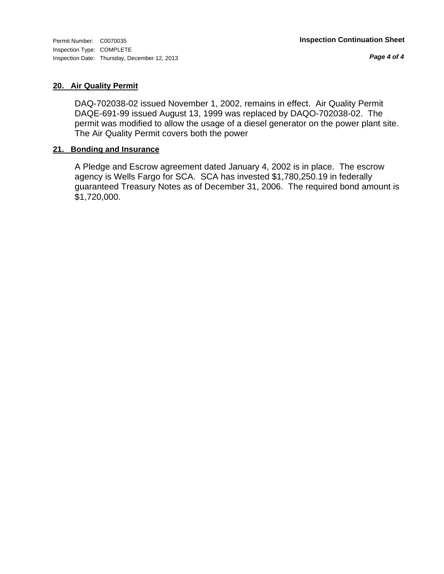*Page 4 of 4*

## **20. Air Quality Permit**

DAQ-702038-02 issued November 1, 2002, remains in effect. Air Quality Permit DAQE-691-99 issued August 13, 1999 was replaced by DAQO-702038-02. The permit was modified to allow the usage of a diesel generator on the power plant site. The Air Quality Permit covers both the power

### **21. Bonding and Insurance**

A Pledge and Escrow agreement dated January 4, 2002 is in place. The escrow agency is Wells Fargo for SCA. SCA has invested \$1,780,250.19 in federally guaranteed Treasury Notes as of December 31, 2006. The required bond amount is \$1,720,000.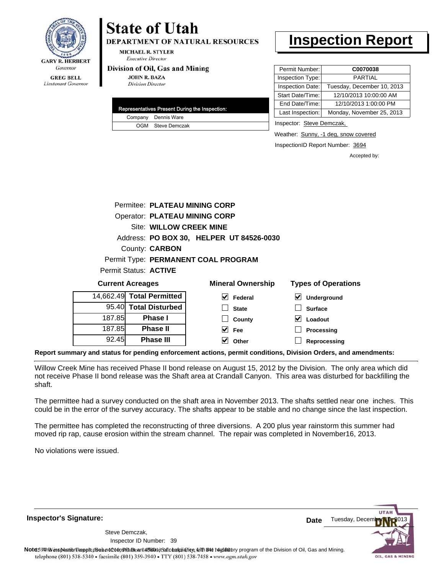

**DEPARTMENT OF NATURAL RESOURCES** 

**MICHAEL R. STYLER Executive Director** 

#### Division of Oil, Gas and Mining

**JOHN R. BAZA Division Director** 

| Representatives Present During the Inspection: |                     |  |  |
|------------------------------------------------|---------------------|--|--|
|                                                | Company Dennis Ware |  |  |
|                                                | OGM Steve Demczak   |  |  |

# **Inspection Report**

| Permit Number:   | C0070038                   |
|------------------|----------------------------|
| Inspection Type: | <b>PARTIAL</b>             |
| Inspection Date: | Tuesday, December 10, 2013 |
| Start Date/Time: | 12/10/2013 10:00:00 AM     |
| End Date/Time:   | 12/10/2013 1:00:00 PM      |
| Last Inspection: | Monday, November 25, 2013  |

Inspector: Steve Demczak,

Weather: Sunny, -1 deg, snow covered

InspectionID Report Number: 3694

Accepted by:

|                                          | Permitee: PLATEAU MINING CORP |                                      |                          |  |                            |  |  |
|------------------------------------------|-------------------------------|--------------------------------------|--------------------------|--|----------------------------|--|--|
|                                          |                               | <b>Operator: PLATEAU MINING CORP</b> |                          |  |                            |  |  |
|                                          | Site: WILLOW CREEK MINE       |                                      |                          |  |                            |  |  |
| Address: PO BOX 30, HELPER UT 84526-0030 |                               |                                      |                          |  |                            |  |  |
|                                          | County: <b>CARBON</b>         |                                      |                          |  |                            |  |  |
| Permit Type: PERMANENT COAL PROGRAM      |                               |                                      |                          |  |                            |  |  |
| Permit Status: ACTIVE                    |                               |                                      |                          |  |                            |  |  |
| <b>Current Acreages</b>                  |                               |                                      | <b>Mineral Ownership</b> |  | <b>Types of Operations</b> |  |  |
| 4,662.49 Total Permitted                 |                               |                                      | Federal                  |  | Underground                |  |  |

| 14,662.49 Total Permitted |        |
|---------------------------|--------|
| 95.40 Total Disturbed     |        |
| <b>Phase I</b>            | 187.85 |
| <b>Phase II</b>           | 187.85 |
| <b>Phase III</b>          | 92.45  |

| eral Ownership                | <b>Types of Oper</b>       |
|-------------------------------|----------------------------|
| $\blacktriangleright$ Federal | $\triangledown$ Undergrour |
| $\Box$ State                  | $\Box$ Surface             |
| $\Box$ County                 | $\triangledown$ Loadout    |
| $\vee$ Fee                    | $\Box$ Processing          |
| $\triangledown$ Other         | $\parallel$ Reprocessi     |

**Reprocessing**

**Report summary and status for pending enforcement actions, permit conditions, Division Orders, and amendments:**

Willow Creek Mine has received Phase II bond release on August 15, 2012 by the Division. The only area which did not receive Phase II bond release was the Shaft area at Crandall Canyon. This area was disturbed for backfilling the shaft.

The permittee had a survey conducted on the shaft area in November 2013. The shafts settled near one inches. This could be in the error of the survey accuracy. The shafts appear to be stable and no change since the last inspection.

The permittee has completed the reconstructing of three diversions. A 200 plus year rainstorm this summer had moved rip rap, cause erosion within the stream channel. The repair was completed in November16, 2013.

No violations were issued.

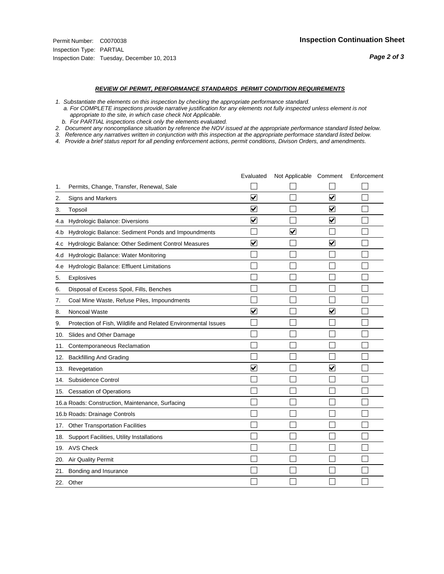#### *REVIEW OF PERMIT, PERFORMANCE STANDARDS PERMIT CONDITION REQUIREMENTS*

*1. Substantiate the elements on this inspection by checking the appropriate performance standard.*

 *a. For COMPLETE inspections provide narrative justification for any elements not fully inspected unless element is not appropriate to the site, in which case check Not Applicable.*

 *b. For PARTIAL inspections check only the elements evaluated.*

*2. Document any noncompliance situation by reference the NOV issued at the appropriate performance standard listed below.*

*3. Reference any narratives written in conjunction with this inspection at the appropriate performace standard listed below.*

|     |                                                               | Evaluated               | Not Applicable Comment |                         | Enforcement |
|-----|---------------------------------------------------------------|-------------------------|------------------------|-------------------------|-------------|
| 1.  | Permits, Change, Transfer, Renewal, Sale                      |                         |                        |                         |             |
| 2.  | Signs and Markers                                             | $\overline{\mathbf{v}}$ |                        | $\blacktriangledown$    |             |
| 3.  | Topsoil                                                       | $\overline{\mathbf{v}}$ |                        | $\blacktriangledown$    |             |
| 4.a | Hydrologic Balance: Diversions                                | $\blacktriangledown$    |                        | $\overline{\mathbf{v}}$ |             |
| 4.b | Hydrologic Balance: Sediment Ponds and Impoundments           |                         | V                      |                         |             |
| 4.c | Hydrologic Balance: Other Sediment Control Measures           | $\overline{\mathbf{v}}$ |                        | $\blacktriangledown$    |             |
| 4.d | Hydrologic Balance: Water Monitoring                          |                         |                        |                         |             |
| 4.e | Hydrologic Balance: Effluent Limitations                      |                         |                        |                         |             |
| 5.  | <b>Explosives</b>                                             |                         |                        |                         |             |
| 6.  | Disposal of Excess Spoil, Fills, Benches                      |                         |                        |                         |             |
| 7.  | Coal Mine Waste, Refuse Piles, Impoundments                   |                         |                        |                         |             |
| 8.  | Noncoal Waste                                                 | $\overline{\mathsf{v}}$ |                        | $\overline{\mathbf{v}}$ |             |
| 9.  | Protection of Fish, Wildlife and Related Environmental Issues |                         |                        |                         |             |
| 10. | Slides and Other Damage                                       |                         |                        |                         |             |
| 11. | Contemporaneous Reclamation                                   |                         |                        |                         |             |
| 12. | <b>Backfilling And Grading</b>                                |                         |                        |                         |             |
| 13. | Revegetation                                                  | $\overline{\mathbf{v}}$ |                        | $\overline{\mathsf{v}}$ |             |
| 14. | Subsidence Control                                            |                         |                        |                         |             |
| 15. | <b>Cessation of Operations</b>                                |                         |                        |                         |             |
|     | 16.a Roads: Construction, Maintenance, Surfacing              |                         |                        |                         |             |
|     | 16.b Roads: Drainage Controls                                 |                         |                        |                         |             |
| 17. | <b>Other Transportation Facilities</b>                        |                         |                        |                         |             |
| 18. | Support Facilities, Utility Installations                     |                         |                        |                         |             |
|     | 19. AVS Check                                                 |                         |                        |                         |             |
| 20. | Air Quality Permit                                            |                         |                        |                         |             |
| 21. | Bonding and Insurance                                         |                         |                        |                         |             |
|     | 22. Other                                                     |                         |                        |                         |             |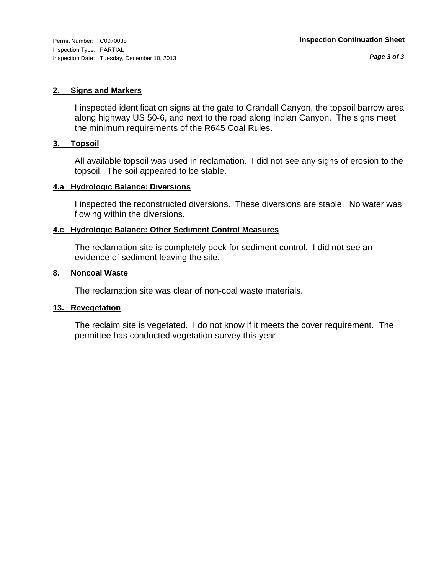#### **2. Signs and Markers**

I inspected identification signs at the gate to Crandall Canyon, the topsoil barrow area along highway US 50-6, and next to the road along Indian Canyon. The signs meet the minimum requirements of the R645 Coal Rules.

#### **3. Topsoil**

All available topsoil was used in reclamation. I did not see any signs of erosion to the topsoil. The soil appeared to be stable.

#### **4.a Hydrologic Balance: Diversions**

I inspected the reconstructed diversions. These diversions are stable. No water was flowing within the diversions.

#### **4.c Hydrologic Balance: Other Sediment Control Measures**

The reclamation site is completely pock for sediment control. I did not see an evidence of sediment leaving the site.

#### **8. Noncoal Waste**

The reclamation site was clear of non-coal waste materials.

#### **13. Revegetation**

The reclaim site is vegetated. I do not know if it meets the cover requirement. The permittee has conducted vegetation survey this year.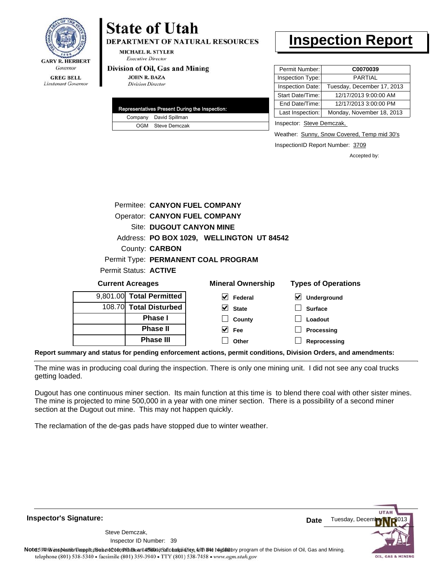

**DEPARTMENT OF NATURAL RESOURCES** 

**MICHAEL R. STYLER Executive Director** 

#### Division of Oil, Gas and Mining

**JOHN R. BAZA Division Director** 

| Representatives Present During the Inspection: |
|------------------------------------------------|
| Company David Spillman                         |
| OGM Steve Demczak                              |

# **Inspection Report**

| Permit Number:   | C0070039                   |
|------------------|----------------------------|
| Inspection Type: | <b>PARTIAL</b>             |
| Inspection Date: | Tuesday, December 17, 2013 |
| Start Date/Time: | 12/17/2013 9:00:00 AM      |
| End Date/Time:   | 12/17/2013 3:00:00 PM      |
| Last Inspection: | Monday, November 18, 2013  |
|                  |                            |

Inspector: Steve Demczak,

Weather: Sunny, Snow Covered, Temp mid 30's

InspectionID Report Number: 3709

Accepted by:

|                          | Permitee: CANYON FUEL COMPANY        |                                           |                            |
|--------------------------|--------------------------------------|-------------------------------------------|----------------------------|
|                          | <b>Operator: CANYON FUEL COMPANY</b> |                                           |                            |
|                          | Site: DUGOUT CANYON MINE             |                                           |                            |
|                          |                                      | Address: PO BOX 1029, WELLINGTON UT 84542 |                            |
|                          | County: <b>CARBON</b>                |                                           |                            |
|                          |                                      | Permit Type: PERMANENT COAL PROGRAM       |                            |
| Permit Status: ACTIVE    |                                      |                                           |                            |
| <b>Current Acreages</b>  |                                      | <b>Mineral Ownership</b>                  | <b>Types of Operations</b> |
| 9,801.00 Total Permitted |                                      | Federal                                   | <b>Underground</b>         |

| 9,801.00 Total Permitted |
|--------------------------|
| 108.70 Total Disturbed   |
| <b>Phase I</b>           |
| <b>Phase II</b>          |
| <b>Phase III</b>         |

| eral Ownership          | Types of O              |
|-------------------------|-------------------------|
| $\triangledown$ Federal | $\triangledown$ Undergi |
| $\vee$ State            | $\Box$ Surface          |
| $\Box$ County           | $\Box$ Loadout          |

| County | Loadout           |
|--------|-------------------|
| Fee    | $\Box$ Processing |

**Reprocessing Other**

 $\Box$  $\overline{\mathbf{v}}$ 

**Report summary and status for pending enforcement actions, permit conditions, Division Orders, and amendments:**

The mine was in producing coal during the inspection. There is only one mining unit. I did not see any coal trucks getting loaded.

Dugout has one continuous miner section. Its main function at this time is to blend there coal with other sister mines. The mine is projected to mine 500,000 in a year with one miner section. There is a possibility of a second miner section at the Dugout out mine. This may not happen quickly.

The reclamation of the de-gas pads have stopped due to winter weather.

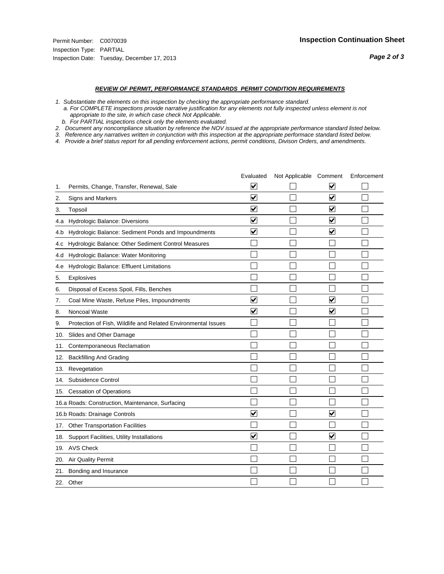#### *REVIEW OF PERMIT, PERFORMANCE STANDARDS PERMIT CONDITION REQUIREMENTS*

*1. Substantiate the elements on this inspection by checking the appropriate performance standard.*

 *a. For COMPLETE inspections provide narrative justification for any elements not fully inspected unless element is not appropriate to the site, in which case check Not Applicable.*

 *b. For PARTIAL inspections check only the elements evaluated.*

*2. Document any noncompliance situation by reference the NOV issued at the appropriate performance standard listed below.*

*3. Reference any narratives written in conjunction with this inspection at the appropriate performace standard listed below.*

|     |                                                               | Evaluated               | Not Applicable Comment |                         | Enforcement |
|-----|---------------------------------------------------------------|-------------------------|------------------------|-------------------------|-------------|
| 1.  | Permits, Change, Transfer, Renewal, Sale                      | ⊻                       |                        | V                       |             |
| 2.  | Signs and Markers                                             | $\overline{\mathbf{v}}$ |                        | $\blacktriangledown$    |             |
| 3.  | Topsoil                                                       | $\overline{\mathbf{v}}$ |                        | $\overline{\mathbf{v}}$ |             |
| 4.a | Hydrologic Balance: Diversions                                | $\blacktriangledown$    |                        | $\blacktriangledown$    |             |
| 4.b | Hydrologic Balance: Sediment Ponds and Impoundments           | $\blacktriangledown$    |                        | ⊻                       |             |
| 4.C | Hydrologic Balance: Other Sediment Control Measures           |                         |                        |                         |             |
| 4.d | Hydrologic Balance: Water Monitoring                          |                         |                        |                         |             |
| 4.e | Hydrologic Balance: Effluent Limitations                      |                         |                        |                         |             |
| 5.  | <b>Explosives</b>                                             |                         |                        |                         |             |
| 6.  | Disposal of Excess Spoil, Fills, Benches                      |                         |                        |                         |             |
| 7.  | Coal Mine Waste, Refuse Piles, Impoundments                   | $\overline{\mathbf{v}}$ |                        | $\overline{\mathbf{v}}$ |             |
| 8.  | Noncoal Waste                                                 | $\overline{\mathbf{v}}$ |                        | $\blacktriangledown$    |             |
| 9.  | Protection of Fish, Wildlife and Related Environmental Issues |                         |                        |                         |             |
| 10. | Slides and Other Damage                                       |                         |                        |                         |             |
| 11. | Contemporaneous Reclamation                                   |                         |                        |                         |             |
| 12. | <b>Backfilling And Grading</b>                                |                         |                        |                         |             |
| 13. | Revegetation                                                  |                         |                        |                         |             |
| 14. | Subsidence Control                                            |                         |                        |                         |             |
|     | 15. Cessation of Operations                                   |                         |                        |                         |             |
|     | 16.a Roads: Construction, Maintenance, Surfacing              |                         |                        |                         |             |
|     | 16.b Roads: Drainage Controls                                 | $\blacktriangledown$    |                        | ⊻                       |             |
| 17. | <b>Other Transportation Facilities</b>                        |                         |                        |                         |             |
| 18. | Support Facilities, Utility Installations                     | $\overline{\mathbf{v}}$ |                        | $\overline{\mathbf{v}}$ |             |
| 19. | <b>AVS Check</b>                                              |                         |                        |                         |             |
| 20. | Air Quality Permit                                            |                         |                        |                         |             |
| 21. | Bonding and Insurance                                         |                         |                        |                         |             |
|     | 22. Other                                                     |                         |                        |                         |             |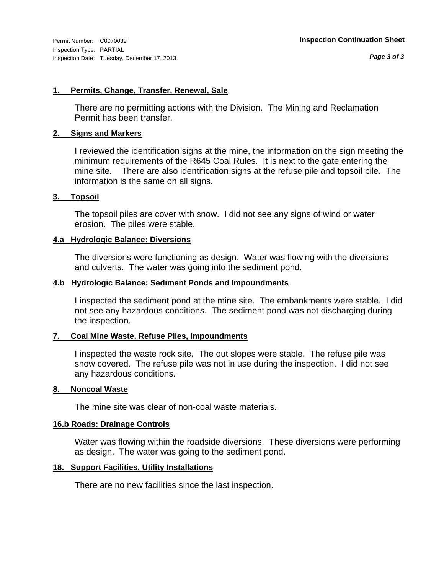#### **1. Permits, Change, Transfer, Renewal, Sale**

There are no permitting actions with the Division. The Mining and Reclamation Permit has been transfer.

#### **2. Signs and Markers**

I reviewed the identification signs at the mine, the information on the sign meeting the minimum requirements of the R645 Coal Rules. It is next to the gate entering the mine site. There are also identification signs at the refuse pile and topsoil pile. The information is the same on all signs.

#### **3. Topsoil**

The topsoil piles are cover with snow. I did not see any signs of wind or water erosion. The piles were stable.

#### **4.a Hydrologic Balance: Diversions**

The diversions were functioning as design. Water was flowing with the diversions and culverts. The water was going into the sediment pond.

#### **4.b Hydrologic Balance: Sediment Ponds and Impoundments**

I inspected the sediment pond at the mine site. The embankments were stable. I did not see any hazardous conditions. The sediment pond was not discharging during the inspection.

### **7. Coal Mine Waste, Refuse Piles, Impoundments**

I inspected the waste rock site. The out slopes were stable. The refuse pile was snow covered. The refuse pile was not in use during the inspection. I did not see any hazardous conditions.

#### **8. Noncoal Waste**

The mine site was clear of non-coal waste materials.

## **16.b Roads: Drainage Controls**

Water was flowing within the roadside diversions. These diversions were performing as design. The water was going to the sediment pond.

#### **18. Support Facilities, Utility Installations**

There are no new facilities since the last inspection.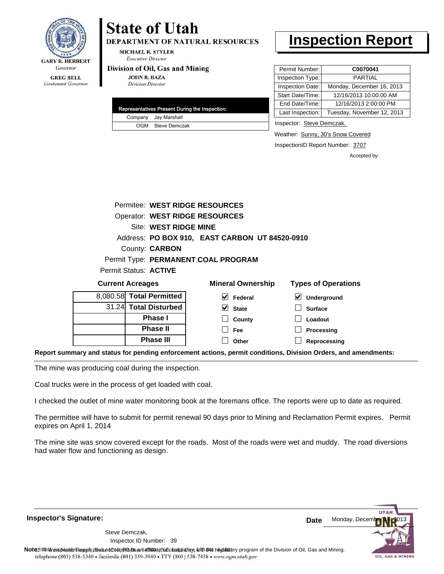

**DEPARTMENT OF NATURAL RESOURCES** 

**MICHAEL R. STYLER Executive Director** 

#### Division of Oil, Gas and Mining

**JOHN R. BAZA Division Director** 

|  | Representatives Present During the Inspection: |
|--|------------------------------------------------|
|  | Company Jay Marshall                           |
|  | OGM Steve Demczak                              |

# **Inspection Report**

| Permit Number:   | C0070041                   |
|------------------|----------------------------|
| Inspection Type: | <b>PARTIAL</b>             |
| Inspection Date: | Monday, December 16, 2013  |
| Start Date/Time: | 12/16/2013 10:00:00 AM     |
| End Date/Time:   | 12/16/2013 2:00:00 PM      |
| Last Inspection: | Tuesday, November 12, 2013 |

Inspector: Steve Demczak,

**Loadout Processing**

Weather: Sunny, 30's Snow Covered

InspectionID Report Number: 3707

Accepted by:

|                          |                       | Permitee: WEST RIDGE RESOURCES                 |                            |  |  |
|--------------------------|-----------------------|------------------------------------------------|----------------------------|--|--|
|                          |                       | Operator: WEST RIDGE RESOURCES                 |                            |  |  |
|                          | Site: WEST RIDGE MINE |                                                |                            |  |  |
|                          |                       | Address: PO BOX 910, EAST CARBON UT 84520-0910 |                            |  |  |
|                          | County: <b>CARBON</b> |                                                |                            |  |  |
|                          |                       | Permit Type: PERMANENT COAL PROGRAM            |                            |  |  |
| Permit Status: ACTIVE    |                       |                                                |                            |  |  |
| <b>Current Acreages</b>  |                       | <b>Mineral Ownership</b>                       | <b>Types of Operations</b> |  |  |
| 8,080.58 Total Permitted |                       | Federal                                        | $\bm{\vee}$<br>Underground |  |  |
|                          | 31.24 Total Disturbed | <b>State</b>                                   | <b>Surface</b>             |  |  |

**County Fee**

 $\perp$ П

**Reprocessing Phase III Report summary and status for pending enforcement actions, permit conditions, Division Orders, and amendments: Other**

The mine was producing coal during the inspection.

Coal trucks were in the process of get loaded with coal.

**Phase I Phase II**

I checked the outlet of mine water monitoring book at the foremans office. The reports were up to date as required.

The permittee will have to submit for permit renewal 90 days prior to Mining and Reclamation Permit expires. Permit expires on April 1, 2014

The mine site was snow covered except for the roads. Most of the roads were wet and muddy. The road diversions had water flow and functioning as design.

**Inspector's Signature:**

Inspector ID Number: 39 Steve Demczak,



Note59#h% inspection reppt does not constitute an affidavit of compliance, with the regulatory program of the Division of Oil, Gas and Mining. telephone (801) 538-5340 · facsimile (801) 359-3940 · TTY (801) 538-7458 · www.ogm.utah.gov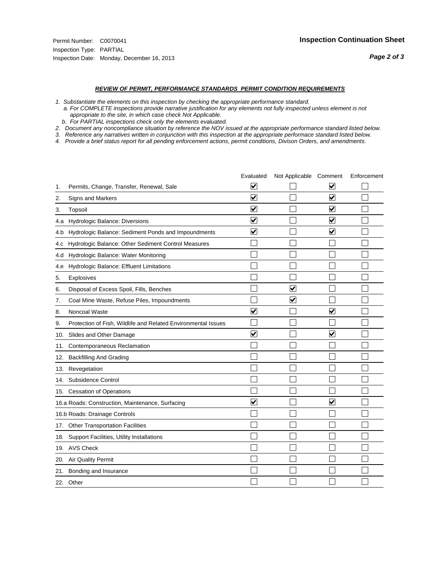#### *REVIEW OF PERMIT, PERFORMANCE STANDARDS PERMIT CONDITION REQUIREMENTS*

*1. Substantiate the elements on this inspection by checking the appropriate performance standard.*

 *a. For COMPLETE inspections provide narrative justification for any elements not fully inspected unless element is not appropriate to the site, in which case check Not Applicable.*

 *b. For PARTIAL inspections check only the elements evaluated.*

*2. Document any noncompliance situation by reference the NOV issued at the appropriate performance standard listed below.*

*3. Reference any narratives written in conjunction with this inspection at the appropriate performace standard listed below.*

|     |                                                               | Evaluated               | Not Applicable Comment  |                                 | Enforcement |
|-----|---------------------------------------------------------------|-------------------------|-------------------------|---------------------------------|-------------|
| 1.  | Permits, Change, Transfer, Renewal, Sale                      | ⊻                       |                         | V                               |             |
| 2.  | Signs and Markers                                             | $\overline{\mathbf{v}}$ |                         | $\overline{\blacktriangledown}$ |             |
| 3.  | Topsoil                                                       | $\overline{\mathbf{v}}$ |                         | $\overline{\mathbf{v}}$         |             |
| 4.a | Hydrologic Balance: Diversions                                | $\blacktriangledown$    |                         | $\blacktriangledown$            |             |
| 4.b | Hydrologic Balance: Sediment Ponds and Impoundments           | $\blacktriangledown$    |                         | $\blacktriangledown$            |             |
| 4.C | Hydrologic Balance: Other Sediment Control Measures           |                         |                         |                                 |             |
| 4.d | Hydrologic Balance: Water Monitoring                          |                         |                         |                                 |             |
| 4.e | Hydrologic Balance: Effluent Limitations                      |                         |                         |                                 |             |
| 5.  | Explosives                                                    |                         |                         |                                 |             |
| 6.  | Disposal of Excess Spoil, Fills, Benches                      |                         | ⊻                       |                                 |             |
| 7.  | Coal Mine Waste, Refuse Piles, Impoundments                   |                         | $\overline{\mathbf{v}}$ |                                 |             |
| 8.  | Noncoal Waste                                                 | $\overline{\mathsf{v}}$ |                         | $\blacktriangledown$            |             |
| 9.  | Protection of Fish, Wildlife and Related Environmental Issues |                         |                         |                                 |             |
| 10. | Slides and Other Damage                                       | ▽                       |                         | $\overline{\mathbf{v}}$         |             |
| 11. | Contemporaneous Reclamation                                   |                         |                         |                                 |             |
| 12. | <b>Backfilling And Grading</b>                                |                         |                         |                                 |             |
| 13. | Revegetation                                                  |                         |                         |                                 |             |
| 14. | Subsidence Control                                            |                         |                         |                                 |             |
|     | 15. Cessation of Operations                                   |                         |                         |                                 |             |
|     | 16.a Roads: Construction, Maintenance, Surfacing              | $\overline{\mathbf{v}}$ |                         | $\overline{\mathbf{v}}$         |             |
|     | 16.b Roads: Drainage Controls                                 |                         |                         |                                 |             |
|     | 17. Other Transportation Facilities                           |                         |                         |                                 |             |
| 18. | Support Facilities, Utility Installations                     |                         |                         |                                 |             |
|     | 19. AVS Check                                                 |                         |                         |                                 |             |
| 20. | <b>Air Quality Permit</b>                                     |                         |                         |                                 |             |
| 21. | Bonding and Insurance                                         |                         |                         |                                 |             |
|     | 22. Other                                                     |                         |                         |                                 |             |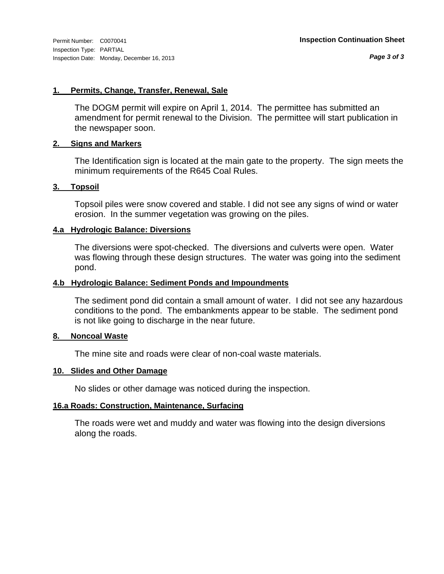#### **1. Permits, Change, Transfer, Renewal, Sale**

The DOGM permit will expire on April 1, 2014. The permittee has submitted an amendment for permit renewal to the Division. The permittee will start publication in the newspaper soon.

#### **2. Signs and Markers**

The Identification sign is located at the main gate to the property. The sign meets the minimum requirements of the R645 Coal Rules.

#### **3. Topsoil**

Topsoil piles were snow covered and stable. I did not see any signs of wind or water erosion. In the summer vegetation was growing on the piles.

#### **4.a Hydrologic Balance: Diversions**

The diversions were spot-checked. The diversions and culverts were open. Water was flowing through these design structures. The water was going into the sediment pond.

#### **4.b Hydrologic Balance: Sediment Ponds and Impoundments**

The sediment pond did contain a small amount of water. I did not see any hazardous conditions to the pond. The embankments appear to be stable. The sediment pond is not like going to discharge in the near future.

#### **8. Noncoal Waste**

The mine site and roads were clear of non-coal waste materials.

#### **10. Slides and Other Damage**

No slides or other damage was noticed during the inspection.

#### **16.a Roads: Construction, Maintenance, Surfacing**

The roads were wet and muddy and water was flowing into the design diversions along the roads.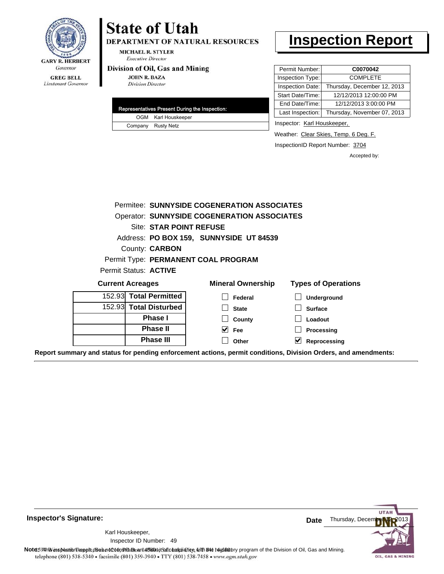

DEPARTMENT OF NATURAL RESOURCES

**MICHAEL R. STYLER Executive Director** 

#### Division of Oil, Gas and Mining

**JOHN R. BAZA Division Director** 

| Representatives Present During the Inspection: |                     |  |
|------------------------------------------------|---------------------|--|
|                                                | OGM Karl Houskeeper |  |
|                                                | Company Rusty Netz  |  |

# **Inspection Report**

| Permit Number:   | C0070042                    |
|------------------|-----------------------------|
| Inspection Type: | <b>COMPLETE</b>             |
| Inspection Date: | Thursday, December 12, 2013 |
| Start Date/Time: | 12/12/2013 12:00:00 PM      |
| End Date/Time:   | 12/12/2013 3:00:00 PM       |
| Last Inspection: | Thursday, November 07, 2013 |

Inspector: Karl Houskeeper,

Weather: Clear Skies, Temp. 6 Deg. F.

InspectionID Report Number: 3704

Accepted by:

|                         | Permitee: SUNNYSIDE COGENERATION ASSOCIATES        |                            |
|-------------------------|----------------------------------------------------|----------------------------|
|                         | <b>Operator: SUNNYSIDE COGENERATION ASSOCIATES</b> |                            |
| Site: STAR POINT REFUSE |                                                    |                            |
|                         | Address: PO BOX 159, SUNNYSIDE UT 84539            |                            |
| County: <b>CARBON</b>   |                                                    |                            |
|                         | Permit Type: PERMANENT COAL PROGRAM                |                            |
| Permit Status: ACTIVE   |                                                    |                            |
| <b>Current Acreages</b> | <b>Mineral Ownership</b>                           | <b>Types of Operations</b> |
| 152.93 Total Permitted  | Federal                                            | <b>Underground</b>         |
| 152.93 Total Disturbed  | <b>State</b>                                       | <b>Surface</b>             |
| <b>Phase I</b>          | County                                             | Loadout                    |
| <b>Phase II</b>         | V<br>Fee                                           | Processing                 |
| <b>Phase III</b>        | Other                                              | Reprocessing               |

**Report summary and status for pending enforcement actions, permit conditions, Division Orders, and amendments:**

**Inspector's Signature:**

49 Inspector ID Number:Karl Houskeeper,



Note: This inspection report does not constitute and affidavitor compliance with the regulatory program of the Division of Oil, Gas and Mining. telephone (801) 538-5340 · facsimile (801) 359-3940 · TTY (801) 538-7458 · www.ogm.utah.gov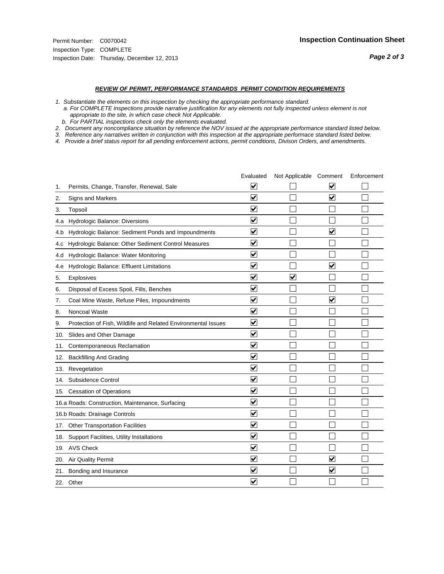#### *REVIEW OF PERMIT, PERFORMANCE STANDARDS PERMIT CONDITION REQUIREMENTS*

*1. Substantiate the elements on this inspection by checking the appropriate performance standard.*

 *a. For COMPLETE inspections provide narrative justification for any elements not fully inspected unless element is not appropriate to the site, in which case check Not Applicable.*

 *b. For PARTIAL inspections check only the elements evaluated.*

*2. Document any noncompliance situation by reference the NOV issued at the appropriate performance standard listed below.*

*3. Reference any narratives written in conjunction with this inspection at the appropriate performace standard listed below.*

|     |                                                               | Evaluated                       | Not Applicable Comment  |                         | Enforcement |
|-----|---------------------------------------------------------------|---------------------------------|-------------------------|-------------------------|-------------|
| 1.  | Permits, Change, Transfer, Renewal, Sale                      | ⊻                               |                         | V                       |             |
| 2.  | <b>Signs and Markers</b>                                      | $\overline{\mathbf{v}}$         |                         | $\blacktriangledown$    |             |
| 3.  | Topsoil                                                       | $\overline{\mathbf{v}}$         |                         |                         |             |
| 4.a | Hydrologic Balance: Diversions                                | ⊽                               |                         |                         |             |
| 4.b | Hydrologic Balance: Sediment Ponds and Impoundments           | $\blacktriangledown$            |                         | ⊻                       |             |
| 4.C | Hydrologic Balance: Other Sediment Control Measures           | $\overline{\mathbf{v}}$         |                         |                         |             |
| 4.d | Hydrologic Balance: Water Monitoring                          | $\overline{\mathbf{v}}$         |                         |                         |             |
| 4.e | Hydrologic Balance: Effluent Limitations                      | $\overline{\mathbf{v}}$         |                         | $\overline{\mathbf{v}}$ |             |
| 5.  | Explosives                                                    | $\overline{\mathbf{v}}$         | $\overline{\mathbf{v}}$ |                         |             |
| 6.  | Disposal of Excess Spoil, Fills, Benches                      | $\overline{\mathsf{v}}$         |                         |                         |             |
| 7.  | Coal Mine Waste, Refuse Piles, Impoundments                   | $\overline{\mathbf{v}}$         |                         | $\overline{\mathbf{v}}$ |             |
| 8.  | Noncoal Waste                                                 | $\overline{\mathbf{v}}$         |                         |                         |             |
| 9.  | Protection of Fish, Wildlife and Related Environmental Issues | $\overline{\mathbf{v}}$         |                         |                         |             |
| 10. | Slides and Other Damage                                       | $\overline{\mathbf{v}}$         |                         |                         |             |
| 11. | Contemporaneous Reclamation                                   | ⊽                               |                         |                         |             |
| 12. | <b>Backfilling And Grading</b>                                | $\overline{\mathbf{v}}$         |                         |                         |             |
| 13. | Revegetation                                                  | $\overline{\mathbf{v}}$         |                         |                         |             |
| 14. | Subsidence Control                                            | $\overline{\mathbf{v}}$         |                         |                         |             |
|     | 15. Cessation of Operations                                   | $\overline{\blacktriangledown}$ |                         |                         |             |
|     | 16.a Roads: Construction, Maintenance, Surfacing              | $\checkmark$                    |                         |                         |             |
|     | 16.b Roads: Drainage Controls                                 | ⊽                               |                         |                         |             |
|     | 17. Other Transportation Facilities                           | $\overline{\mathbf{v}}$         |                         |                         |             |
| 18. | Support Facilities, Utility Installations                     | $\overline{\mathbf{v}}$         |                         |                         |             |
|     | 19. AVS Check                                                 | $\overline{\mathbf{v}}$         |                         |                         |             |
| 20. | Air Quality Permit                                            | $\checkmark$                    |                         | $\blacktriangledown$    |             |
| 21. | Bonding and Insurance                                         | ⊻                               |                         | $\blacktriangledown$    |             |
|     | 22. Other                                                     | $\blacktriangledown$            |                         |                         |             |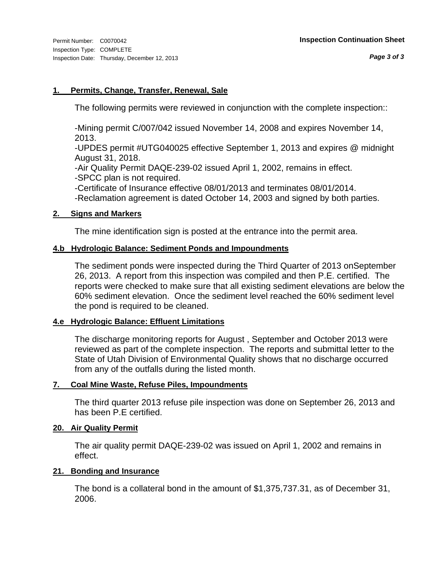### **1. Permits, Change, Transfer, Renewal, Sale**

The following permits were reviewed in conjunction with the complete inspection::

-Mining permit C/007/042 issued November 14, 2008 and expires November 14, 2013.

-UPDES permit #UTG040025 effective September 1, 2013 and expires @ midnight August 31, 2018.

-Air Quality Permit DAQE-239-02 issued April 1, 2002, remains in effect. -SPCC plan is not required.

-Certificate of Insurance effective 08/01/2013 and terminates 08/01/2014.

-Reclamation agreement is dated October 14, 2003 and signed by both parties.

### **2. Signs and Markers**

The mine identification sign is posted at the entrance into the permit area.

### **4.b Hydrologic Balance: Sediment Ponds and Impoundments**

The sediment ponds were inspected during the Third Quarter of 2013 onSeptember 26, 2013. A report from this inspection was compiled and then P.E. certified. The reports were checked to make sure that all existing sediment elevations are below the 60% sediment elevation. Once the sediment level reached the 60% sediment level the pond is required to be cleaned.

### **4.e Hydrologic Balance: Effluent Limitations**

The discharge monitoring reports for August , September and October 2013 were reviewed as part of the complete inspection. The reports and submittal letter to the State of Utah Division of Environmental Quality shows that no discharge occurred from any of the outfalls during the listed month.

### **7. Coal Mine Waste, Refuse Piles, Impoundments**

The third quarter 2013 refuse pile inspection was done on September 26, 2013 and has been P.E certified.

### **20. Air Quality Permit**

The air quality permit DAQE-239-02 was issued on April 1, 2002 and remains in effect.

### **21. Bonding and Insurance**

The bond is a collateral bond in the amount of \$1,375,737.31, as of December 31, 2006.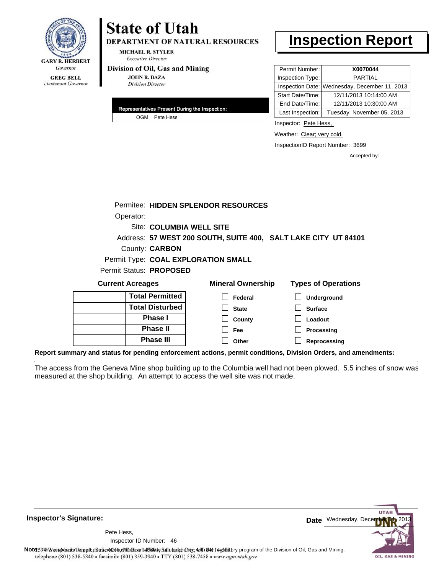

**DEPARTMENT OF NATURAL RESOURCES** 

**MICHAEL R. STYLER Executive Director** 

#### Division of Oil, Gas and Mining

**JOHN R. BAZA Division Director** 

| Representatives Present During the Inspection: |
|------------------------------------------------|
| OGM Pete Hess                                  |

# **Inspection Report**

| Permit Number:   | X0070044                                      |
|------------------|-----------------------------------------------|
| Inspection Type: | <b>PARTIAL</b>                                |
|                  | Inspection Date: Wednesday, December 11, 2013 |
| Start Date/Time: | 12/11/2013 10:14:00 AM                        |
| End Date/Time:   | 12/11/2013 10:30:00 AM                        |
| Last Inspection: | Tuesday, November 05, 2013                    |

Inspector: Pete Hess,

Weather: Clear; very cold.

InspectionID Report Number: 3699

Accepted by:

|                         |                         | Permitee: HIDDEN SPLENDOR RESOURCES |                                                                |
|-------------------------|-------------------------|-------------------------------------|----------------------------------------------------------------|
| Operator:               |                         |                                     |                                                                |
|                         |                         | Site: COLUMBIA WELL SITE            |                                                                |
|                         |                         |                                     | Address: 57 WEST 200 SOUTH, SUITE 400, SALT LAKE CITY UT 84101 |
|                         | County: <b>CARBON</b>   |                                     |                                                                |
|                         |                         | Permit Type: COAL EXPLORATION SMALL |                                                                |
|                         | Permit Status: PROPOSED |                                     |                                                                |
| <b>Current Acreages</b> |                         | <b>Mineral Ownership</b>            | <b>Types of Operations</b>                                     |
|                         | <b>Total Permitted</b>  | Federal                             | Underground                                                    |
|                         | <b>Total Disturbed</b>  | <b>State</b>                        | <b>Surface</b>                                                 |
|                         | Phase I                 | County                              | Loadout                                                        |
|                         | <b>Phase II</b>         | <b>Fee</b>                          | Processing                                                     |
|                         | <b>Phase III</b>        | Other                               | Reprocessing                                                   |

**Report summary and status for pending enforcement actions, permit conditions, Division Orders, and amendments:**

The access from the Geneva Mine shop building up to the Columbia well had not been plowed. 5.5 inches of snow was measured at the shop building. An attempt to access the well site was not made.



**Inspector's Signature:**

46 Inspector ID Number:Pete Hess,

Note: This inspection report does not constitute and affidavitor compliance with the regulatory program of the Division of Oil, Gas and Mining. telephone (801) 538-5340 · facsimile (801) 359-3940 · TTY (801) 538-7458 · www.ogm.utah.gov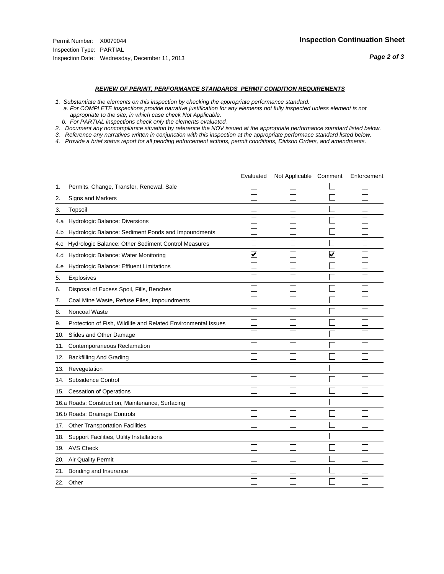#### *REVIEW OF PERMIT, PERFORMANCE STANDARDS PERMIT CONDITION REQUIREMENTS*

*1. Substantiate the elements on this inspection by checking the appropriate performance standard.*

 *a. For COMPLETE inspections provide narrative justification for any elements not fully inspected unless element is not appropriate to the site, in which case check Not Applicable.*

 *b. For PARTIAL inspections check only the elements evaluated.*

*2. Document any noncompliance situation by reference the NOV issued at the appropriate performance standard listed below.*

*3. Reference any narratives written in conjunction with this inspection at the appropriate performace standard listed below.*

|     |                                                               | Evaluated               | Not Applicable Comment |                      | Enforcement |
|-----|---------------------------------------------------------------|-------------------------|------------------------|----------------------|-------------|
| 1.  | Permits, Change, Transfer, Renewal, Sale                      |                         |                        |                      |             |
| 2.  | Signs and Markers                                             |                         |                        |                      |             |
| 3.  | Topsoil                                                       |                         |                        |                      |             |
| 4.a | Hydrologic Balance: Diversions                                |                         |                        |                      |             |
| 4.b | Hydrologic Balance: Sediment Ponds and Impoundments           |                         |                        |                      |             |
| 4.C | Hydrologic Balance: Other Sediment Control Measures           |                         |                        |                      |             |
| 4.d | Hydrologic Balance: Water Monitoring                          | $\overline{\mathbf{v}}$ |                        | $\blacktriangledown$ |             |
| 4.e | Hydrologic Balance: Effluent Limitations                      |                         |                        |                      |             |
| 5.  | <b>Explosives</b>                                             |                         |                        |                      |             |
| 6.  | Disposal of Excess Spoil, Fills, Benches                      |                         |                        |                      |             |
| 7.  | Coal Mine Waste, Refuse Piles, Impoundments                   |                         |                        |                      |             |
| 8.  | Noncoal Waste                                                 |                         |                        |                      |             |
| 9.  | Protection of Fish, Wildlife and Related Environmental Issues |                         |                        |                      |             |
| 10. | Slides and Other Damage                                       |                         |                        |                      |             |
| 11. | Contemporaneous Reclamation                                   |                         |                        |                      |             |
| 12. | <b>Backfilling And Grading</b>                                |                         |                        |                      |             |
| 13. | Revegetation                                                  |                         |                        |                      |             |
| 14. | Subsidence Control                                            |                         |                        |                      |             |
|     | 15. Cessation of Operations                                   |                         |                        |                      |             |
|     | 16.a Roads: Construction, Maintenance, Surfacing              |                         |                        |                      |             |
|     | 16.b Roads: Drainage Controls                                 |                         |                        |                      |             |
| 17. | <b>Other Transportation Facilities</b>                        |                         |                        |                      |             |
| 18. | Support Facilities, Utility Installations                     |                         |                        |                      |             |
|     | 19. AVS Check                                                 |                         |                        |                      |             |
| 20. | Air Quality Permit                                            |                         |                        |                      |             |
| 21. | Bonding and Insurance                                         |                         |                        |                      |             |
|     | 22. Other                                                     |                         |                        |                      |             |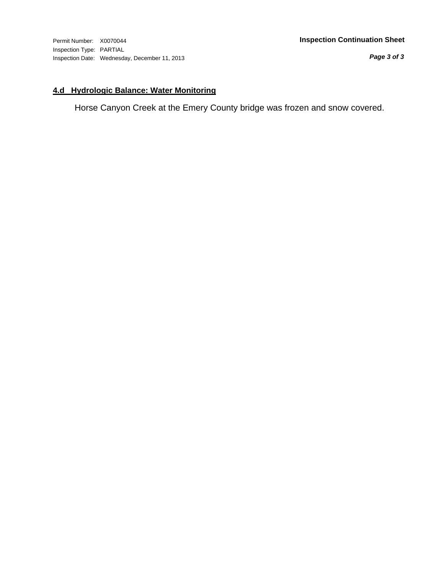*Page 3 of 3*

## **4.d Hydrologic Balance: Water Monitoring**

Horse Canyon Creek at the Emery County bridge was frozen and snow covered.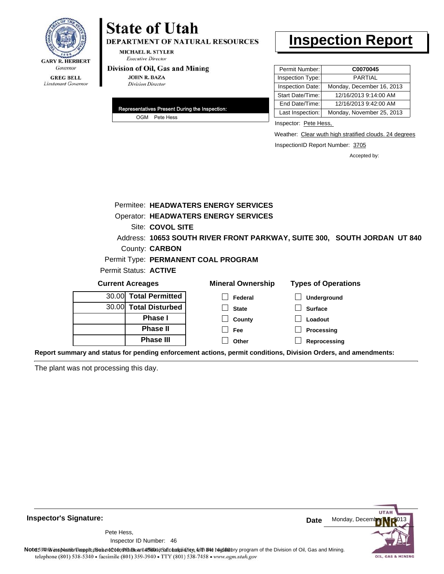

DEPARTMENT OF NATURAL RESOURCES

**MICHAEL R. STYLER Executive Director** 

#### Division of Oil, Gas and Mining

**JOHN R. BAZA Division Director** 

| Representatives Present During the Inspection: |
|------------------------------------------------|
| OGM Pete Hess                                  |

# **Inspection Report**

| Permit Number:   | C0070045                  |
|------------------|---------------------------|
| Inspection Type: | <b>PARTIAL</b>            |
| Inspection Date: | Monday, December 16, 2013 |
| Start Date/Time: | 12/16/2013 9:14:00 AM     |
| End Date/Time:   | 12/16/2013 9:42:00 AM     |
| Last Inspection: | Monday, November 25, 2013 |

Inspector: Pete Hess,

Weather: Clear wuth high stratified clouds. 24 degrees

InspectionID Report Number: 3705

Accepted by:

|                                                                                                                | Permitee: HEADWATERS ENERGY SERVICES        |                                                                          |
|----------------------------------------------------------------------------------------------------------------|---------------------------------------------|--------------------------------------------------------------------------|
|                                                                                                                | <b>Operator: HEADWATERS ENERGY SERVICES</b> |                                                                          |
| Site: COVOL SITE                                                                                               |                                             |                                                                          |
|                                                                                                                |                                             | Address: 10653 SOUTH RIVER FRONT PARKWAY, SUITE 300, SOUTH JORDAN UT 840 |
| County: <b>CARBON</b>                                                                                          |                                             |                                                                          |
|                                                                                                                | Permit Type: PERMANENT COAL PROGRAM         |                                                                          |
| Permit Status: ACTIVE                                                                                          |                                             |                                                                          |
| <b>Current Acreages</b>                                                                                        | <b>Mineral Ownership</b>                    | <b>Types of Operations</b>                                               |
| <b>Total Permitted</b><br>30.00                                                                                | Federal                                     | <b>Underground</b>                                                       |
| 30.00 Total Disturbed                                                                                          | <b>State</b>                                | <b>Surface</b>                                                           |
| <b>Phase I</b>                                                                                                 | County                                      | Loadout                                                                  |
| <b>Phase II</b>                                                                                                | Fee                                         | Processing                                                               |
| <b>Phase III</b>                                                                                               | Other                                       | Reprocessing                                                             |
| Report summary and status for pending enforcement actions, permit conditions, Division Orders, and amendments: |                                             |                                                                          |

The plant was not processing this day.



**Inspector's Signature:**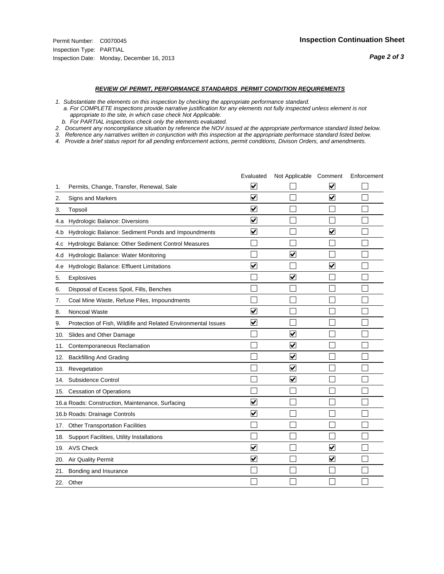#### *REVIEW OF PERMIT, PERFORMANCE STANDARDS PERMIT CONDITION REQUIREMENTS*

*1. Substantiate the elements on this inspection by checking the appropriate performance standard.*

 *a. For COMPLETE inspections provide narrative justification for any elements not fully inspected unless element is not appropriate to the site, in which case check Not Applicable.*

 *b. For PARTIAL inspections check only the elements evaluated.*

*2. Document any noncompliance situation by reference the NOV issued at the appropriate performance standard listed below.*

*3. Reference any narratives written in conjunction with this inspection at the appropriate performace standard listed below.*

|     |                                                               | Evaluated               | Not Applicable Comment  |                                 | Enforcement |
|-----|---------------------------------------------------------------|-------------------------|-------------------------|---------------------------------|-------------|
| 1.  | Permits, Change, Transfer, Renewal, Sale                      | ⊻                       |                         | V                               |             |
| 2.  | <b>Signs and Markers</b>                                      | $\overline{\mathbf{v}}$ |                         | $\overline{\blacktriangledown}$ |             |
| 3.  | Topsoil                                                       | $\overline{\mathbf{v}}$ |                         |                                 |             |
| 4.a | Hydrologic Balance: Diversions                                | ⊽                       |                         |                                 |             |
| 4.b | Hydrologic Balance: Sediment Ponds and Impoundments           | $\blacktriangledown$    |                         | ⊻                               |             |
| 4.C | Hydrologic Balance: Other Sediment Control Measures           |                         |                         |                                 |             |
| 4.d | Hydrologic Balance: Water Monitoring                          |                         | ▽                       |                                 |             |
| 4.e | Hydrologic Balance: Effluent Limitations                      | ▽                       |                         | $\overline{\mathsf{v}}$         |             |
| 5.  | Explosives                                                    |                         | $\overline{\mathsf{v}}$ |                                 |             |
| 6.  | Disposal of Excess Spoil, Fills, Benches                      |                         |                         |                                 |             |
| 7.  | Coal Mine Waste, Refuse Piles, Impoundments                   |                         |                         |                                 |             |
| 8.  | Noncoal Waste                                                 | $\overline{\mathbf{v}}$ |                         |                                 |             |
| 9.  | Protection of Fish, Wildlife and Related Environmental Issues | $\blacktriangledown$    |                         |                                 |             |
| 10. | Slides and Other Damage                                       |                         | $\overline{\mathsf{v}}$ |                                 |             |
| 11. | Contemporaneous Reclamation                                   |                         | ⊽                       |                                 |             |
| 12. | <b>Backfilling And Grading</b>                                |                         | $\overline{\mathbf{v}}$ |                                 |             |
| 13. | Revegetation                                                  |                         | $\overline{\mathbf{v}}$ |                                 |             |
| 14. | Subsidence Control                                            |                         | $\overline{\mathbf{v}}$ |                                 |             |
|     | 15. Cessation of Operations                                   |                         |                         |                                 |             |
|     | 16.a Roads: Construction, Maintenance, Surfacing              | $\blacktriangledown$    |                         |                                 |             |
|     | 16.b Roads: Drainage Controls                                 | ⊽                       |                         |                                 |             |
|     | 17. Other Transportation Facilities                           |                         |                         |                                 |             |
| 18. | Support Facilities, Utility Installations                     |                         |                         |                                 |             |
|     | 19. AVS Check                                                 | $\overline{\mathbf{v}}$ |                         | ☑                               |             |
| 20. | Air Quality Permit                                            | $\blacktriangledown$    |                         | $\blacktriangledown$            |             |
|     | 21. Bonding and Insurance                                     |                         |                         |                                 |             |
|     | 22. Other                                                     |                         |                         |                                 |             |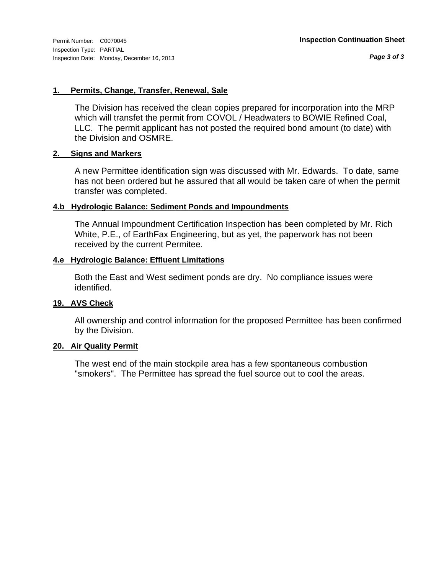*Page 3 of 3*

#### **1. Permits, Change, Transfer, Renewal, Sale**

The Division has received the clean copies prepared for incorporation into the MRP which will transfet the permit from COVOL / Headwaters to BOWIE Refined Coal, LLC. The permit applicant has not posted the required bond amount (to date) with the Division and OSMRE.

#### **2. Signs and Markers**

A new Permittee identification sign was discussed with Mr. Edwards. To date, same has not been ordered but he assured that all would be taken care of when the permit transfer was completed.

#### **4.b Hydrologic Balance: Sediment Ponds and Impoundments**

The Annual Impoundment Certification Inspection has been completed by Mr. Rich White, P.E., of EarthFax Engineering, but as yet, the paperwork has not been received by the current Permitee.

#### **4.e Hydrologic Balance: Effluent Limitations**

Both the East and West sediment ponds are dry. No compliance issues were identified.

### **19. AVS Check**

All ownership and control information for the proposed Permittee has been confirmed by the Division.

### **20. Air Quality Permit**

The west end of the main stockpile area has a few spontaneous combustion "smokers". The Permittee has spread the fuel source out to cool the areas.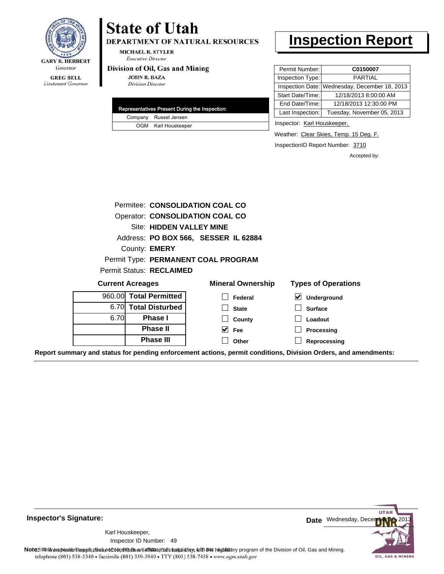

Lieutenant Governor

# **State of Utah**

DEPARTMENT OF NATURAL RESOURCES

**MICHAEL R. STYLER Executive Director** 

#### Division of Oil, Gas and Mining

**JOHN R. BAZA Division Director** 

| Representatives Present During the Inspection: |
|------------------------------------------------|
| Company Russel Jensen                          |
| OGM Karl Houskeeper                            |

# **Inspection Report**

| Permit Number:<br>C0150007                     |
|------------------------------------------------|
| Inspection Type:<br><b>PARTIAL</b>             |
| Inspection Date: Wednesday, December 18, 2013  |
| 12/18/2013 8:00:00 AM<br>Start Date/Time:      |
| 12/18/2013 12:30:00 PM<br>End Date/Time:       |
| Last Inspection:<br>Tuesday, November 05, 2013 |
|                                                |

Inspector: Karl Houskeeper,

Weather: Clear Skies, Temp. 15 Deg. F.

InspectionID Report Number: 3710

Accepted by:

|      | Permitee: CONSOLIDATION COAL CO        |                                      |                                            |
|------|----------------------------------------|--------------------------------------|--------------------------------------------|
|      | <b>Operator: CONSOLIDATION COAL CO</b> |                                      |                                            |
|      | Site: HIDDEN VALLEY MINE               |                                      |                                            |
|      |                                        | Address: PO BOX 566, SESSER IL 62884 |                                            |
|      | County: EMERY                          |                                      |                                            |
|      |                                        | Permit Type: PERMANENT COAL PROGRAM  |                                            |
|      | Permit Status: RECLAIMED               |                                      |                                            |
|      | <b>Current Acreages</b>                | <b>Mineral Ownership</b>             | <b>Types of Operations</b>                 |
|      | 960.00 Total Permitted                 | Federal                              | $\vert\bm{\checkmark}\vert$<br>Underground |
|      | 6.70 Total Disturbed                   | <b>State</b>                         | <b>Surface</b>                             |
| 6.70 | Phase I                                | County                               | Loadout                                    |
|      | <b>Phase II</b>                        | $ V $ Fee                            | Processing                                 |
|      | <b>Phase III</b>                       | Other                                | Reprocessing                               |
|      |                                        |                                      |                                            |

**Report summary and status for pending enforcement actions, permit conditions, Division Orders, and amendments:**

**Inspector's Signature:**

49 Inspector ID Number:Karl Houskeeper,



Note: This inspection report does not constitute and affidavitor compliance with the regulatory program of the Division of Oil, Gas and Mining. telephone (801) 538-5340 · facsimile (801) 359-3940 · TTY (801) 538-7458 · www.ogm.utah.gov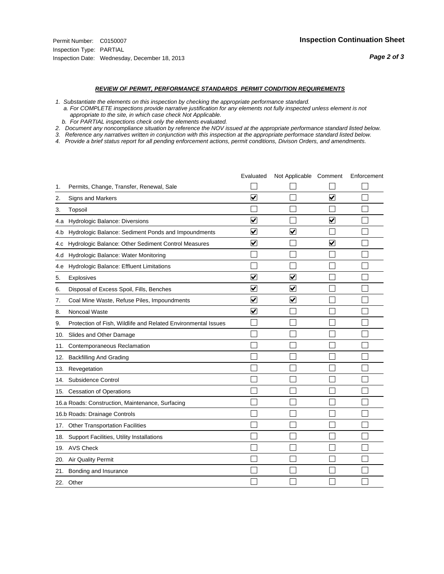#### *REVIEW OF PERMIT, PERFORMANCE STANDARDS PERMIT CONDITION REQUIREMENTS*

*1. Substantiate the elements on this inspection by checking the appropriate performance standard.*

 *a. For COMPLETE inspections provide narrative justification for any elements not fully inspected unless element is not appropriate to the site, in which case check Not Applicable.*

 *b. For PARTIAL inspections check only the elements evaluated.*

*2. Document any noncompliance situation by reference the NOV issued at the appropriate performance standard listed below.*

*3. Reference any narratives written in conjunction with this inspection at the appropriate performace standard listed below.*

|     |                                                               | Evaluated               | Not Applicable Comment  |                         | Enforcement |
|-----|---------------------------------------------------------------|-------------------------|-------------------------|-------------------------|-------------|
| 1.  | Permits, Change, Transfer, Renewal, Sale                      |                         |                         |                         |             |
| 2.  | <b>Signs and Markers</b>                                      | $\overline{\mathbf{v}}$ |                         | $\overline{\mathbf{v}}$ |             |
| 3.  | Topsoil                                                       |                         |                         |                         |             |
| 4.a | Hydrologic Balance: Diversions                                | ⊽                       |                         | $\overline{\mathbf{v}}$ |             |
| 4.b | Hydrologic Balance: Sediment Ponds and Impoundments           | $\blacktriangledown$    | ⊻                       |                         |             |
| 4.C | Hydrologic Balance: Other Sediment Control Measures           | $\overline{\mathbf{v}}$ |                         | $\blacktriangledown$    |             |
| 4.d | Hydrologic Balance: Water Monitoring                          |                         |                         |                         |             |
| 4.e | Hydrologic Balance: Effluent Limitations                      |                         |                         |                         |             |
| 5.  | Explosives                                                    | $\overline{\mathbf{v}}$ | $\overline{\mathbf{v}}$ |                         |             |
| 6.  | Disposal of Excess Spoil, Fills, Benches                      | ⊽                       | $\blacktriangledown$    |                         |             |
| 7.  | Coal Mine Waste, Refuse Piles, Impoundments                   | $\overline{\mathbf{v}}$ | $\blacktriangledown$    |                         |             |
| 8.  | Noncoal Waste                                                 | $\overline{\mathbf{v}}$ |                         |                         |             |
| 9.  | Protection of Fish, Wildlife and Related Environmental Issues |                         |                         |                         |             |
| 10. | Slides and Other Damage                                       |                         |                         |                         |             |
| 11. | Contemporaneous Reclamation                                   |                         |                         |                         |             |
| 12. | <b>Backfilling And Grading</b>                                |                         |                         |                         |             |
| 13. | Revegetation                                                  |                         |                         |                         |             |
| 14. | Subsidence Control                                            |                         |                         |                         |             |
|     | 15. Cessation of Operations                                   |                         |                         |                         |             |
|     | 16.a Roads: Construction, Maintenance, Surfacing              |                         |                         |                         |             |
|     | 16.b Roads: Drainage Controls                                 |                         |                         |                         |             |
| 17. | <b>Other Transportation Facilities</b>                        |                         |                         |                         |             |
| 18. | Support Facilities, Utility Installations                     |                         |                         |                         |             |
|     | 19. AVS Check                                                 |                         |                         |                         |             |
| 20. | Air Quality Permit                                            |                         |                         |                         |             |
| 21. | Bonding and Insurance                                         |                         |                         |                         |             |
|     | 22. Other                                                     |                         |                         |                         |             |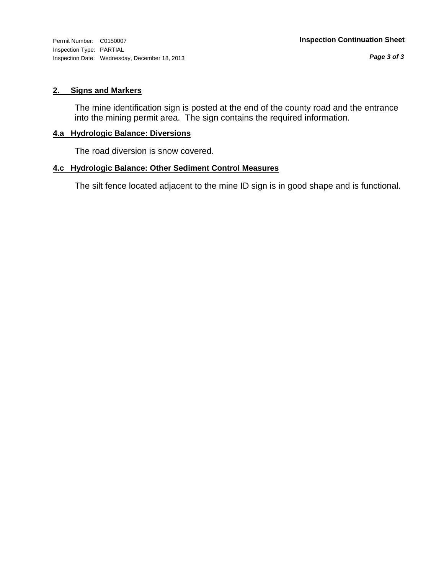#### **2. Signs and Markers**

The mine identification sign is posted at the end of the county road and the entrance into the mining permit area. The sign contains the required information.

#### **4.a Hydrologic Balance: Diversions**

The road diversion is snow covered.

#### **4.c Hydrologic Balance: Other Sediment Control Measures**

The silt fence located adjacent to the mine ID sign is in good shape and is functional.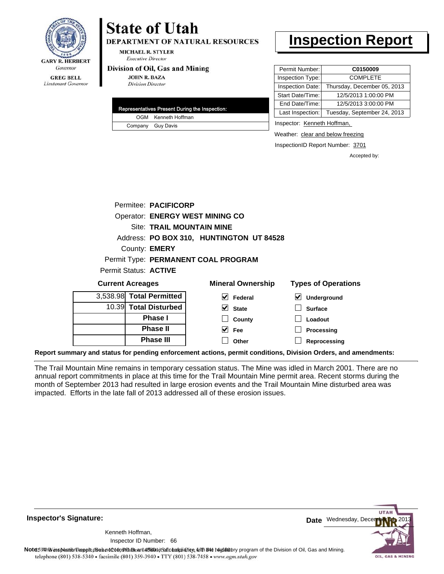

**DEPARTMENT OF NATURAL RESOURCES** 

**MICHAEL R. STYLER Executive Director** 

#### Division of Oil, Gas and Mining

**Phase II Phase III**

**JOHN R. BAZA Division Director** 

| Representatives Present During the Inspection: |
|------------------------------------------------|
| OGM Kenneth Hoffman                            |
| Company Guy Davis                              |

# **Inspection Report**

| Permit Number:   | C0150009                    |
|------------------|-----------------------------|
| Inspection Type: | <b>COMPLETE</b>             |
| Inspection Date: | Thursday, December 05, 2013 |
| Start Date/Time: | 12/5/2013 1:00:00 PM        |
| End Date/Time:   | 12/5/2013 3:00:00 PM        |
| Last Inspection: | Tuesday, September 24, 2013 |

Inspector: Kenneth Hoffman,

Weather: clear and below freezing

**Processing Reprocessing**

InspectionID Report Number: 3701

Accepted by:

|                         | Permitee: PACIFICORP             |                                          |                                     |
|-------------------------|----------------------------------|------------------------------------------|-------------------------------------|
|                         |                                  | <b>Operator: ENERGY WEST MINING CO</b>   |                                     |
|                         | <b>Site: TRAIL MOUNTAIN MINE</b> |                                          |                                     |
|                         |                                  | Address: PO BOX 310, HUNTINGTON UT 84528 |                                     |
|                         | County: <b>EMERY</b>             |                                          |                                     |
|                         |                                  | Permit Type: PERMANENT COAL PROGRAM      |                                     |
|                         | Permit Status: ACTIVE            |                                          |                                     |
| <b>Current Acreages</b> |                                  | <b>Mineral Ownership</b>                 | <b>Types of Operations</b>          |
|                         | 3,538.98 Total Permitted         | $ v $ Federal                            | $\blacktriangledown$<br>Underground |
|                         | 10.39 Total Disturbed            | V<br><b>State</b>                        | <b>Surface</b>                      |
|                         | <b>Phase I</b>                   | County                                   | Loadout                             |

**Fee Other**

**Report summary and status for pending enforcement actions, permit conditions, Division Orders, and amendments:**

The Trail Mountain Mine remains in temporary cessation status. The Mine was idled in March 2001. There are no annual report commitments in place at this time for the Trail Mountain Mine permit area. Recent storms during the month of September 2013 had resulted in large erosion events and the Trail Mountain Mine disturbed area was impacted. Efforts in the late fall of 2013 addressed all of these erosion issues.

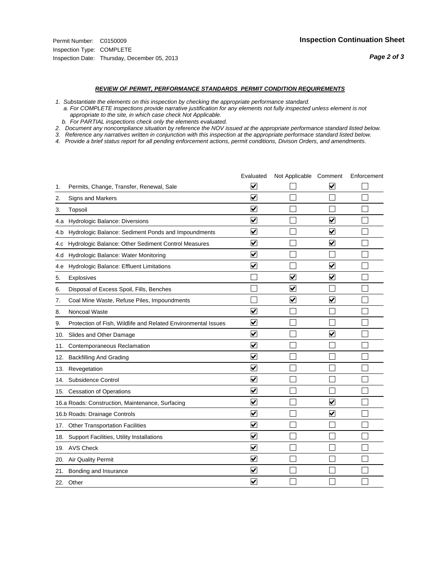#### *REVIEW OF PERMIT, PERFORMANCE STANDARDS PERMIT CONDITION REQUIREMENTS*

*1. Substantiate the elements on this inspection by checking the appropriate performance standard.*

 *a. For COMPLETE inspections provide narrative justification for any elements not fully inspected unless element is not appropriate to the site, in which case check Not Applicable.*

 *b. For PARTIAL inspections check only the elements evaluated.*

*2. Document any noncompliance situation by reference the NOV issued at the appropriate performance standard listed below.*

*3. Reference any narratives written in conjunction with this inspection at the appropriate performace standard listed below.*

|     |                                                               | Evaluated                       | Not Applicable Comment  |                         | Enforcement |
|-----|---------------------------------------------------------------|---------------------------------|-------------------------|-------------------------|-------------|
| 1.  | Permits, Change, Transfer, Renewal, Sale                      | V                               |                         | V                       |             |
| 2.  | <b>Signs and Markers</b>                                      | $\overline{\mathbf{v}}$         |                         |                         |             |
| 3.  | Topsoil                                                       | $\overline{\mathbf{v}}$         |                         |                         |             |
| 4.a | Hydrologic Balance: Diversions                                | ⊽                               |                         | $\blacktriangledown$    |             |
| 4.b | Hydrologic Balance: Sediment Ponds and Impoundments           | $\overline{\mathbf{v}}$         |                         | $\blacktriangledown$    |             |
| 4.C | Hydrologic Balance: Other Sediment Control Measures           | $\overline{\mathbf{v}}$         |                         | $\blacktriangledown$    |             |
| 4.d | Hydrologic Balance: Water Monitoring                          | $\overline{\mathbf{v}}$         |                         |                         |             |
| 4.e | Hydrologic Balance: Effluent Limitations                      | $\overline{\mathbf{v}}$         |                         | $\blacktriangledown$    |             |
| 5.  | <b>Explosives</b>                                             |                                 | $\overline{\mathsf{v}}$ | $\blacktriangledown$    |             |
| 6.  | Disposal of Excess Spoil, Fills, Benches                      |                                 | $\blacktriangledown$    |                         |             |
| 7.  | Coal Mine Waste, Refuse Piles, Impoundments                   |                                 | $\overline{\mathbf{v}}$ | $\overline{\mathbf{v}}$ |             |
| 8.  | Noncoal Waste                                                 | $\overline{\blacktriangledown}$ |                         |                         |             |
| 9.  | Protection of Fish, Wildlife and Related Environmental Issues | $\overline{\mathbf{v}}$         |                         |                         |             |
| 10. | Slides and Other Damage                                       | $\overline{\mathbf{v}}$         |                         | $\overline{\mathbf{v}}$ |             |
| 11. | Contemporaneous Reclamation                                   | ⊻                               |                         |                         |             |
| 12. | <b>Backfilling And Grading</b>                                | $\overline{\mathbf{v}}$         |                         |                         |             |
| 13. | Revegetation                                                  | $\overline{\mathbf{v}}$         |                         |                         |             |
| 14. | Subsidence Control                                            | $\overline{\mathbf{v}}$         |                         |                         |             |
|     | 15. Cessation of Operations                                   | $\blacktriangledown$            |                         |                         |             |
|     | 16.a Roads: Construction, Maintenance, Surfacing              | $\blacktriangledown$            |                         | V                       |             |
|     | 16.b Roads: Drainage Controls                                 | ⊽                               |                         | $\blacktriangledown$    |             |
|     | 17. Other Transportation Facilities                           | $\overline{\mathbf{v}}$         |                         |                         |             |
| 18. | Support Facilities, Utility Installations                     | $\overline{\mathbf{v}}$         |                         |                         |             |
|     | 19. AVS Check                                                 | $\overline{\mathbf{v}}$         |                         |                         |             |
| 20. | <b>Air Quality Permit</b>                                     | $\checkmark$                    |                         |                         |             |
| 21. | Bonding and Insurance                                         | ⊻                               |                         |                         |             |
|     | 22. Other                                                     | $\blacktriangledown$            |                         |                         |             |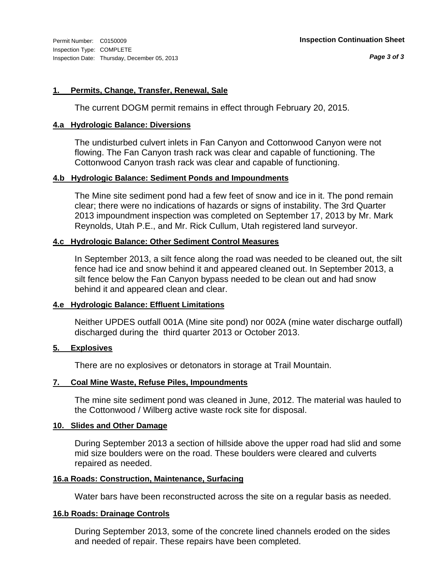#### **1. Permits, Change, Transfer, Renewal, Sale**

The current DOGM permit remains in effect through February 20, 2015.

#### **4.a Hydrologic Balance: Diversions**

The undisturbed culvert inlets in Fan Canyon and Cottonwood Canyon were not flowing. The Fan Canyon trash rack was clear and capable of functioning. The Cottonwood Canyon trash rack was clear and capable of functioning.

#### **4.b Hydrologic Balance: Sediment Ponds and Impoundments**

The Mine site sediment pond had a few feet of snow and ice in it. The pond remain clear; there were no indications of hazards or signs of instability. The 3rd Quarter 2013 impoundment inspection was completed on September 17, 2013 by Mr. Mark Reynolds, Utah P.E., and Mr. Rick Cullum, Utah registered land surveyor.

### **4.c Hydrologic Balance: Other Sediment Control Measures**

In September 2013, a silt fence along the road was needed to be cleaned out, the silt fence had ice and snow behind it and appeared cleaned out. In September 2013, a silt fence below the Fan Canyon bypass needed to be clean out and had snow behind it and appeared clean and clear.

### **4.e Hydrologic Balance: Effluent Limitations**

Neither UPDES outfall 001A (Mine site pond) nor 002A (mine water discharge outfall) discharged during the third quarter 2013 or October 2013.

#### **5. Explosives**

There are no explosives or detonators in storage at Trail Mountain.

### **7. Coal Mine Waste, Refuse Piles, Impoundments**

The mine site sediment pond was cleaned in June, 2012. The material was hauled to the Cottonwood / Wilberg active waste rock site for disposal.

#### **10. Slides and Other Damage**

During September 2013 a section of hillside above the upper road had slid and some mid size boulders were on the road. These boulders were cleared and culverts repaired as needed.

#### **16.a Roads: Construction, Maintenance, Surfacing**

Water bars have been reconstructed across the site on a regular basis as needed.

#### **16.b Roads: Drainage Controls**

During September 2013, some of the concrete lined channels eroded on the sides and needed of repair. These repairs have been completed.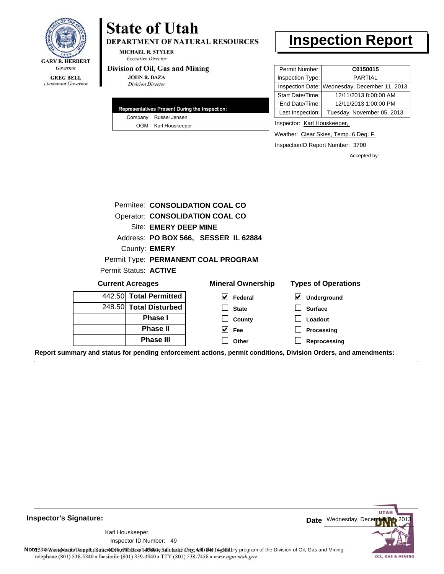

Lieutenant Governor

## **State of Utah** DEPARTMENT OF NATURAL RESOURCES

**MICHAEL R. STYLER Executive Director** 

#### Division of Oil, Gas and Mining

**JOHN R. BAZA Division Director** 

|  | Representatives Present During the Inspection: |
|--|------------------------------------------------|
|  | Company Russel Jensen                          |
|  | OGM Karl Houskeeper                            |

## **Inspection Report**

| Permit Number:   | C0150015                                      |
|------------------|-----------------------------------------------|
| Inspection Type: | <b>PARTIAL</b>                                |
|                  | Inspection Date: Wednesday, December 11, 2013 |
| Start Date/Time: | 12/11/2013 8:00:00 AM                         |
| End Date/Time:   | 12/11/2013 1:00:00 PM                         |
| Last Inspection: | Tuesday, November 05, 2013                    |

Inspector: Karl Houskeeper,

Weather: Clear Skies, Temp. 6 Deg. F.

InspectionID Report Number: 3700

Accepted by:

|                         |                        | Permitee: CONSOLIDATION COAL CO        |                                     |
|-------------------------|------------------------|----------------------------------------|-------------------------------------|
|                         |                        | <b>Operator: CONSOLIDATION COAL CO</b> |                                     |
|                         | Site: EMERY DEEP MINE  |                                        |                                     |
|                         |                        | Address: PO BOX 566, SESSER IL 62884   |                                     |
|                         | County: <b>EMERY</b>   |                                        |                                     |
|                         |                        | Permit Type: PERMANENT COAL PROGRAM    |                                     |
|                         | Permit Status: ACTIVE  |                                        |                                     |
| <b>Current Acreages</b> |                        | <b>Mineral Ownership</b>               | <b>Types of Operations</b>          |
|                         | 442.50 Total Permitted | $\vert \mathbf{v} \vert$ Federal       | $\blacktriangledown$<br>Underground |
|                         | 248.50 Total Disturbed | <b>State</b>                           | <b>Surface</b>                      |
|                         | <b>Phase I</b>         | County                                 | Loadout                             |
|                         | <b>Phase II</b>        | $ v $ Fee                              | Processing                          |
|                         | <b>Phase III</b>       | Other                                  | Reprocessing                        |

**Report summary and status for pending enforcement actions, permit conditions, Division Orders, and amendments:**

**Inspector's Signature:**

49 Inspector ID Number:Karl Houskeeper,



Note: This inspection report does not constitute and affidavitor compliance with the regulatory program of the Division of Oil, Gas and Mining. telephone (801) 538-5340 · facsimile (801) 359-3940 · TTY (801) 538-7458 · www.ogm.utah.gov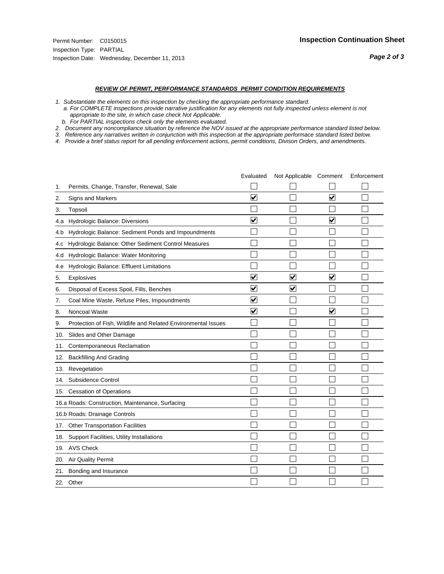#### *REVIEW OF PERMIT, PERFORMANCE STANDARDS PERMIT CONDITION REQUIREMENTS*

*1. Substantiate the elements on this inspection by checking the appropriate performance standard.*

 *a. For COMPLETE inspections provide narrative justification for any elements not fully inspected unless element is not appropriate to the site, in which case check Not Applicable.*

 *b. For PARTIAL inspections check only the elements evaluated.*

*2. Document any noncompliance situation by reference the NOV issued at the appropriate performance standard listed below.*

*3. Reference any narratives written in conjunction with this inspection at the appropriate performace standard listed below.*

|     |                                                               | Evaluated               | Not Applicable Comment  |                         | Enforcement |
|-----|---------------------------------------------------------------|-------------------------|-------------------------|-------------------------|-------------|
| 1.  | Permits, Change, Transfer, Renewal, Sale                      |                         |                         |                         |             |
| 2.  | <b>Signs and Markers</b>                                      | $\overline{\mathbf{v}}$ |                         | $\overline{\mathbf{v}}$ |             |
| 3.  | Topsoil                                                       |                         |                         |                         |             |
| 4.a | Hydrologic Balance: Diversions                                | ⊽                       |                         | $\overline{\mathbf{v}}$ |             |
| 4.b | Hydrologic Balance: Sediment Ponds and Impoundments           |                         |                         |                         |             |
| 4.C | Hydrologic Balance: Other Sediment Control Measures           |                         |                         |                         |             |
| 4.d | Hydrologic Balance: Water Monitoring                          |                         |                         |                         |             |
| 4.e | Hydrologic Balance: Effluent Limitations                      |                         |                         |                         |             |
| 5.  | Explosives                                                    | $\overline{\mathbf{v}}$ | $\overline{\mathbf{v}}$ | $\overline{\mathbf{v}}$ |             |
| 6.  | Disposal of Excess Spoil, Fills, Benches                      | ⊽                       | $\blacktriangledown$    |                         |             |
| 7.  | Coal Mine Waste, Refuse Piles, Impoundments                   | $\overline{\mathbf{v}}$ |                         |                         |             |
| 8.  | Noncoal Waste                                                 | $\overline{\mathbf{v}}$ |                         | $\overline{\mathbf{v}}$ |             |
| 9.  | Protection of Fish, Wildlife and Related Environmental Issues |                         |                         |                         |             |
| 10. | Slides and Other Damage                                       |                         |                         |                         |             |
| 11. | Contemporaneous Reclamation                                   |                         |                         |                         |             |
| 12. | <b>Backfilling And Grading</b>                                |                         |                         |                         |             |
| 13. | Revegetation                                                  |                         |                         |                         |             |
| 14. | Subsidence Control                                            |                         |                         |                         |             |
|     | 15. Cessation of Operations                                   |                         |                         |                         |             |
|     | 16.a Roads: Construction, Maintenance, Surfacing              |                         |                         |                         |             |
|     | 16.b Roads: Drainage Controls                                 |                         |                         |                         |             |
| 17. | <b>Other Transportation Facilities</b>                        |                         |                         |                         |             |
| 18. | Support Facilities, Utility Installations                     |                         |                         |                         |             |
|     | 19. AVS Check                                                 |                         |                         |                         |             |
| 20. | Air Quality Permit                                            |                         |                         |                         |             |
| 21. | Bonding and Insurance                                         |                         |                         |                         |             |
|     | 22. Other                                                     |                         |                         |                         |             |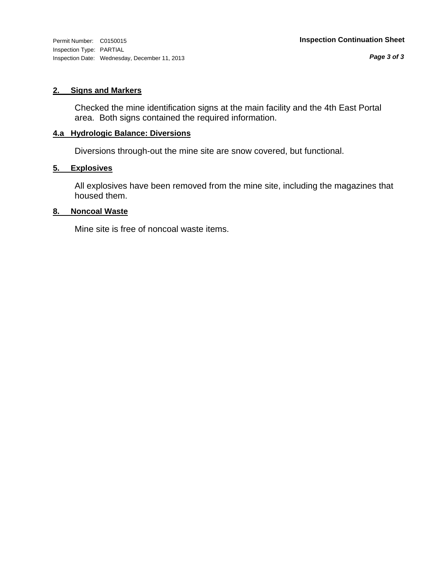#### **2. Signs and Markers**

Checked the mine identification signs at the main facility and the 4th East Portal area. Both signs contained the required information.

#### **4.a Hydrologic Balance: Diversions**

Diversions through-out the mine site are snow covered, but functional.

#### **5. Explosives**

All explosives have been removed from the mine site, including the magazines that housed them.

#### **8. Noncoal Waste**

Mine site is free of noncoal waste items.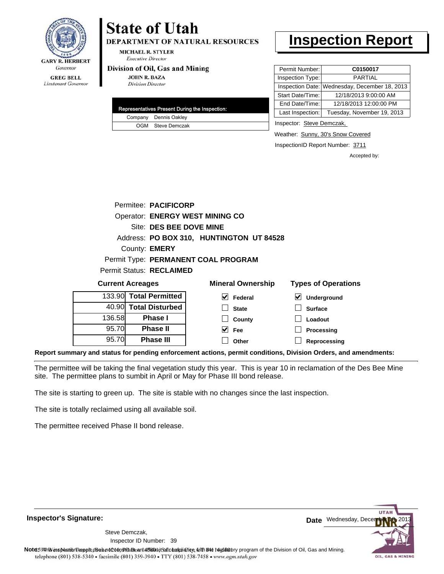

**DEPARTMENT OF NATURAL RESOURCES** 

**MICHAEL R. STYLER Executive Director** 

#### Division of Oil, Gas and Mining

**JOHN R. BAZA Division Director** 

| Representatives Present During the Inspection: |                       |  |  |  |  |
|------------------------------------------------|-----------------------|--|--|--|--|
|                                                | Company Dennis Oakley |  |  |  |  |
|                                                | OGM Steve Demczak     |  |  |  |  |

# **Inspection Report**

| Permit Number:   | C0150017                                      |
|------------------|-----------------------------------------------|
| Inspection Type: | <b>PARTIAL</b>                                |
|                  | Inspection Date: Wednesday, December 18, 2013 |
| Start Date/Time: | 12/18/2013 9:00:00 AM                         |
| End Date/Time:   | 12/18/2013 12:00:00 PM                        |
| Last Inspection: | Tuesday, November 19, 2013                    |

Inspector: Steve Demczak,

**Loadout Processing**

Weather: Sunny, 30's Snow Covered

InspectionID Report Number: 3711

Accepted by:

|                         |  | Permitee: PACIFICORP            |                                          |                         |
|-------------------------|--|---------------------------------|------------------------------------------|-------------------------|
|                         |  |                                 | <b>Operator: ENERGY WEST MINING CO</b>   |                         |
|                         |  | Site: DES BEE DOVE MINE         |                                          |                         |
|                         |  |                                 | Address: PO BOX 310, HUNTINGTON UT 84528 |                         |
|                         |  | County: EMERY                   |                                          |                         |
|                         |  |                                 | Permit Type: PERMANENT COAL PROGRAM      |                         |
|                         |  | <b>Permit Status: RECLAIMED</b> |                                          |                         |
| <b>Current Acreages</b> |  | <b>Mineral Ownership</b>        | <b>Types of Operations</b>               |                         |
|                         |  | 133.90 Total Permitted          | M<br>Federal                             | V<br><b>Underground</b> |
|                         |  | 40.90 Total Disturbed           | <b>State</b>                             | <b>Surface</b>          |

**County Fee Other**

 $\blacktriangledown$ 

**Reprocessing Report summary and status for pending enforcement actions, permit conditions, Division Orders, and amendments:**

The permittee will be taking the final vegetation study this year. This is year 10 in reclamation of the Des Bee Mine site. The permittee plans to sumbit in April or May for Phase III bond release.

The site is starting to green up. The site is stable with no changes since the last inspection.

**Phase I Phase II Phase III**

The site is totally reclaimed using all available soil.

136.58 95.70 95.70

The permittee received Phase II bond release.

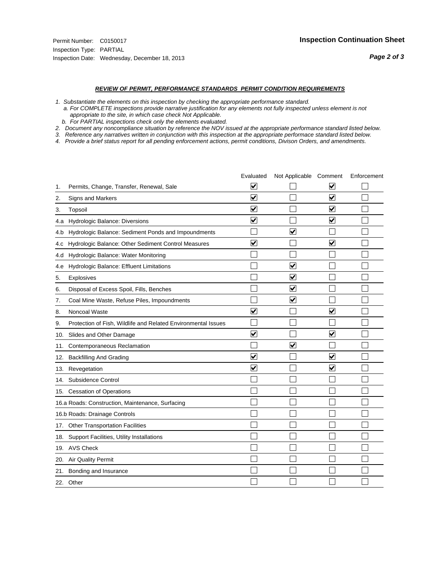#### *REVIEW OF PERMIT, PERFORMANCE STANDARDS PERMIT CONDITION REQUIREMENTS*

*1. Substantiate the elements on this inspection by checking the appropriate performance standard.*

 *a. For COMPLETE inspections provide narrative justification for any elements not fully inspected unless element is not appropriate to the site, in which case check Not Applicable.*

 *b. For PARTIAL inspections check only the elements evaluated.*

*2. Document any noncompliance situation by reference the NOV issued at the appropriate performance standard listed below.*

*3. Reference any narratives written in conjunction with this inspection at the appropriate performace standard listed below.*

|     |                                                               | Evaluated               | Not Applicable Comment |                         | Enforcement |
|-----|---------------------------------------------------------------|-------------------------|------------------------|-------------------------|-------------|
| 1.  | Permits, Change, Transfer, Renewal, Sale                      | ⊻                       |                        | V                       |             |
| 2.  | Signs and Markers                                             | $\overline{\mathbf{v}}$ |                        | $\blacktriangledown$    |             |
| 3.  | Topsoil                                                       | $\overline{\mathbf{v}}$ |                        | $\overline{\mathbf{v}}$ |             |
| 4.a | Hydrologic Balance: Diversions                                | $\overline{\mathbf{v}}$ |                        | $\blacktriangledown$    |             |
| 4.b | Hydrologic Balance: Sediment Ponds and Impoundments           |                         | ⊽                      |                         |             |
| 4.C | Hydrologic Balance: Other Sediment Control Measures           | $\overline{\mathbf{v}}$ |                        | $\blacktriangledown$    |             |
| 4.d | Hydrologic Balance: Water Monitoring                          |                         |                        |                         |             |
| 4.e | Hydrologic Balance: Effluent Limitations                      |                         | $\blacktriangledown$   |                         |             |
| 5.  | <b>Explosives</b>                                             |                         | $\blacktriangledown$   |                         |             |
| 6.  | Disposal of Excess Spoil, Fills, Benches                      |                         | $\blacktriangledown$   |                         |             |
| 7.  | Coal Mine Waste, Refuse Piles, Impoundments                   |                         | $\blacktriangledown$   |                         |             |
| 8.  | Noncoal Waste                                                 | $\overline{\mathsf{v}}$ |                        | $\blacktriangledown$    |             |
| 9.  | Protection of Fish, Wildlife and Related Environmental Issues |                         |                        |                         |             |
| 10. | Slides and Other Damage                                       | ⊽                       |                        | ⊽                       |             |
| 11. | Contemporaneous Reclamation                                   |                         | ⊻                      |                         |             |
| 12. | <b>Backfilling And Grading</b>                                | $\overline{\mathbf{v}}$ |                        | $\blacktriangledown$    |             |
| 13. | Revegetation                                                  | $\overline{\mathbf{v}}$ |                        | $\overline{\mathbf{v}}$ |             |
| 14. | Subsidence Control                                            |                         |                        |                         |             |
|     | 15. Cessation of Operations                                   |                         |                        |                         |             |
|     | 16.a Roads: Construction, Maintenance, Surfacing              |                         |                        |                         |             |
|     | 16.b Roads: Drainage Controls                                 |                         |                        |                         |             |
| 17. | <b>Other Transportation Facilities</b>                        |                         |                        |                         |             |
| 18. | Support Facilities, Utility Installations                     |                         |                        |                         |             |
|     | 19. AVS Check                                                 |                         |                        |                         |             |
| 20. | Air Quality Permit                                            |                         |                        |                         |             |
| 21. | Bonding and Insurance                                         |                         |                        |                         |             |
|     | 22. Other                                                     |                         |                        |                         |             |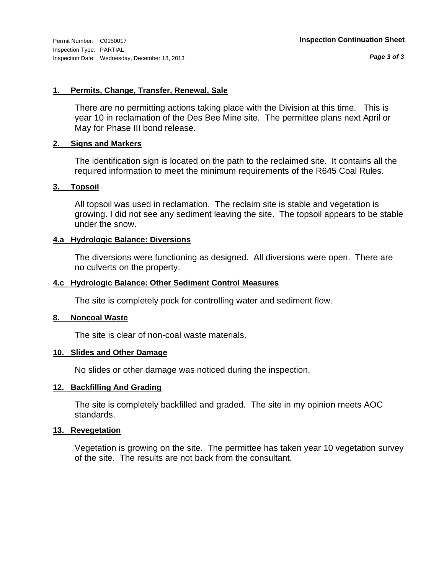*Page 3 of 3*

#### **1. Permits, Change, Transfer, Renewal, Sale**

There are no permitting actions taking place with the Division at this time. This is year 10 in reclamation of the Des Bee Mine site. The permittee plans next April or May for Phase III bond release.

#### **2. Signs and Markers**

The identification sign is located on the path to the reclaimed site. It contains all the required information to meet the minimum requirements of the R645 Coal Rules.

#### **3. Topsoil**

All topsoil was used in reclamation. The reclaim site is stable and vegetation is growing. I did not see any sediment leaving the site. The topsoil appears to be stable under the snow.

#### **4.a Hydrologic Balance: Diversions**

The diversions were functioning as designed. All diversions were open. There are no culverts on the property.

#### **4.c Hydrologic Balance: Other Sediment Control Measures**

The site is completely pock for controlling water and sediment flow.

#### **8. Noncoal Waste**

The site is clear of non-coal waste materials.

#### **10. Slides and Other Damage**

No slides or other damage was noticed during the inspection.

### **12. Backfilling And Grading**

The site is completely backfilled and graded. The site in my opinion meets AOC standards.

#### **13. Revegetation**

Vegetation is growing on the site. The permittee has taken year 10 vegetation survey of the site. The results are not back from the consultant.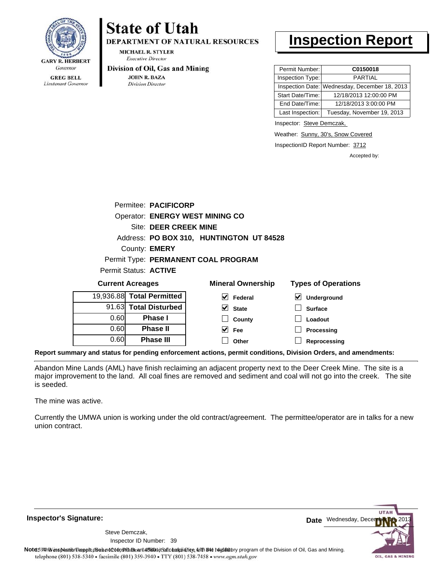

Lieutenant Governor

# **State of Utah**

**DEPARTMENT OF NATURAL RESOURCES** 

**MICHAEL R. STYLER Executive Director** 

#### Division of Oil, Gas and Mining

**JOHN R. BAZA Division Director** 

# **Inspection Report**

| Permit Number:   | C0150018                                      |
|------------------|-----------------------------------------------|
| Inspection Type: | PARTIAI                                       |
|                  | Inspection Date: Wednesday, December 18, 2013 |
| Start Date/Time: | 12/18/2013 12:00:00 PM                        |
| End Date/Time:   | 12/18/2013 3:00:00 PM                         |
| Last Inspection: | Tuesday, November 19, 2013                    |

Inspector: Steve Demczak,

Weather: Sunny, 30's, Snow Covered

InspectionID Report Number: 3712

Accepted by:

|                       | Permitee: PACIFICORP                     |
|-----------------------|------------------------------------------|
|                       | <b>Operator: ENERGY WEST MINING CO</b>   |
|                       | Site: DEER CREEK MINE                    |
|                       | Address: PO BOX 310, HUNTINGTON UT 84528 |
|                       | County: <b>EMERY</b>                     |
|                       | Permit Type: PERMANENT COAL PROGRAM      |
| Permit Status: ACTIVE |                                          |
|                       |                                          |

| <b>Current Acreages</b> |                           | <b>Mineral Ownership</b> | <b>Types of Operations</b>               |  |  |
|-------------------------|---------------------------|--------------------------|------------------------------------------|--|--|
|                         | 19,936.88 Total Permitted | V<br>Federal             | $\boldsymbol{\mathsf{v}}$<br>Underground |  |  |
|                         | 91.63 Total Disturbed     | $\vee$ State             | <b>Surface</b>                           |  |  |
| 0.60                    | <b>Phase I</b>            | County                   | Loadout                                  |  |  |
| 0.60                    | <b>Phase II</b>           | M<br>Fee                 | Processing                               |  |  |
| 0.60                    | <b>Phase III</b>          | Other                    | Reprocessing                             |  |  |
|                         |                           |                          |                                          |  |  |

**Report summary and status for pending enforcement actions, permit conditions, Division Orders, and amendments:**

Abandon Mine Lands (AML) have finish reclaiming an adjacent property next to the Deer Creek Mine. The site is a major improvement to the land. All coal fines are removed and sediment and coal will not go into the creek. The site is seeded.

The mine was active.

Currently the UMWA union is working under the old contract/agreement. The permittee/operator are in talks for a new union contract.

**Inspector's Signature:**

Inspector ID Number: 39 Steve Demczak,

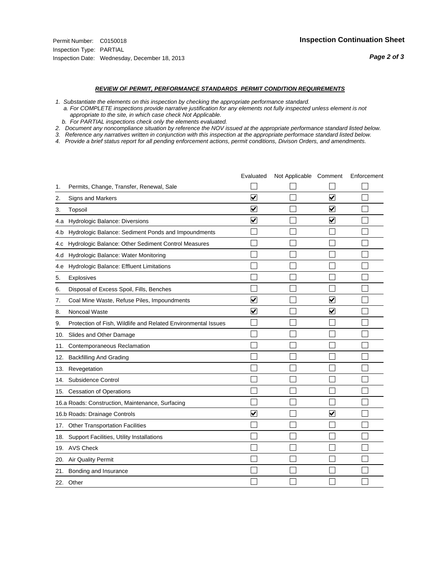#### *REVIEW OF PERMIT, PERFORMANCE STANDARDS PERMIT CONDITION REQUIREMENTS*

*1. Substantiate the elements on this inspection by checking the appropriate performance standard.*

 *a. For COMPLETE inspections provide narrative justification for any elements not fully inspected unless element is not appropriate to the site, in which case check Not Applicable.*

 *b. For PARTIAL inspections check only the elements evaluated.*

*2. Document any noncompliance situation by reference the NOV issued at the appropriate performance standard listed below.*

*3. Reference any narratives written in conjunction with this inspection at the appropriate performace standard listed below.*

|     |                                                               | Evaluated               | Not Applicable Comment |                         | Enforcement |
|-----|---------------------------------------------------------------|-------------------------|------------------------|-------------------------|-------------|
| 1.  | Permits, Change, Transfer, Renewal, Sale                      |                         |                        |                         |             |
| 2.  | <b>Signs and Markers</b>                                      | $\overline{\mathbf{v}}$ |                        | $\overline{\mathbf{v}}$ |             |
| 3.  | Topsoil                                                       | $\overline{\mathbf{v}}$ |                        | $\overline{\mathbf{v}}$ |             |
| 4.a | Hydrologic Balance: Diversions                                | ⊽                       |                        | $\blacktriangledown$    |             |
| 4.b | Hydrologic Balance: Sediment Ponds and Impoundments           |                         |                        |                         |             |
| 4.C | Hydrologic Balance: Other Sediment Control Measures           |                         |                        |                         |             |
| 4.d | Hydrologic Balance: Water Monitoring                          |                         |                        |                         |             |
| 4.e | Hydrologic Balance: Effluent Limitations                      |                         |                        |                         |             |
| 5.  | Explosives                                                    |                         |                        |                         |             |
| 6.  | Disposal of Excess Spoil, Fills, Benches                      |                         |                        |                         |             |
| 7.  | Coal Mine Waste, Refuse Piles, Impoundments                   | $\overline{\mathbf{v}}$ |                        | $\overline{\mathsf{v}}$ |             |
| 8.  | Noncoal Waste                                                 | $\overline{\mathbf{v}}$ |                        | $\blacktriangledown$    |             |
| 9.  | Protection of Fish, Wildlife and Related Environmental Issues |                         |                        |                         |             |
| 10. | Slides and Other Damage                                       |                         |                        |                         |             |
| 11. | Contemporaneous Reclamation                                   |                         |                        |                         |             |
| 12. | <b>Backfilling And Grading</b>                                |                         |                        |                         |             |
| 13. | Revegetation                                                  |                         |                        |                         |             |
| 14. | Subsidence Control                                            |                         |                        |                         |             |
|     | 15. Cessation of Operations                                   |                         |                        |                         |             |
|     | 16.a Roads: Construction, Maintenance, Surfacing              |                         |                        |                         |             |
|     | 16.b Roads: Drainage Controls                                 | $\blacktriangledown$    |                        | V                       |             |
| 17. | <b>Other Transportation Facilities</b>                        |                         |                        |                         |             |
| 18. | Support Facilities, Utility Installations                     |                         |                        |                         |             |
|     | 19. AVS Check                                                 |                         |                        |                         |             |
| 20. | Air Quality Permit                                            |                         |                        |                         |             |
| 21. | Bonding and Insurance                                         |                         |                        |                         |             |
|     | 22. Other                                                     |                         |                        |                         |             |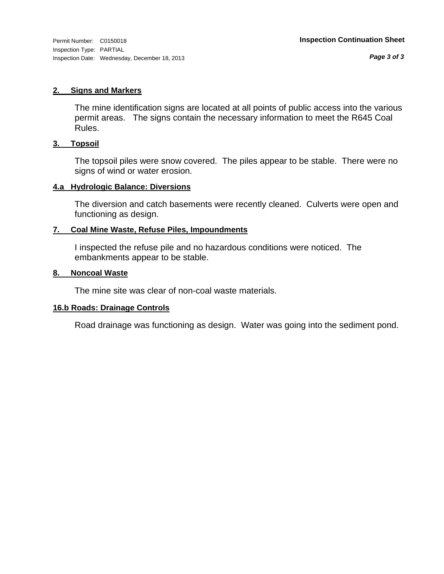*Page 3 of 3*

#### **2. Signs and Markers**

The mine identification signs are located at all points of public access into the various permit areas. The signs contain the necessary information to meet the R645 Coal Rules.

#### **3. Topsoil**

The topsoil piles were snow covered. The piles appear to be stable. There were no signs of wind or water erosion.

#### **4.a Hydrologic Balance: Diversions**

The diversion and catch basements were recently cleaned. Culverts were open and functioning as design.

#### **7. Coal Mine Waste, Refuse Piles, Impoundments**

I inspected the refuse pile and no hazardous conditions were noticed. The embankments appear to be stable.

#### **8. Noncoal Waste**

The mine site was clear of non-coal waste materials.

#### **16.b Roads: Drainage Controls**

Road drainage was functioning as design. Water was going into the sediment pond.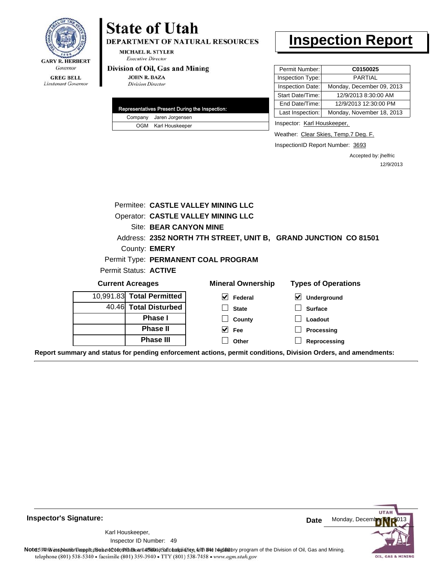

#### **GREG BELL** Lieutenant Governor

# **State of Utah**

DEPARTMENT OF NATURAL RESOURCES

**MICHAEL R. STYLER Executive Director** 

#### Division of Oil, Gas and Mining

**JOHN R. BAZA Division Director** 

|  | Representatives Present During the Inspection: |
|--|------------------------------------------------|
|  | Company Jaren Jorgensen                        |
|  | OGM Karl Houskeeper                            |

# **Inspection Report**

| Permit Number:   | C0150025                  |
|------------------|---------------------------|
| Inspection Type: | <b>PARTIAL</b>            |
| Inspection Date: | Monday, December 09, 2013 |
| Start Date/Time: | 12/9/2013 8:30:00 AM      |
| End Date/Time:   | 12/9/2013 12:30:00 PM     |
| Last Inspection: | Monday, November 18, 2013 |
|                  |                           |

Inspector: Karl Houskeeper,

Weather: Clear Skies, Temp.7 Deg. F.

InspectionID Report Number: 3693

Accepted by: jhelfric 12/9/2013

|                           | <b>Permitee: CASTLE VALLEY MINING LLC</b>                       |                                 |                            |
|---------------------------|-----------------------------------------------------------------|---------------------------------|----------------------------|
|                           | <b>Operator: CASTLE VALLEY MINING LLC</b>                       |                                 |                            |
|                           | Site: BEAR CANYON MINE                                          |                                 |                            |
|                           | Address: 2352 NORTH 7TH STREET, UNIT B, GRAND JUNCTION CO 81501 |                                 |                            |
|                           | County: <b>EMERY</b>                                            |                                 |                            |
|                           | Permit Type: PERMANENT COAL PROGRAM                             |                                 |                            |
| Permit Status: ACTIVE     |                                                                 |                                 |                            |
| <b>Current Acreages</b>   |                                                                 | <b>Mineral Ownership</b>        | <b>Types of Operations</b> |
| 10,991.83 Total Permitted |                                                                 | $\blacktriangledown$<br>Federal | ⊻<br>Underground           |
| 40.46 Total Disturbed     |                                                                 | <b>State</b>                    | <b>Surface</b>             |
|                           | <b>Phase I</b>                                                  | County                          | Loadout                    |
|                           | <b>Phase II</b>                                                 | $\vee$ Fee                      | Processing                 |
|                           |                                                                 |                                 |                            |
|                           | <b>Phase III</b>                                                | Other                           | Reprocessing               |

**Inspector's Signature:**

49 Inspector ID Number:Karl Houskeeper,

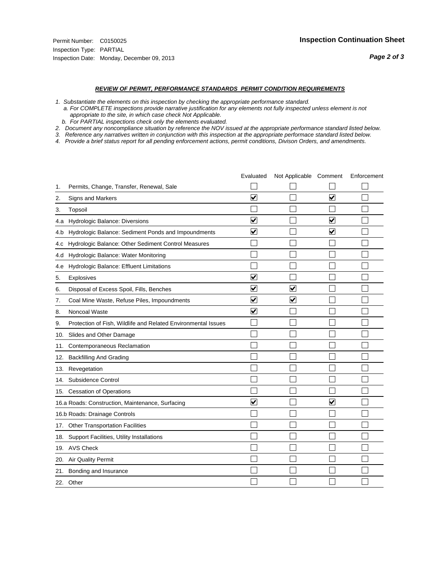#### *REVIEW OF PERMIT, PERFORMANCE STANDARDS PERMIT CONDITION REQUIREMENTS*

*1. Substantiate the elements on this inspection by checking the appropriate performance standard.*

 *a. For COMPLETE inspections provide narrative justification for any elements not fully inspected unless element is not appropriate to the site, in which case check Not Applicable.*

 *b. For PARTIAL inspections check only the elements evaluated.*

*2. Document any noncompliance situation by reference the NOV issued at the appropriate performance standard listed below.*

*3. Reference any narratives written in conjunction with this inspection at the appropriate performace standard listed below.*

|     |                                                               | Evaluated               | Not Applicable Comment |                         | Enforcement |
|-----|---------------------------------------------------------------|-------------------------|------------------------|-------------------------|-------------|
| 1.  | Permits, Change, Transfer, Renewal, Sale                      |                         |                        |                         |             |
| 2.  | Signs and Markers                                             | $\overline{\mathbf{v}}$ |                        | $\overline{\mathbf{v}}$ |             |
| 3.  | Topsoil                                                       |                         |                        |                         |             |
| 4.a | Hydrologic Balance: Diversions                                | $\overline{\mathbf{v}}$ |                        | $\blacktriangledown$    |             |
| 4.b | Hydrologic Balance: Sediment Ponds and Impoundments           | $\blacktriangledown$    |                        | $\blacktriangledown$    |             |
| 4.C | Hydrologic Balance: Other Sediment Control Measures           |                         |                        |                         |             |
| 4.d | Hydrologic Balance: Water Monitoring                          |                         |                        |                         |             |
| 4.e | Hydrologic Balance: Effluent Limitations                      |                         |                        |                         |             |
| 5.  | <b>Explosives</b>                                             | $\overline{\mathbf{v}}$ |                        |                         |             |
| 6.  | Disposal of Excess Spoil, Fills, Benches                      | $\blacktriangledown$    | ⊻                      |                         |             |
| 7.  | Coal Mine Waste, Refuse Piles, Impoundments                   | $\overline{\mathbf{v}}$ | $\blacktriangledown$   |                         |             |
| 8.  | Noncoal Waste                                                 | $\overline{\mathbf{v}}$ |                        |                         |             |
| 9.  | Protection of Fish, Wildlife and Related Environmental Issues |                         |                        |                         |             |
| 10. | Slides and Other Damage                                       |                         |                        |                         |             |
| 11. | Contemporaneous Reclamation                                   |                         |                        |                         |             |
| 12. | <b>Backfilling And Grading</b>                                |                         |                        |                         |             |
| 13. | Revegetation                                                  |                         |                        |                         |             |
| 14. | Subsidence Control                                            |                         |                        |                         |             |
|     | 15. Cessation of Operations                                   |                         |                        |                         |             |
|     | 16.a Roads: Construction, Maintenance, Surfacing              | ⊽                       |                        | $\overline{\mathbf{v}}$ |             |
|     | 16.b Roads: Drainage Controls                                 |                         |                        |                         |             |
| 17. | <b>Other Transportation Facilities</b>                        |                         |                        |                         |             |
| 18. | Support Facilities, Utility Installations                     |                         |                        |                         |             |
| 19. | <b>AVS Check</b>                                              |                         |                        |                         |             |
| 20. | Air Quality Permit                                            |                         |                        |                         |             |
| 21. | Bonding and Insurance                                         |                         |                        |                         |             |
|     | 22. Other                                                     |                         |                        |                         |             |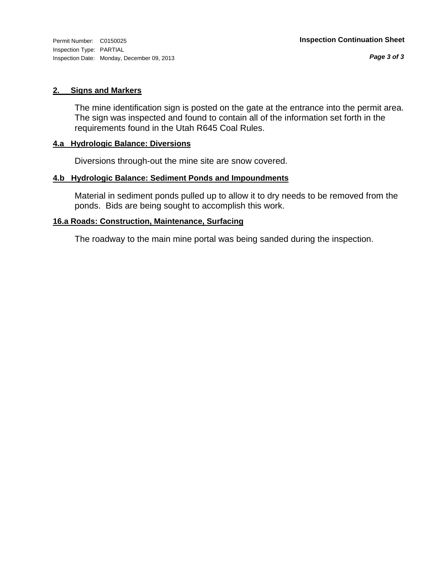#### **2. Signs and Markers**

The mine identification sign is posted on the gate at the entrance into the permit area. The sign was inspected and found to contain all of the information set forth in the requirements found in the Utah R645 Coal Rules.

### **4.a Hydrologic Balance: Diversions**

Diversions through-out the mine site are snow covered.

#### **4.b Hydrologic Balance: Sediment Ponds and Impoundments**

Material in sediment ponds pulled up to allow it to dry needs to be removed from the ponds. Bids are being sought to accomplish this work.

#### **16.a Roads: Construction, Maintenance, Surfacing**

The roadway to the main mine portal was being sanded during the inspection.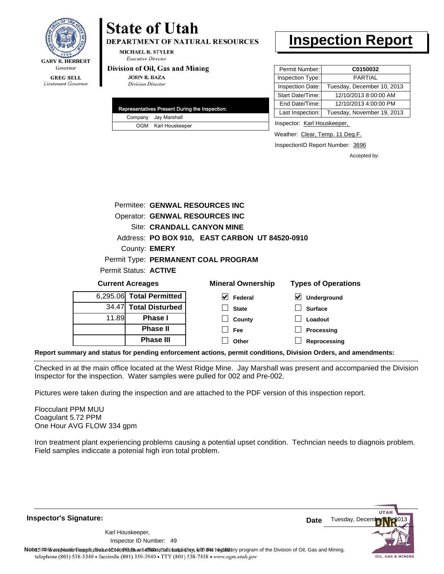

# **State of Utah**

**DEPARTMENT OF NATURAL RESOURCES** 

**MICHAEL R. STYLER Executive Director** 

#### Division of Oil, Gas and Mining

**Phase II Phase III**

**JOHN R. BAZA Division Director** 

| Representatives Present During the Inspection: |
|------------------------------------------------|
| Company Jay Marshall                           |
| OGM Karl Houskeeper                            |

## **Inspection Report**

| Permit Number:   | C0150032                   |
|------------------|----------------------------|
| Inspection Type: | <b>PARTIAL</b>             |
| Inspection Date: | Tuesday, December 10, 2013 |
| Start Date/Time: | 12/10/2013 8:00:00 AM      |
| End Date/Time:   | 12/10/2013 4:00:00 PM      |
| Last Inspection: | Tuesday, November 19, 2013 |

Inspector: Karl Houskeeper,

Weather: Clear, Temp. 11 Deg.F.

**Processing Reprocessing**

InspectionID Report Number: 3696

Accepted by:

|                          |                      | Permitee: GENWAL RESOURCES INC                 |                                          |
|--------------------------|----------------------|------------------------------------------------|------------------------------------------|
|                          |                      | Operator: GENWAL RESOURCES INC                 |                                          |
|                          |                      | Site: CRANDALL CANYON MINE                     |                                          |
|                          |                      | Address: PO BOX 910, EAST CARBON UT 84520-0910 |                                          |
|                          | County: <b>EMERY</b> |                                                |                                          |
|                          |                      | Permit Type: PERMANENT COAL PROGRAM            |                                          |
| Permit Status: ACTIVE    |                      |                                                |                                          |
| <b>Current Acreages</b>  |                      | <b>Mineral Ownership</b>                       | <b>Types of Operations</b>               |
| 6,295.06 Total Permitted |                      | M<br>Federal                                   | $\boldsymbol{\mathsf{v}}$<br>Underground |
| 34.47 Total Disturbed    |                      | <b>State</b>                                   | <b>Surface</b>                           |
| 11.89                    | <b>Phase I</b>       | County                                         | Loadout                                  |

**Report summary and status for pending enforcement actions, permit conditions, Division Orders, and amendments:**

Checked in at the main office located at the West Ridge Mine. Jay Marshall was present and accompanied the Division Inspector for the inspection. Water samples were pulled for 002 and Pre-002.

**Fee Other**

Pictures were taken during the inspection and are attached to the PDF version of this inspection report.

Flocculant PPM MUU Coagulant 5.72 PPM One Hour AVG FLOW 334 gpm

6,295.06

Iron treatment plant experiencing problems causing a potential upset condition. Techncian needs to diagnois problem. Field samples indiccate a potenial high iron total problem.

**Inspector's Signature:**

49 Inspector ID Number:Karl Houskeeper,

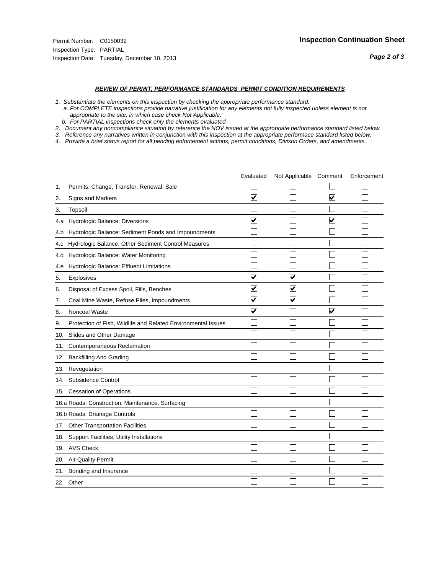#### *REVIEW OF PERMIT, PERFORMANCE STANDARDS PERMIT CONDITION REQUIREMENTS*

*1. Substantiate the elements on this inspection by checking the appropriate performance standard.*

 *a. For COMPLETE inspections provide narrative justification for any elements not fully inspected unless element is not appropriate to the site, in which case check Not Applicable.*

 *b. For PARTIAL inspections check only the elements evaluated.*

*2. Document any noncompliance situation by reference the NOV issued at the appropriate performance standard listed below.*

*3. Reference any narratives written in conjunction with this inspection at the appropriate performace standard listed below.*

|     |                                                               | Evaluated               | Not Applicable Comment  |                         | Enforcement |
|-----|---------------------------------------------------------------|-------------------------|-------------------------|-------------------------|-------------|
| 1.  | Permits, Change, Transfer, Renewal, Sale                      |                         |                         |                         |             |
| 2.  | <b>Signs and Markers</b>                                      | $\overline{\mathbf{v}}$ |                         | $\overline{\mathbf{v}}$ |             |
| 3.  | Topsoil                                                       |                         |                         |                         |             |
| 4.a | Hydrologic Balance: Diversions                                | ⊽                       |                         | $\overline{\mathbf{v}}$ |             |
| 4.b | Hydrologic Balance: Sediment Ponds and Impoundments           |                         |                         |                         |             |
| 4.C | Hydrologic Balance: Other Sediment Control Measures           |                         |                         |                         |             |
| 4.d | Hydrologic Balance: Water Monitoring                          |                         |                         |                         |             |
| 4.e | Hydrologic Balance: Effluent Limitations                      |                         |                         |                         |             |
| 5.  | Explosives                                                    | $\overline{\mathbf{v}}$ | $\overline{\mathbf{v}}$ |                         |             |
| 6.  | Disposal of Excess Spoil, Fills, Benches                      | ⊽                       | $\blacktriangledown$    |                         |             |
| 7.  | Coal Mine Waste, Refuse Piles, Impoundments                   | $\overline{\mathbf{v}}$ | $\blacktriangledown$    |                         |             |
| 8.  | Noncoal Waste                                                 | $\overline{\mathbf{v}}$ |                         | $\overline{\mathbf{v}}$ |             |
| 9.  | Protection of Fish, Wildlife and Related Environmental Issues |                         |                         |                         |             |
| 10. | Slides and Other Damage                                       |                         |                         |                         |             |
| 11. | Contemporaneous Reclamation                                   |                         |                         |                         |             |
| 12. | <b>Backfilling And Grading</b>                                |                         |                         |                         |             |
| 13. | Revegetation                                                  |                         |                         |                         |             |
| 14. | Subsidence Control                                            |                         |                         |                         |             |
|     | 15. Cessation of Operations                                   |                         |                         |                         |             |
|     | 16.a Roads: Construction, Maintenance, Surfacing              |                         |                         |                         |             |
|     | 16.b Roads: Drainage Controls                                 |                         |                         |                         |             |
| 17. | <b>Other Transportation Facilities</b>                        |                         |                         |                         |             |
| 18. | Support Facilities, Utility Installations                     |                         |                         |                         |             |
|     | 19. AVS Check                                                 |                         |                         |                         |             |
| 20. | Air Quality Permit                                            |                         |                         |                         |             |
| 21. | Bonding and Insurance                                         |                         |                         |                         |             |
|     | 22. Other                                                     |                         |                         |                         |             |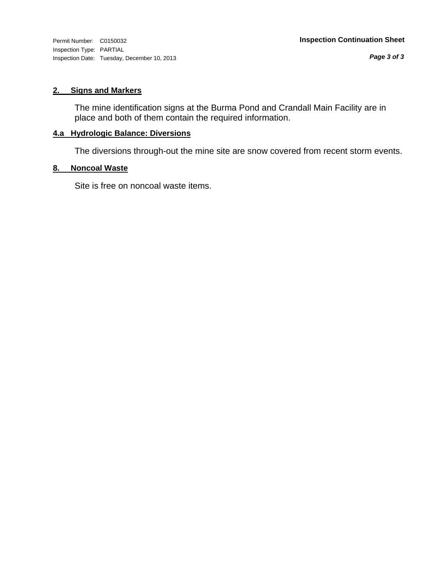Inspection Type: PARTIAL Inspection Date: Tuesday, December 10, 2013

## **2. Signs and Markers**

The mine identification signs at the Burma Pond and Crandall Main Facility are in place and both of them contain the required information.

## **4.a Hydrologic Balance: Diversions**

The diversions through-out the mine site are snow covered from recent storm events.

### **8. Noncoal Waste**

Site is free on noncoal waste items.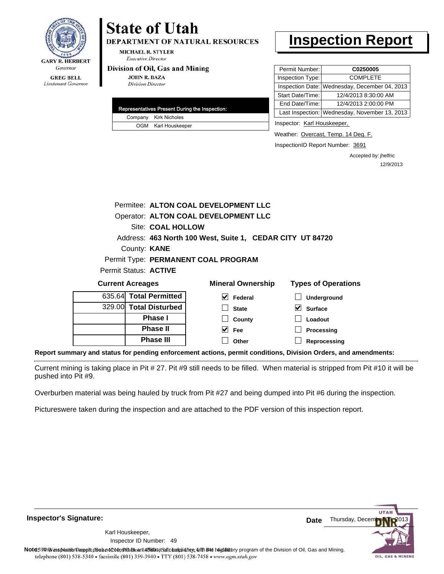

# **State of Utah**

**DEPARTMENT OF NATURAL RESOURCES** 

**MICHAEL R. STYLER Executive Director** 

#### Division of Oil, Gas and Mining

**JOHN R. BAZA Division Director** 

| Representatives Present During the Inspection: |                       |  |  |  |
|------------------------------------------------|-----------------------|--|--|--|
|                                                | Company Kirk Nicholes |  |  |  |
|                                                | OGM Karl Houskeeper   |  |  |  |

# **Inspection Report**

| Permit Number:   | C0250005                                      |  |  |
|------------------|-----------------------------------------------|--|--|
| Inspection Type: | <b>COMPLETE</b>                               |  |  |
|                  | Inspection Date: Wednesday, December 04, 2013 |  |  |
| Start Date/Time: | 12/4/2013 8:30:00 AM                          |  |  |
| End Date/Time:   | 12/4/2013 2:00:00 PM                          |  |  |
|                  | Last Inspection: Wednesday, November 13, 2013 |  |  |

Inspector: Karl Houskeeper,

Weather: Overcast, Temp. 14 Deg. F.

InspectionID Report Number: 3691

Accepted by: jhelfric 12/9/2013

|                         | Permitee: ALTON COAL DEVELOPMENT LLC |                                                           |  |             |  |
|-------------------------|--------------------------------------|-----------------------------------------------------------|--|-------------|--|
|                         | Operator: ALTON COAL DEVELOPMENT LLC |                                                           |  |             |  |
|                         | Site: COAL HOLLOW                    |                                                           |  |             |  |
|                         |                                      | Address: 463 North 100 West, Suite 1, CEDAR CITY UT 84720 |  |             |  |
| County: KANE            |                                      |                                                           |  |             |  |
|                         |                                      | Permit Type: PERMANENT COAL PROGRAM                       |  |             |  |
| Permit Status: ACTIVE   |                                      |                                                           |  |             |  |
| <b>Current Acreages</b> |                                      | <b>Mineral Ownership</b>                                  |  | Types of Op |  |
|                         |                                      |                                                           |  |             |  |

| <b>Current Acreages</b> |                        | <b>Mineral Ownership</b> | <b>Types of Operations</b> |
|-------------------------|------------------------|--------------------------|----------------------------|
|                         | 635.64 Total Permitted | Federal                  | Underground                |
|                         | 329.00 Total Disturbed | <b>State</b>             | M<br><b>Surface</b>        |
|                         | <b>Phase I</b>         | County                   | Loadout                    |
|                         | <b>Phase II</b>        | Fee                      | Processing                 |
|                         | <b>Phase III</b>       | Other                    | Reprocessing               |

**Report summary and status for pending enforcement actions, permit conditions, Division Orders, and amendments:**

Current mining is taking place in Pit # 27. Pit #9 still needs to be filled. When material is stripped from Pit #10 it will be pushed into Pit #9.

Overburben material was being hauled by truck from Pit #27 and being dumped into Pit #6 during the inspection.

Pictureswere taken during the inspection and are attached to the PDF version of this inspection report.

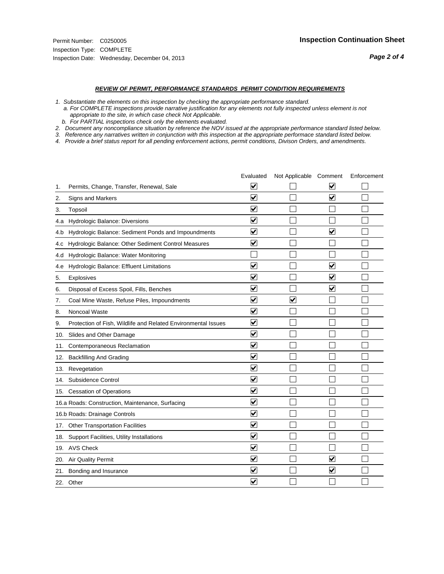#### *REVIEW OF PERMIT, PERFORMANCE STANDARDS PERMIT CONDITION REQUIREMENTS*

*1. Substantiate the elements on this inspection by checking the appropriate performance standard.*

 *a. For COMPLETE inspections provide narrative justification for any elements not fully inspected unless element is not appropriate to the site, in which case check Not Applicable.*

 *b. For PARTIAL inspections check only the elements evaluated.*

*2. Document any noncompliance situation by reference the NOV issued at the appropriate performance standard listed below.*

*3. Reference any narratives written in conjunction with this inspection at the appropriate performace standard listed below.*

|     |                                                               | Evaluated                       | Not Applicable Comment  |                         | Enforcement |
|-----|---------------------------------------------------------------|---------------------------------|-------------------------|-------------------------|-------------|
| 1.  | Permits, Change, Transfer, Renewal, Sale                      | ⊻                               |                         | V                       |             |
| 2.  | <b>Signs and Markers</b>                                      | $\overline{\mathbf{v}}$         |                         | $\blacktriangledown$    |             |
| 3.  | Topsoil                                                       | $\overline{\mathbf{v}}$         |                         |                         |             |
| 4.a | Hydrologic Balance: Diversions                                | ⊽                               |                         |                         |             |
| 4.b | Hydrologic Balance: Sediment Ponds and Impoundments           | $\blacktriangledown$            |                         | ⊻                       |             |
| 4.C | Hydrologic Balance: Other Sediment Control Measures           | $\overline{\mathbf{v}}$         |                         |                         |             |
| 4.d | Hydrologic Balance: Water Monitoring                          |                                 |                         |                         |             |
| 4.e | Hydrologic Balance: Effluent Limitations                      | $\overline{\mathbf{v}}$         |                         | $\overline{\mathbf{v}}$ |             |
| 5.  | Explosives                                                    | $\overline{\mathbf{v}}$         |                         | $\blacktriangledown$    |             |
| 6.  | Disposal of Excess Spoil, Fills, Benches                      | $\overline{\mathsf{v}}$         |                         | $\blacktriangledown$    |             |
| 7.  | Coal Mine Waste, Refuse Piles, Impoundments                   | $\overline{\mathbf{v}}$         | $\overline{\mathbf{v}}$ |                         |             |
| 8.  | Noncoal Waste                                                 | $\overline{\mathbf{v}}$         |                         |                         |             |
| 9.  | Protection of Fish, Wildlife and Related Environmental Issues | $\overline{\mathbf{v}}$         |                         |                         |             |
| 10. | Slides and Other Damage                                       | $\overline{\mathbf{v}}$         |                         |                         |             |
| 11. | Contemporaneous Reclamation                                   | ⊽                               |                         |                         |             |
| 12. | <b>Backfilling And Grading</b>                                | $\overline{\mathbf{v}}$         |                         |                         |             |
| 13. | Revegetation                                                  | $\overline{\mathbf{v}}$         |                         |                         |             |
| 14. | Subsidence Control                                            | $\overline{\mathbf{v}}$         |                         |                         |             |
|     | 15. Cessation of Operations                                   | $\overline{\blacktriangledown}$ |                         |                         |             |
|     | 16.a Roads: Construction, Maintenance, Surfacing              | $\checkmark$                    |                         |                         |             |
|     | 16.b Roads: Drainage Controls                                 | ⊽                               |                         |                         |             |
|     | 17. Other Transportation Facilities                           | $\overline{\mathbf{v}}$         |                         |                         |             |
| 18. | Support Facilities, Utility Installations                     | $\overline{\mathbf{v}}$         |                         |                         |             |
|     | 19. AVS Check                                                 | $\overline{\mathbf{v}}$         |                         |                         |             |
| 20. | Air Quality Permit                                            | $\checkmark$                    |                         | $\blacktriangledown$    |             |
| 21. | Bonding and Insurance                                         | ⊻                               |                         | $\blacktriangledown$    |             |
|     | 22. Other                                                     | $\blacktriangledown$            |                         |                         |             |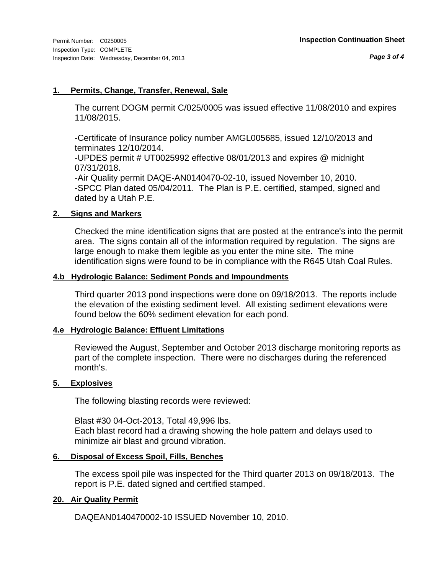#### **1. Permits, Change, Transfer, Renewal, Sale**

The current DOGM permit C/025/0005 was issued effective 11/08/2010 and expires 11/08/2015.

-Certificate of Insurance policy number AMGL005685, issued 12/10/2013 and terminates 12/10/2014.

-UPDES permit # UT0025992 effective 08/01/2013 and expires @ midnight 07/31/2018.

-Air Quality permit DAQE-AN0140470-02-10, issued November 10, 2010. -SPCC Plan dated 05/04/2011. The Plan is P.E. certified, stamped, signed and dated by a Utah P.E.

### **2. Signs and Markers**

Checked the mine identification signs that are posted at the entrance's into the permit area. The signs contain all of the information required by regulation. The signs are large enough to make them legible as you enter the mine site. The mine identification signs were found to be in compliance with the R645 Utah Coal Rules.

#### **4.b Hydrologic Balance: Sediment Ponds and Impoundments**

Third quarter 2013 pond inspections were done on 09/18/2013. The reports include the elevation of the existing sediment level. All existing sediment elevations were found below the 60% sediment elevation for each pond.

### **4.e Hydrologic Balance: Effluent Limitations**

Reviewed the August, September and October 2013 discharge monitoring reports as part of the complete inspection. There were no discharges during the referenced month's.

#### **5. Explosives**

The following blasting records were reviewed:

Blast #30 04-Oct-2013, Total 49,996 lbs. Each blast record had a drawing showing the hole pattern and delays used to minimize air blast and ground vibration.

### **6. Disposal of Excess Spoil, Fills, Benches**

The excess spoil pile was inspected for the Third quarter 2013 on 09/18/2013. The report is P.E. dated signed and certified stamped.

### **20. Air Quality Permit**

DAQEAN0140470002-10 ISSUED November 10, 2010.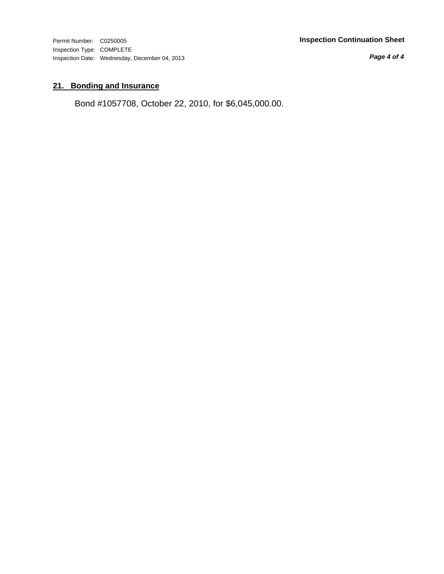Permit Number: C0250005 **Inspection Continuation Sheet**

Inspection Type: COMPLETE Inspection Date: Wednesday, December 04, 2013

*Page 4 of 4*

## **21. Bonding and Insurance**

Bond #1057708, October 22, 2010, for \$6,045,000.00.